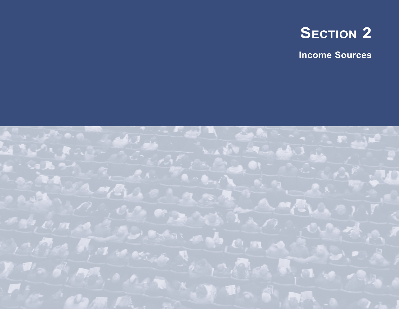

**Income Sources**

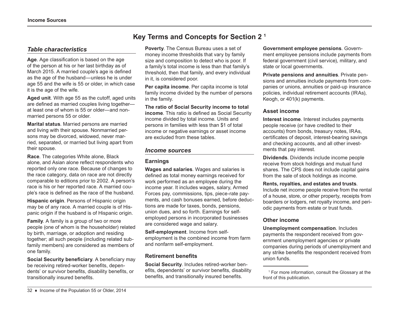### *Table characteristics*

**Age**. Age classification is based on the age of the person at his or her last birthday as of March 2015. A married couple's age is defined as the age of the husband—unless he is under age 55 and the wife is 55 or older, in which case it is the age of the wife.

**Aged unit**. With age 55 as the cutoff, aged units are defined as married couples living together at least one of whom is 55 or older—and nonmarried persons 55 or older.

**Marital status**. Married persons are married and living with their spouse. Nonmarried persons may be divorced, widowed, never married, separated, or married but living apart from their spouse.

**Race**. The categories White alone, Black alone, and Asian alone reflect respondents who reported only one race. Because of changes to the race category, data on race are not directly comparable to editions prior to 2002. A person's race is his or her reported race. A married couple's race is defined as the race of the husband.

**Hispanic origin**. Persons of Hispanic origin may be of any race. A married couple is of Hispanic origin if the husband is of Hispanic origin.

**Family**. A family is a group of two or more people (one of whom is the householder) related by birth, marriage, or adoption and residing together; all such people (including related subfamily members) are considered as members of one family.

**Social Security beneficiary**. A beneficiary may be receiving retired-worker benefits, dependents' or survivor benefits, disability benefits, or transitionally insured benefits.

# **Key Terms and Concepts for Section 2 1**

**Poverty**. The Census Bureau uses a set of money income thresholds that vary by family size and composition to detect who is poor. If a family's total income is less than that family's threshold, then that family, and every individual in it, is considered poor.

**Per capita income**. Per capita income is total family income divided by the number of persons in the family.

**The ratio of Social Security income to total income**. This ratio is defined as Social Security income divided by total income. Units and persons in families with less than \$1 of total income or negative earnings or asset income are excluded from these tables.

#### *Income sources*

### **Earnings**

**Wages and salaries**. Wages and salaries is defined as total money earnings received for work performed as an employee during the income year. It includes wages, salary, Armed Forces pay, commissions, tips, piece-rate payments, and cash bonuses earned, before deductions are made for taxes, bonds, pensions, union dues, and so forth. Earnings for selfemployed persons in incorporated businesses are considered wage and salary.

**Self-employment**. Income from selfemployment is the combined income from farm and nonfarm self-employment.

### **Retirement benefits**

**Social Security**. Includes retired-worker benefits, dependents' or survivor benefits, disability benefits, and transitionally insured benefits.

**Government employee pensions**. Government employee pensions include payments from federal government (civil service), military, and state or local governments.

**Private pensions and annuities**. Private pensions and annuities include payments from companies or unions, annuities or paid-up insurance policies, individual retirement accounts (IRAs), Keogh, or 401(k) payments.

### **Asset income**

**Interest income**. Interest includes payments people receive (or have credited to their accounts) from bonds, treasury notes, IRAs, certificates of deposit, interest-bearing savings and checking accounts, and all other investments that pay interest.

**Dividends**. Dividends include income people receive from stock holdings and mutual fund shares. The CPS does not include capital gains from the sale of stock holdings as income.

#### **Rents, royalties, and estates and trusts**.

Include net income people receive from the rental of a house, store, or other property, receipts from boarders or lodgers, net royalty income, and periodic payments from estate or trust funds.

### **Other income**

**Unemployment compensation**. Includes payments the respondent received from government unemployment agencies or private companies during periods of unemployment and any strike benefits the respondent received from union funds.

<sup>1</sup> For more information, consult the Glossary at the front of this publication.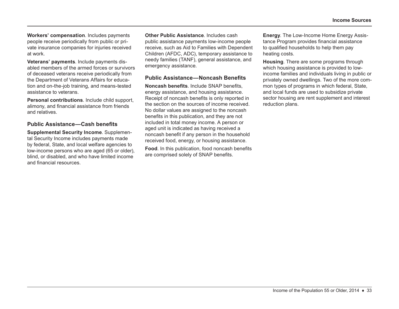**Workers' compensation**. Includes payments people receive periodically from public or private insurance companies for injuries received at work.

**Veterans' payments**. Include payments disabled members of the armed forces or survivors of deceased veterans receive periodically from the Department of Veterans Affairs for education and on-the-job training, and means-tested assistance to veterans.

**Personal contributions**. Include child support, alimony, and financial assistance from friends and relatives.

#### **Public Assistance—Cash benefits**

**Supplemental Security Income**. Supplemental Security Income includes payments made by federal, State, and local welfare agencies to low-income persons who are aged (65 or older), blind, or disabled, and who have limited income and financial resources.

**Other Public Assistance**. Includes cash public assistance payments low-income people receive, such as Aid to Families with Dependent Children (AFDC, ADC), temporary assistance to needy families (TANF), general assistance, and emergency assistance.

#### **Public Assistance—Noncash Benefits**

**Noncash benefits**. Include SNAP benefits, energy assistance, and housing assistance. Receipt of noncash benefits is only reported in the section on the sources of income received. No dollar values are assigned to the noncash benefits in this publication, and they are not included in total money income. A person or aged unit is indicated as having received a noncash benefit if any person in the household received food, energy, or housing assistance.

**Food**. In this publication, food noncash benefits are comprised solely of SNAP benefits.

**Energy**. The Low-Income Home Energy Assistance Program provides financial assistance to qualified households to help them pay heating costs.

**Housing**. There are some programs through which housing assistance is provided to lowincome families and individuals living in public or privately owned dwellings. Two of the more common types of programs in which federal, State, and local funds are used to subsidize private sector housing are rent supplement and interest reduction plans.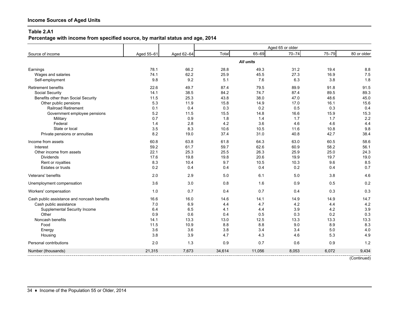**Percentage with income from specified source, by marital status and age, 2014**

|                                             |            |            |        |           | Aged 65 or older |       |             |
|---------------------------------------------|------------|------------|--------|-----------|------------------|-------|-------------|
| Source of income                            | Aged 55-61 | Aged 62-64 | Total  | 65-69     | $70 - 74$        | 75-79 | 80 or older |
|                                             |            |            |        | All units |                  |       |             |
| Earnings                                    | 78.1       | 66.2       | 28.8   | 49.3      | 31.2             | 19.4  | 8.8         |
| Wages and salaries                          | 74.1       | 62.2       | 25.9   | 45.5      | 27.3             | 16.9  | 7.5         |
| Self-employment                             | 9.8        | 9.2        | 5.1    | 7.6       | 6.3              | 3.8   | 1.8         |
| <b>Retirement benefits</b>                  | 22.6       | 49.7       | 87.4   | 79.5      | 89.9             | 91.8  | 91.5        |
| Social Security                             | 14.1       | 38.5       | 84.2   | 74.7      | 87.4             | 89.5  | 89.3        |
| Benefits other than Social Security         | 11.5       | 25.3       | 43.8   | 38.0      | 47.0             | 48.6  | 45.0        |
| Other public pensions                       | 5.3        | 11.9       | 15.8   | 14.9      | 17.0             | 16.1  | 15.6        |
| Railroad Retirement                         | 0.1        | 0.4        | 0.3    | 0.2       | 0.5              | 0.3   | 0.4         |
| Government employee pensions                | 5.2        | 11.5       | 15.5   | 14.8      | 16.6             | 15.9  | 15.3        |
| Military                                    | 0.7        | 0.9        | 1.8    | 1.4       | 1.7              | 1.7   | 2.2         |
| Federal                                     | 1.4        | 2.8        | 4.2    | 3.6       | 4.6              | 4.6   | 4.4         |
| State or local                              | 3.5        | 8.3        | 10.6   | 10.5      | 11.6             | 10.8  | 9.8         |
| Private pensions or annuities               | 8.2        | 19.0       | 37.4   | 31.0      | 40.8             | 42.7  | 38.4        |
| Income from assets                          | 60.8       | 63.8       | 61.8   | 64.3      | 63.0             | 60.5  | 58.6        |
| Interest                                    | 59.2       | 61.7       | 59.7   | 62.6      | 60.9             | 58.2  | 56.1        |
| Other income from assets                    | 22.1       | 25.3       | 25.5   | 26.3      | 25.9             | 25.0  | 24.3        |
| <b>Dividends</b>                            | 17.6       | 19.8       | 19.8   | 20.6      | 19.9             | 19.7  | 19.0        |
| Rent or royalties                           | 8.3        | 10.4       | 9.7    | 10.5      | 10.3             | 9.6   | 8.5         |
| Estates or trusts                           | 0.2        | 0.4        | 0.4    | 0.4       | 0.2              | 0.4   | 0.7         |
| Veterans' benefits                          | 2.0        | 2.9        | 5.0    | 6.1       | 5.0              | 3.8   | 4.6         |
| Unemployment compensation                   | 3.6        | 3.0        | 0.8    | 1.6       | 0.9              | 0.5   | 0.2         |
| Workers' compensation                       | 1.0        | 0.7        | 0.4    | 0.7       | 0.4              | 0.3   | 0.3         |
| Cash public assistance and noncash benefits | 16.6       | 16.0       | 14.6   | 14.1      | 14.9             | 14.9  | 14.7        |
| Cash public assistance                      | 7.0        | 6.9        | 4.4    | 4.7       | 4.2              | 4.4   | 4.2         |
| Supplemental Security Income                | 6.4        | 6.5        | 4.1    | 4.4       | 3.9              | 4.2   | 3.9         |
| Other                                       | 0.9        | 0.6        | 0.4    | 0.5       | 0.3              | 0.2   | 0.3         |
| Noncash benefits                            | 14.1       | 13.3       | 13.0   | 12.5      | 13.3             | 13.3  | 13.3        |
| Food                                        | 11.5       | 10.9       | 8.8    | 8.8       | 9.0              | 8.9   | 8.3         |
| Energy                                      | 3.6        | 3.6        | 3.8    | 3.4       | 3.4              | 5.0   | 4.0         |
| Housing                                     | 3.8        | 3.9        | 4.7    | 4.3       | 4.6              | 5.3   | 4.9         |
| Personal contributions                      | 2.0        | 1.3        | 0.9    | 0.7       | 0.6              | 0.9   | 1.2         |
| Number (thousands)                          | 21,315     | 7,673      | 34,614 | 11,056    | 8,053            | 6,072 | 9,434       |
|                                             |            |            |        |           |                  |       |             |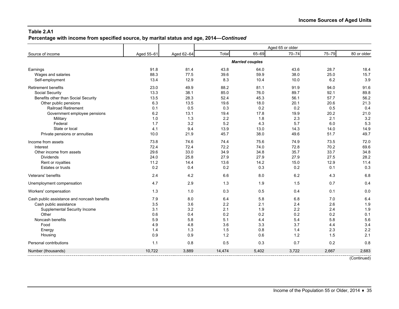**Percentage with income from specified source, by marital status and age, 2014—***Continued*

|                                             |            |            |        |                        | Aged 65 or older |       |             |
|---------------------------------------------|------------|------------|--------|------------------------|------------------|-------|-------------|
| Source of income                            | Aged 55-61 | Aged 62-64 | Total  | 65-69                  | $70 - 74$        | 75-79 | 80 or older |
|                                             |            |            |        | <b>Married couples</b> |                  |       |             |
| Earnings                                    | 91.8       | 81.4       | 43.8   | 64.0                   | 43.6             | 28.7  | 18.4        |
| Wages and salaries                          | 88.3       | 77.5       | 39.6   | 59.9                   | 38.0             | 25.0  | 15.7        |
| Self-employment                             | 13.4       | 12.9       | 8.3    | 10.4                   | 10.0             | 6.2   | 3.9         |
| <b>Retirement benefits</b>                  | 23.0       | 49.9       | 88.2   | 81.1                   | 91.9             | 94.0  | 91.6        |
| Social Security                             | 13.3       | 38.1       | 85.0   | 76.0                   | 89.7             | 92.1  | 89.8        |
| Benefits other than Social Security         | 13.5       | 28.3       | 52.4   | 45.3                   | 56.1             | 57.7  | 56.2        |
| Other public pensions                       | 6.3        | 13.5       | 19.6   | 18.0                   | 20.1             | 20.6  | 21.3        |
| Railroad Retirement                         | 0.1        | 0.5        | 0.3    | 0.2                    | 0.2              | 0.5   | 0.4         |
| Government employee pensions                | 6.2        | 13.1       | 19.4   | 17.8                   | 19.9             | 20.2  | 21.0        |
| Military                                    | 1.0        | 1.3        | 2.2    | 1.8                    | 2.3              | 2.1   | 3.2         |
| Federal                                     | 1.7        | 3.2        | 5.2    | 4.3                    | 5.7              | 6.0   | 5.3         |
| State or local                              | 4.1        | 9.4        | 13.9   | 13.0                   | 14.3             | 14.0  | 14.9        |
| Private pensions or annuities               | 10.0       | 21.9       | 45.7   | 38.0                   | 49.6             | 51.7  | 49.7        |
| Income from assets                          | 73.8       | 74.6       | 74.4   | 75.6                   | 74.9             | 73.5  | 72.0        |
| Interest                                    | 72.4       | 72.4       | 72.2   | 74.0                   | 72.8             | 70.2  | 69.6        |
| Other income from assets                    | 29.6       | 33.0       | 34.9   | 34.8                   | 35.7             | 33.7  | 34.8        |
| <b>Dividends</b>                            | 24.0       | 25.8       | 27.9   | 27.9                   | 27.9             | 27.5  | 28.2        |
| Rent or royalties                           | 11.2       | 14.4       | 13.6   | 14.2                   | 15.0             | 12.9  | 11.4        |
| Estates or trusts                           | 0.2        | 0.4        | 0.2    | 0.3                    | 0.2              | 0.1   | 0.3         |
| Veterans' benefits                          | 2.4        | 4.2        | 6.6    | 8.0                    | 6.2              | 4.3   | 6.8         |
| Unemployment compensation                   | 4.7        | 2.9        | 1.3    | 1.9                    | 1.5              | 0.7   | 0.4         |
| Workers' compensation                       | 1.3        | 1.0        | 0.3    | 0.5                    | 0.4              | 0.1   | 0.0         |
| Cash public assistance and noncash benefits | 7.9        | 8.0        | 6.4    | 5.8                    | 6.8              | 7.0   | 6.4         |
| Cash public assistance                      | 3.5        | 3.6        | 2.2    | 2.1                    | 2.4              | 2.6   | 1.9         |
| Supplemental Security Income                | 3.1        | 3.2        | 2.1    | 1.9                    | $2.2\,$          | 2.4   | 1.9         |
| Other                                       | 0.6        | 0.4        | 0.2    | 0.2                    | 0.2              | 0.2   | 0.1         |
| Noncash benefits                            | 5.9        | 5.8        | 5.1    | 4.4                    | 5.4              | 5.8   | 5.6         |
| Food                                        | 4.9        | 4.8        | 3.6    | 3.3                    | 3.7              | 4.4   | 3.4         |
| Energy                                      | 1.4        | 1.3        | 1.5    | 0.8                    | 1.4              | 2.3   | 2.2         |
| Housing                                     | 0.9        | 0.9        | 1.2    | 0.6                    | $1.2$            | 1.5   | 2.1         |
| Personal contributions                      | 1.1        | 0.8        | 0.5    | 0.3                    | 0.7              | 0.2   | 0.8         |
| Number (thousands)                          | 10,722     | 3,889      | 14,474 | 5,402                  | 3,722            | 2,667 | 2,683       |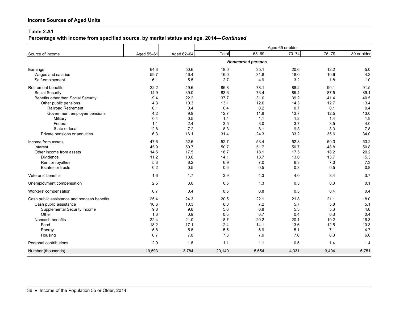**Percentage with income from specified source, by marital status and age, 2014—***Continued*

|                                             |            |            |        |                           | Aged 65 or older |       |             |
|---------------------------------------------|------------|------------|--------|---------------------------|------------------|-------|-------------|
| Source of income                            | Aged 55-61 | Aged 62-64 | Total  | 65-69                     | $70 - 74$        | 75-79 | 80 or older |
|                                             |            |            |        | <b>Nonmarried persons</b> |                  |       |             |
| Earnings                                    | 64.3       | 50.6       | 18.0   | 35.1                      | 20.6             | 12.2  | 5.0         |
| Wages and salaries                          | 59.7       | 46.4       | 16.0   | 31.8                      | 18.0             | 10.6  | 4.2         |
| Self-employment                             | 6.1        | 5.5        | 2.7    | 4.9                       | 3.2              | 1.8   | 1.0         |
| <b>Retirement benefits</b>                  | 22.2       | 49.6       | 86.8   | 78.1                      | 88.2             | 90.1  | 91.5        |
| Social Security                             | 14.9       | 39.0       | 83.6   | 73.4                      | 85.4             | 87.5  | 89.1        |
| Benefits other than Social Security         | 9.4        | 22.2       | 37.7   | 31.0                      | 39.2             | 41.4  | 40.5        |
| Other public pensions                       | 4.3        | 10.3       | 13.1   | 12.0                      | 14.3             | 12.7  | 13.4        |
| <b>Railroad Retirement</b>                  | 0.1        | 0.4        | 0.4    | 0.2                       | 0.7              | 0.1   | 0.4         |
| Government employee pensions                | 4.2        | 9.9        | 12.7   | 11.8                      | 13.7             | 12.5  | 13.0        |
| Military                                    | 0.4        | 0.5        | 1.4    | 1.1                       | 1.2              | 1.4   | 1.9         |
| Federal                                     | 1.1        | 2.4        | 3.5    | 3.0                       | 3.7              | 3.5   | 4.0         |
| State or local                              | 2.8        | 7.2        | 8.3    | 8.1                       | 9.3              | 8.3   | 7.8         |
| Private pensions or annuities               | 6.3        | 16.1       | 31.4   | 24.3                      | 33.2             | 35.6  | 34.0        |
| Income from assets                          | 47.6       | 52.6       | 52.7   | 53.4                      | 52.8             | 50.3  | 53.2        |
| Interest                                    | 45.9       | 50.7       | 50.7   | 51.7                      | 50.7             | 48.8  | 50.8        |
| Other income from assets                    | 14.5       | 17.5       | 18.7   | 18.1                      | 17.5             | 18.2  | 20.2        |
| <b>Dividends</b>                            | 11.2       | 13.6       | 14.1   | 13.7                      | 13.0             | 13.7  | 15.3        |
| Rent or royalties                           | 5.3        | 6.2        | 6.9    | 7.0                       | 6.3              | 7.0   | 7.3         |
| <b>Estates or trusts</b>                    | 0.2        | 0.5        | 0.6    | 0.5                       | 0.3              | 0.5   | 0.8         |
| Veterans' benefits                          | 1.6        | 1.7        | 3.9    | 4.3                       | 4.0              | 3.4   | 3.7         |
| Unemployment compensation                   | 2.5        | 3.0        | 0.5    | 1.3                       | 0.3              | 0.3   | 0.1         |
| Workers' compensation                       | 0.7        | 0.4        | 0.5    | 0.8                       | 0.3              | 0.4   | 0.4         |
| Cash public assistance and noncash benefits | 25.4       | 24.3       | 20.5   | 22.1                      | 21.8             | 21.1  | 18.0        |
| Cash public assistance                      | 10.6       | 10.3       | 6.0    | 7.2                       | 5.7              | 5.8   | 5.1         |
| Supplemental Security Income                | 9.8        | 9.8        | 5.6    | 6.8                       | 5.3              | 5.6   | 4.8         |
| Other                                       | 1.3        | 0.9        | 0.5    | 0.7                       | 0.4              | 0.3   | 0.4         |
| Noncash benefits                            | 22.4       | 21.0       | 18.7   | 20.2                      | 20.1             | 19.2  | 16.3        |
| Food                                        | 18.2       | 17.1       | 12.4   | 14.1                      | 13.6             | 12.5  | 10.3        |
| Energy                                      | 5.8        | 5.8        | 5.5    | 5.9                       | 5.1              | 7.1   | 4.7         |
| Housing                                     | 6.7        | 7.0        | 7.3    | 7.9                       | 7.6              | 8.3   | 6.0         |
| Personal contributions                      | 2.9        | 1.8        | 1.1    | 1.1                       | 0.5              | 1.4   | 1.4         |
| Number (thousands)                          | 10,593     | 3,784      | 20,140 | 5,654                     | 4,331            | 3.404 | 6,751       |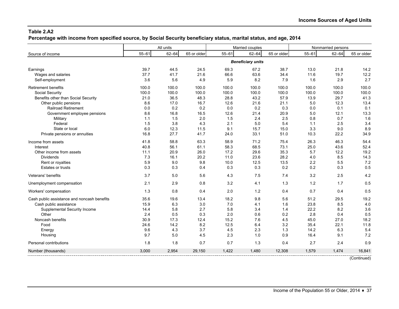**Percentage with income from specified source, by Social Security beneficiary status, marital status, and age, 2014**

|                                             | All units |           |             |           | Married couples          | Nonmarried persons |           |           |             |
|---------------------------------------------|-----------|-----------|-------------|-----------|--------------------------|--------------------|-----------|-----------|-------------|
| Source of income                            | $55 - 61$ | $62 - 64$ | 65 or older | $55 - 61$ | $62 - 64$                | 65 or older        | $55 - 61$ | $62 - 64$ | 65 or older |
|                                             |           |           |             |           | <b>Beneficiary units</b> |                    |           |           |             |
| Earnings                                    | 39.7      | 44.5      | 24.5        | 69.3      | 67.2                     | 38.7               | 13.0      | 21.8      | 14.2        |
| Wages and salaries                          | 37.7      | 41.7      | 21.6        | 66.6      | 63.6                     | 34.4               | 11.6      | 19.7      | 12.2        |
| Self-employment                             | 3.6       | 5.6       | 4.9         | 5.9       | 8.2                      | 79                 | 1.6       | 2.9       | 2.7         |
| <b>Retirement benefits</b>                  | 100.0     | 100.0     | 100.0       | 100.0     | 100.0                    | 100.0              | 100.0     | 100.0     | 100.0       |
| Social Security                             | 100.0     | 100.0     | 100.0       | 100.0     | 100.0                    | 100.0              | 100.0     | 100.0     | 100.0       |
| Benefits other than Social Security         | 21.0      | 36.5      | 48.3        | 28.8      | 43.2                     | 57.9               | 13.9      | 29.7      | 41.3        |
| Other public pensions                       | 8.6       | 17.0      | 16.7        | 12.6      | 21.6                     | 21.1               | 5.0       | 12.3      | 13.4        |
| Railroad Retirement                         | 0.0       | 0.2       | 0.2         | 0.0       | 0.2                      | 0.3                | 0.0       | 0.1       | 0.1         |
| Government employee pensions                | 8.6       | 16.8      | 16.5        | 12.6      | 21.4                     | 20.9               | 5.0       | 12.1      | 13.3        |
| Military                                    | 1.1       | 1.5       | 2.0         | 1.5       | 2.4                      | 2.5                | 0.8       | 0.7       | 1.6         |
| Federal                                     | 1.5       | 3.8       | 4.3         | 2.1       | $5.0\,$                  | 5.4                | $1.1$     | 2.5       | 3.4         |
| State or local                              | 6.0       | 12.3      | 11.5        | 9.1       | 15.7                     | 15.0               | 3.3       | 9.0       | 8.9         |
| Private pensions or annuities               | 16.8      | 27.7      | 41.7        | 24.0      | 33.1                     | 51.0               | 10.3      | 22.2      | 34.9        |
| Income from assets                          | 41.8      | 58.8      | 63.3        | 58.9      | 71.2                     | 75.4               | 26.3      | 46.3      | 54.4        |
| Interest                                    | 40.8      | 56.1      | 61.1        | 58.3      | 68.5                     | 73.1               | 25.0      | 43.6      | 52.4        |
| Other income from assets                    | 11.1      | 20.9      | 26.0        | 17.2      | 29.6                     | 35.3               | 5.7       | 12.2      | 19.2        |
| <b>Dividends</b>                            | 7.3       | 16.1      | 20.2        | 11.0      | 23.6                     | 28.2               | 4.0       | 8.5       | 14.3        |
| Rent or royalties                           | 5.9       | 9.0       | 9.8         | 10.0      | 12.5                     | 13.5               | 2.2       | 5.5       | 7.2         |
| <b>Estates or trusts</b>                    | 0.3       | 0.3       | 0.4         | 0.3       | 0.3                      | 0.2                | 0.2       | 0.3       | 0.5         |
| Veterans' benefits                          | 3.7       | 5.0       | 5.6         | 4.3       | 7.5                      | 7.4                | 3.2       | 25        | 4.2         |
| Unemployment compensation                   | 2.1       | 2.9       | 0.8         | 3.2       | 4.1                      | 1.3                | 1.2       | 1.7       | 0.5         |
| Workers' compensation                       | 1.3       | 0.8       | 0.4         | 2.0       | 1.2                      | 0.4                | 0.7       | 0.4       | 0.5         |
| Cash public assistance and noncash benefits | 35.6      | 19.6      | 13.4        | 18.2      | 9.8                      | 5.6                | 51.2      | 29.5      | 19.2        |
| Cash public assistance                      | 15.9      | 6.3       | 3.0         | 7.0       | 4.1                      | 1.6                | 23.8      | 8.5       | 4.0         |
| Supplemental Security Income                | 14.4      | 5.8       | 2.7         | 5.8       | 3.4                      | 1.4                | 22.2      | 8.2       | 3.6         |
| Other                                       | 2.4       | 0.5       | 0.3         | 2.0       | 0.6                      | 0.2                | 2.8       | 0.4       | 0.5         |
| Noncash benefits                            | 30.9      | 17.3      | 12.4        | 15.2      | 7.6                      | 4.5                | 45.0      | 27.0      | 18.2        |
| Food                                        | 24.6      | 14.2      | 8.2         | 12.5      | 6.4                      | 3.2                | 35.4      | 22.1      | 11.8        |
| Energy                                      | 9.6       | 4.3       | 3.7         | 4.5       | 2.3                      | 1.3                | 14.2      | 6.3       | 5.4         |
| Housing                                     | 9.7       | 5.0       | 4.5         | 2.3       | 1.0                      | 0.9                | 16.4      | 9.1       | 7.2         |
| Personal contributions                      | 1.8       | 1.8       | 0.7         | 0.7       | 1.3                      | 0.4                | 2.7       | 2.4       | 0.9         |
| Number (thousands)                          | 3,000     | 2,954     | 29,150      | 1,422     | 1.480                    | 12,308             | 1,579     | 1.474     | 16.841      |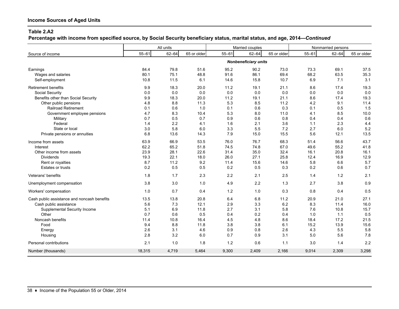**Percentage with income from specified source, by Social Security beneficiary status, marital status, and age, 2014—***Continued*

|                                             | All units |           |             |           | Married couples             |             | Nonmarried persons |           |             |  |
|---------------------------------------------|-----------|-----------|-------------|-----------|-----------------------------|-------------|--------------------|-----------|-------------|--|
| Source of income                            | $55 - 61$ | $62 - 64$ | 65 or older | $55 - 61$ | $62 - 64$                   | 65 or older | $55 - 61$          | $62 - 64$ | 65 or older |  |
|                                             |           |           |             |           | <b>Nonbeneficiary units</b> |             |                    |           |             |  |
| Earnings                                    | 84.4      | 79.8      | 51.6        | 95.2      | 90.2                        | 73.0        | 73.3               | 69.1      | 37.5        |  |
| Wages and salaries                          | 80.1      | 75.1      | 48.8        | 91.6      | 86.1                        | 69.4        | 68.2               | 63.5      | 35.3        |  |
| Self-employment                             | 10.8      | 11.5      | 6.1         | 14.6      | 15.8                        | 10.7        | 6.9                | 7.1       | 3.1         |  |
| <b>Retirement benefits</b>                  | 9.9       | 18.3      | 20.0        | 11.2      | 19.1                        | 21.1        | 8.6                | 17.4      | 19.3        |  |
| Social Security                             | 0.0       | 0.0       | 0.0         | 0.0       | 0.0                         | 0.0         | 0.0                | 0.0       | 0.0         |  |
| Benefits other than Social Security         | 9.9       | 18.3      | 20.0        | 11.2      | 19.1                        | 21.1        | 8.6                | 17.4      | 19.3        |  |
| Other public pensions                       | 4.8       | 8.8       | 11.3        | 5.3       | 8.5                         | 11.2        | 4.2                | 9.1       | 11.4        |  |
| <b>Railroad Retirement</b>                  | 0.1       | 0.6       | 1.0         | 0.1       | 0.6                         | 0.3         | 0.1                | 0.5       | 1.5         |  |
| Government employee pensions                | 4.7       | 8.3       | 10.4        | 5.3       | 8.0                         | 11.0        | 4.1                | 8.5       | 10.0        |  |
| Military                                    | 0.7       | 0.5       | 0.7         | 0.9       | 0.6                         | 0.8         | 0.4                | 0.4       | 0.6         |  |
| Federal                                     | 1.4       | 2.2       | 4.1         | 1.6       | 2.1                         | 3.6         | 1.1                | 2.3       | 4.4         |  |
| State or local                              | 3.0       | 5.8       | 6.0         | 3.3       | 5.5                         | 7.2         | 2.7                | 6.0       | 5.2         |  |
| Private pensions or annuities               | 6.8       | 13.6      | 14.3        | 7.9       | 15.0                        | 15.5        | 5.6                | 12.1      | 13.5        |  |
| Income from assets                          | 63.9      | 66.9      | 53.5        | 76.0      | 76.7                        | 68.3        | 51.4               | 56.6      | 43.7        |  |
| Interest                                    | 62.2      | 65.2      | 51.8        | 74.5      | 74.8                        | 67.0        | 49.6               | 55.2      | 41.8        |  |
| Other income from assets                    | 23.9      | 28.1      | 22.6        | 31.4      | 35.0                        | 32.4        | 16.1               | 20.8      | 16.1        |  |
| <b>Dividends</b>                            | 19.3      | 22.1      | 18.0        | 26.0      | 27.1                        | 25.8        | 12.4               | 16.9      | 12.9        |  |
| Rent or royalties                           | 8.7       | 11.2      | 9.2         | 11.4      | 15.6                        | 14.6        | 5.8                | 6.6       | 5.7         |  |
| <b>Estates or trusts</b>                    | $0.2\,$   | 0.5       | 0.5         | 0.2       | 0.5                         | 0.3         | 0.2                | 0.6       | 0.7         |  |
| Veterans' benefits                          | 1.8       | 1.7       | 2.3         | 2.2       | 2.1                         | 2.5         | 1.4                | $1.2$     | 2.1         |  |
| Unemployment compensation                   | 3.8       | 3.0       | 1.0         | 4.9       | 2.2                         | 1.3         | 2.7                | 3.8       | 0.9         |  |
| Workers' compensation                       | 1.0       | 0.7       | 0.4         | 1.2       | 1.0                         | 0.3         | 0.8                | 0.4       | 0.5         |  |
| Cash public assistance and noncash benefits | 13.5      | 13.8      | 20.8        | 6.4       | 6.8                         | 11.2        | 20.9               | 21.0      | 27.1        |  |
| Cash public assistance                      | 5.6       | 7.3       | 12.1        | 2.9       | 3.3                         | 6.2         | 8.3                | 11.4      | 16.0        |  |
| Supplemental Security Income                | 5.1       | 6.9       | 11.8        | 2.7       | 3.1                         | 5.8         | 7.6                | 10.8      | 15.7        |  |
| Other                                       | 0.7       | 0.6       | 0.5         | 0.4       | 0.2                         | 0.4         | 1.0                | 1.1       | 0.5         |  |
| Noncash benefits                            | 11.4      | 10.8      | 16.4        | 4.5       | 4.8                         | 8.6         | 18.4               | 17.2      | 21.5        |  |
| Food                                        | 9.4       | 8.8       | 11.8        | 3.8       | 3.8                         | 6.1         | 15.2               | 13.9      | 15.6        |  |
| Energy                                      | 2.6       | 3.1       | 4.6         | 0.9       | 0.8                         | 2.6         | 4.3                | 5.5       | 5.8         |  |
| Housing                                     | 2.8       | 3.2       | 6.0         | 0.7       | 0.9                         | 3.1         | 5.0                | 5.6       | 7.8         |  |
| Personal contributions                      | 2.1       | 1.0       | 1.8         | 1.2       | 0.6                         | 1.1         | 3.0                | 1.4       | 2.2         |  |
| Number (thousands)                          | 18,315    | 4,719     | 5.464       | 9,300     | 2.409                       | 2,166       | 9,014              | 2,309     | 3,298       |  |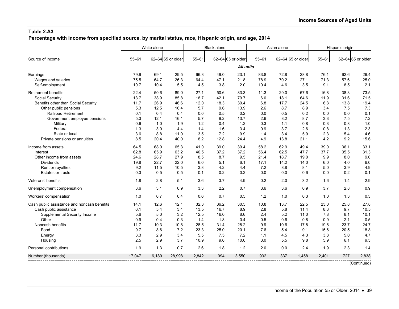**Percentage with income from specified source, by marital status, race, Hispanic origin, and age, 2014**

| $55 - 61$<br>62-64 65 or older<br>$55 - 61$<br>62-64 65 or older<br>$55 - 61$<br>$55 - 61$<br>62-64 65 or older<br>62-64 65 or older<br>Source of income<br>All units<br>79.9<br>69.1<br>66.3<br>83.8<br>72.8<br>28.8<br>76.1<br>62.6<br>29.5<br>49.0<br>23.1<br>Earnings<br>70.2<br>75.5<br>64.7<br>26.3<br>64.4<br>47.1<br>21.8<br>78.9<br>27.1<br>71.3<br>57.6<br>Wages and salaries<br>10.7<br>2.0<br>4.6<br>3.5<br>8.5<br>Self-employment<br>10.4<br>5.5<br>4.5<br>3.8<br>10.4<br>9.1<br>83.3<br>67.6<br>38.3<br><b>Retirement benefits</b><br>22.4<br>50.6<br>89.0<br>27.1<br>50.6<br>11.3<br>29.0<br>16.8<br>Social Security<br>13.7<br>38.9<br>85.8<br>18.7<br>42.1<br>79.7<br>6.0<br>18.1<br>64.6<br>11.9<br>31.6<br>12.0<br>30.4<br>6.8<br>17.7<br>6.3<br>13.8<br>Benefits other than Social Security<br>11.7<br>26.9<br>46.6<br>18.3<br>24.5<br>5.3<br>5.7<br>9.6<br>2.6<br>8.7<br>8.9<br>7.5<br>Other public pensions<br>12.5<br>16.4<br>13.9<br>3.4<br>0.1<br>0.4<br>0.4<br>0.0<br>0.5<br>0.2<br>0.0<br>0.5<br>0.2<br>0.0<br>0.0<br><b>Railroad Retirement</b><br>5.3<br>12.1<br>5.7<br>9.2<br>13.7<br>2.6<br>8.2<br>8.7<br>3.3<br>7.5<br>Government employee pensions<br>16.1<br>0.8<br>0.6<br>1.0<br>1.9<br>1.2<br>1.2<br>0.3<br>1.1<br>0.8<br>0.3<br>Military<br>0.4<br>Federal<br>1.3<br>1.3<br>3.0<br>4.4<br>1.4<br>1.6<br>3.4<br>0.9<br>3.7<br>2.6<br>0.8<br>3.6<br>8.8<br>11.0<br>3.5<br>7.2<br>9.9<br>1.4<br>3.4<br>5.9<br>2.3<br>5.4<br>State or local<br>8.5<br>8.2<br>12.8<br>4.9<br>4.2<br>9.2<br>20.4<br>40.0<br>24.4<br>13.8<br>21.1<br>Private pensions or annuities<br>64.5<br>68.0<br>65.3<br>41.0<br>39.0<br>39.4<br>58.2<br>62.9<br>49.4<br>39.0<br>36.1<br>Income from assets<br>63.2<br>37.2<br>56.4<br>62.5<br>47.7<br>37.7<br>35.5<br>62.8<br>65.9<br>40.5<br>37.2<br>Interest<br>8.5<br>Other income from assets<br>24.6<br>28.7<br>27.9<br>8.7<br>9.5<br>21.4<br>18.7<br>19.0<br>9.9<br>8.0<br>22.7<br>6.0<br>14.2<br>4.0<br><b>Dividends</b><br>19.8<br>22.0<br>5.1<br>6.1<br>17.1<br>14.0<br>6.0<br>9.2<br>11.5<br>10.5<br>3.8<br>4.2<br>7.2<br>8.8<br>3.9<br>4.4<br>8.1<br>5.0<br>Rent or royalties<br>0.3<br>0.5<br>0.2<br>0.2<br>0.0<br>0.0<br>0.2<br><b>Estates or trusts</b><br>0.5<br>0.1<br>0.0<br>0.6<br>2.8<br>3.7<br>0.2<br>3.2<br>Veterans' benefits<br>1.8<br>5.1<br>3.6<br>4.9<br>2.0<br>1.6<br>1.4<br>0.9<br>3.3<br>2.2<br>3.6<br>3.6<br>0.9<br>2.8<br>Unemployment compensation<br>3.6<br>3.1<br>0.7<br>3.7<br>1.3<br>1.0<br>0.7<br>0.4<br>0.6<br>0.7<br>0.5<br>1.2<br>1.0<br>0.3<br>1.0<br>Workers' compensation<br>12.6<br>32.3<br>36.2<br>30.5<br>13.7<br>22.5<br>23.0<br>25.8<br>Cash public assistance and noncash benefits<br>14.1<br>12.1<br>10.8<br>2.8<br>5.8<br>9.7<br>Cash public assistance<br>6.1<br>5.4<br>3.4<br>13.5<br>16.7<br>8.9<br>11.4<br>8.3<br>5.6<br>3.2<br>12.5<br>5.2<br>8.1<br>5.0<br>16.0<br>8.6<br>2.4<br>11.0<br>7.8<br>Supplemental Security Income<br>Other<br>0.9<br>0.3<br>0.5<br>0.6<br>0.9<br>2.1<br>0.4<br>1.4<br>1.8<br>0.4<br>0.8<br>Noncash benefits<br>11.7<br>10.8<br>9.9<br>10.6<br>17.8<br>19.6<br>23.7<br>10.3<br>28.5<br>31.4<br>28.2 | White alone |  |  | <b>Black alone</b> |  | Asian alone | Hispanic origin |  |       |
|--------------------------------------------------------------------------------------------------------------------------------------------------------------------------------------------------------------------------------------------------------------------------------------------------------------------------------------------------------------------------------------------------------------------------------------------------------------------------------------------------------------------------------------------------------------------------------------------------------------------------------------------------------------------------------------------------------------------------------------------------------------------------------------------------------------------------------------------------------------------------------------------------------------------------------------------------------------------------------------------------------------------------------------------------------------------------------------------------------------------------------------------------------------------------------------------------------------------------------------------------------------------------------------------------------------------------------------------------------------------------------------------------------------------------------------------------------------------------------------------------------------------------------------------------------------------------------------------------------------------------------------------------------------------------------------------------------------------------------------------------------------------------------------------------------------------------------------------------------------------------------------------------------------------------------------------------------------------------------------------------------------------------------------------------------------------------------------------------------------------------------------------------------------------------------------------------------------------------------------------------------------------------------------------------------------------------------------------------------------------------------------------------------------------------------------------------------------------------------------------------------------------------------------------------------------------------------------------------------------------------------------------------------------------------------------------------------------------------------------------------------------------------------------------------------------------------------------------------------------------------------------------------------------------------------------------------------------------------------------------------------------------------------------------------------------------------------------------------------------------------------------------|-------------|--|--|--------------------|--|-------------|-----------------|--|-------|
|                                                                                                                                                                                                                                                                                                                                                                                                                                                                                                                                                                                                                                                                                                                                                                                                                                                                                                                                                                                                                                                                                                                                                                                                                                                                                                                                                                                                                                                                                                                                                                                                                                                                                                                                                                                                                                                                                                                                                                                                                                                                                                                                                                                                                                                                                                                                                                                                                                                                                                                                                                                                                                                                                                                                                                                                                                                                                                                                                                                                                                                                                                                                            |             |  |  |                    |  |             |                 |  |       |
|                                                                                                                                                                                                                                                                                                                                                                                                                                                                                                                                                                                                                                                                                                                                                                                                                                                                                                                                                                                                                                                                                                                                                                                                                                                                                                                                                                                                                                                                                                                                                                                                                                                                                                                                                                                                                                                                                                                                                                                                                                                                                                                                                                                                                                                                                                                                                                                                                                                                                                                                                                                                                                                                                                                                                                                                                                                                                                                                                                                                                                                                                                                                            |             |  |  |                    |  |             |                 |  |       |
|                                                                                                                                                                                                                                                                                                                                                                                                                                                                                                                                                                                                                                                                                                                                                                                                                                                                                                                                                                                                                                                                                                                                                                                                                                                                                                                                                                                                                                                                                                                                                                                                                                                                                                                                                                                                                                                                                                                                                                                                                                                                                                                                                                                                                                                                                                                                                                                                                                                                                                                                                                                                                                                                                                                                                                                                                                                                                                                                                                                                                                                                                                                                            |             |  |  |                    |  |             |                 |  | 26.4  |
|                                                                                                                                                                                                                                                                                                                                                                                                                                                                                                                                                                                                                                                                                                                                                                                                                                                                                                                                                                                                                                                                                                                                                                                                                                                                                                                                                                                                                                                                                                                                                                                                                                                                                                                                                                                                                                                                                                                                                                                                                                                                                                                                                                                                                                                                                                                                                                                                                                                                                                                                                                                                                                                                                                                                                                                                                                                                                                                                                                                                                                                                                                                                            |             |  |  |                    |  |             |                 |  | 25.0  |
|                                                                                                                                                                                                                                                                                                                                                                                                                                                                                                                                                                                                                                                                                                                                                                                                                                                                                                                                                                                                                                                                                                                                                                                                                                                                                                                                                                                                                                                                                                                                                                                                                                                                                                                                                                                                                                                                                                                                                                                                                                                                                                                                                                                                                                                                                                                                                                                                                                                                                                                                                                                                                                                                                                                                                                                                                                                                                                                                                                                                                                                                                                                                            |             |  |  |                    |  |             |                 |  | 2.1   |
|                                                                                                                                                                                                                                                                                                                                                                                                                                                                                                                                                                                                                                                                                                                                                                                                                                                                                                                                                                                                                                                                                                                                                                                                                                                                                                                                                                                                                                                                                                                                                                                                                                                                                                                                                                                                                                                                                                                                                                                                                                                                                                                                                                                                                                                                                                                                                                                                                                                                                                                                                                                                                                                                                                                                                                                                                                                                                                                                                                                                                                                                                                                                            |             |  |  |                    |  |             |                 |  | 73.5  |
|                                                                                                                                                                                                                                                                                                                                                                                                                                                                                                                                                                                                                                                                                                                                                                                                                                                                                                                                                                                                                                                                                                                                                                                                                                                                                                                                                                                                                                                                                                                                                                                                                                                                                                                                                                                                                                                                                                                                                                                                                                                                                                                                                                                                                                                                                                                                                                                                                                                                                                                                                                                                                                                                                                                                                                                                                                                                                                                                                                                                                                                                                                                                            |             |  |  |                    |  |             |                 |  | 71.5  |
|                                                                                                                                                                                                                                                                                                                                                                                                                                                                                                                                                                                                                                                                                                                                                                                                                                                                                                                                                                                                                                                                                                                                                                                                                                                                                                                                                                                                                                                                                                                                                                                                                                                                                                                                                                                                                                                                                                                                                                                                                                                                                                                                                                                                                                                                                                                                                                                                                                                                                                                                                                                                                                                                                                                                                                                                                                                                                                                                                                                                                                                                                                                                            |             |  |  |                    |  |             |                 |  | 19.4  |
|                                                                                                                                                                                                                                                                                                                                                                                                                                                                                                                                                                                                                                                                                                                                                                                                                                                                                                                                                                                                                                                                                                                                                                                                                                                                                                                                                                                                                                                                                                                                                                                                                                                                                                                                                                                                                                                                                                                                                                                                                                                                                                                                                                                                                                                                                                                                                                                                                                                                                                                                                                                                                                                                                                                                                                                                                                                                                                                                                                                                                                                                                                                                            |             |  |  |                    |  |             |                 |  | 7.3   |
|                                                                                                                                                                                                                                                                                                                                                                                                                                                                                                                                                                                                                                                                                                                                                                                                                                                                                                                                                                                                                                                                                                                                                                                                                                                                                                                                                                                                                                                                                                                                                                                                                                                                                                                                                                                                                                                                                                                                                                                                                                                                                                                                                                                                                                                                                                                                                                                                                                                                                                                                                                                                                                                                                                                                                                                                                                                                                                                                                                                                                                                                                                                                            |             |  |  |                    |  |             |                 |  | 0.1   |
|                                                                                                                                                                                                                                                                                                                                                                                                                                                                                                                                                                                                                                                                                                                                                                                                                                                                                                                                                                                                                                                                                                                                                                                                                                                                                                                                                                                                                                                                                                                                                                                                                                                                                                                                                                                                                                                                                                                                                                                                                                                                                                                                                                                                                                                                                                                                                                                                                                                                                                                                                                                                                                                                                                                                                                                                                                                                                                                                                                                                                                                                                                                                            |             |  |  |                    |  |             |                 |  | 7.2   |
|                                                                                                                                                                                                                                                                                                                                                                                                                                                                                                                                                                                                                                                                                                                                                                                                                                                                                                                                                                                                                                                                                                                                                                                                                                                                                                                                                                                                                                                                                                                                                                                                                                                                                                                                                                                                                                                                                                                                                                                                                                                                                                                                                                                                                                                                                                                                                                                                                                                                                                                                                                                                                                                                                                                                                                                                                                                                                                                                                                                                                                                                                                                                            |             |  |  |                    |  |             |                 |  | 1.0   |
|                                                                                                                                                                                                                                                                                                                                                                                                                                                                                                                                                                                                                                                                                                                                                                                                                                                                                                                                                                                                                                                                                                                                                                                                                                                                                                                                                                                                                                                                                                                                                                                                                                                                                                                                                                                                                                                                                                                                                                                                                                                                                                                                                                                                                                                                                                                                                                                                                                                                                                                                                                                                                                                                                                                                                                                                                                                                                                                                                                                                                                                                                                                                            |             |  |  |                    |  |             |                 |  | 2.3   |
|                                                                                                                                                                                                                                                                                                                                                                                                                                                                                                                                                                                                                                                                                                                                                                                                                                                                                                                                                                                                                                                                                                                                                                                                                                                                                                                                                                                                                                                                                                                                                                                                                                                                                                                                                                                                                                                                                                                                                                                                                                                                                                                                                                                                                                                                                                                                                                                                                                                                                                                                                                                                                                                                                                                                                                                                                                                                                                                                                                                                                                                                                                                                            |             |  |  |                    |  |             |                 |  | 4.6   |
|                                                                                                                                                                                                                                                                                                                                                                                                                                                                                                                                                                                                                                                                                                                                                                                                                                                                                                                                                                                                                                                                                                                                                                                                                                                                                                                                                                                                                                                                                                                                                                                                                                                                                                                                                                                                                                                                                                                                                                                                                                                                                                                                                                                                                                                                                                                                                                                                                                                                                                                                                                                                                                                                                                                                                                                                                                                                                                                                                                                                                                                                                                                                            |             |  |  |                    |  |             |                 |  | 15.6  |
|                                                                                                                                                                                                                                                                                                                                                                                                                                                                                                                                                                                                                                                                                                                                                                                                                                                                                                                                                                                                                                                                                                                                                                                                                                                                                                                                                                                                                                                                                                                                                                                                                                                                                                                                                                                                                                                                                                                                                                                                                                                                                                                                                                                                                                                                                                                                                                                                                                                                                                                                                                                                                                                                                                                                                                                                                                                                                                                                                                                                                                                                                                                                            |             |  |  |                    |  |             |                 |  | 33.1  |
|                                                                                                                                                                                                                                                                                                                                                                                                                                                                                                                                                                                                                                                                                                                                                                                                                                                                                                                                                                                                                                                                                                                                                                                                                                                                                                                                                                                                                                                                                                                                                                                                                                                                                                                                                                                                                                                                                                                                                                                                                                                                                                                                                                                                                                                                                                                                                                                                                                                                                                                                                                                                                                                                                                                                                                                                                                                                                                                                                                                                                                                                                                                                            |             |  |  |                    |  |             |                 |  | 31.3  |
|                                                                                                                                                                                                                                                                                                                                                                                                                                                                                                                                                                                                                                                                                                                                                                                                                                                                                                                                                                                                                                                                                                                                                                                                                                                                                                                                                                                                                                                                                                                                                                                                                                                                                                                                                                                                                                                                                                                                                                                                                                                                                                                                                                                                                                                                                                                                                                                                                                                                                                                                                                                                                                                                                                                                                                                                                                                                                                                                                                                                                                                                                                                                            |             |  |  |                    |  |             |                 |  | 9.6   |
|                                                                                                                                                                                                                                                                                                                                                                                                                                                                                                                                                                                                                                                                                                                                                                                                                                                                                                                                                                                                                                                                                                                                                                                                                                                                                                                                                                                                                                                                                                                                                                                                                                                                                                                                                                                                                                                                                                                                                                                                                                                                                                                                                                                                                                                                                                                                                                                                                                                                                                                                                                                                                                                                                                                                                                                                                                                                                                                                                                                                                                                                                                                                            |             |  |  |                    |  |             |                 |  | 6.0   |
|                                                                                                                                                                                                                                                                                                                                                                                                                                                                                                                                                                                                                                                                                                                                                                                                                                                                                                                                                                                                                                                                                                                                                                                                                                                                                                                                                                                                                                                                                                                                                                                                                                                                                                                                                                                                                                                                                                                                                                                                                                                                                                                                                                                                                                                                                                                                                                                                                                                                                                                                                                                                                                                                                                                                                                                                                                                                                                                                                                                                                                                                                                                                            |             |  |  |                    |  |             |                 |  | 4.9   |
|                                                                                                                                                                                                                                                                                                                                                                                                                                                                                                                                                                                                                                                                                                                                                                                                                                                                                                                                                                                                                                                                                                                                                                                                                                                                                                                                                                                                                                                                                                                                                                                                                                                                                                                                                                                                                                                                                                                                                                                                                                                                                                                                                                                                                                                                                                                                                                                                                                                                                                                                                                                                                                                                                                                                                                                                                                                                                                                                                                                                                                                                                                                                            |             |  |  |                    |  |             |                 |  | 0.1   |
|                                                                                                                                                                                                                                                                                                                                                                                                                                                                                                                                                                                                                                                                                                                                                                                                                                                                                                                                                                                                                                                                                                                                                                                                                                                                                                                                                                                                                                                                                                                                                                                                                                                                                                                                                                                                                                                                                                                                                                                                                                                                                                                                                                                                                                                                                                                                                                                                                                                                                                                                                                                                                                                                                                                                                                                                                                                                                                                                                                                                                                                                                                                                            |             |  |  |                    |  |             |                 |  | 2.9   |
|                                                                                                                                                                                                                                                                                                                                                                                                                                                                                                                                                                                                                                                                                                                                                                                                                                                                                                                                                                                                                                                                                                                                                                                                                                                                                                                                                                                                                                                                                                                                                                                                                                                                                                                                                                                                                                                                                                                                                                                                                                                                                                                                                                                                                                                                                                                                                                                                                                                                                                                                                                                                                                                                                                                                                                                                                                                                                                                                                                                                                                                                                                                                            |             |  |  |                    |  |             |                 |  | 0.9   |
|                                                                                                                                                                                                                                                                                                                                                                                                                                                                                                                                                                                                                                                                                                                                                                                                                                                                                                                                                                                                                                                                                                                                                                                                                                                                                                                                                                                                                                                                                                                                                                                                                                                                                                                                                                                                                                                                                                                                                                                                                                                                                                                                                                                                                                                                                                                                                                                                                                                                                                                                                                                                                                                                                                                                                                                                                                                                                                                                                                                                                                                                                                                                            |             |  |  |                    |  |             |                 |  | 0.3   |
|                                                                                                                                                                                                                                                                                                                                                                                                                                                                                                                                                                                                                                                                                                                                                                                                                                                                                                                                                                                                                                                                                                                                                                                                                                                                                                                                                                                                                                                                                                                                                                                                                                                                                                                                                                                                                                                                                                                                                                                                                                                                                                                                                                                                                                                                                                                                                                                                                                                                                                                                                                                                                                                                                                                                                                                                                                                                                                                                                                                                                                                                                                                                            |             |  |  |                    |  |             |                 |  | 27.8  |
|                                                                                                                                                                                                                                                                                                                                                                                                                                                                                                                                                                                                                                                                                                                                                                                                                                                                                                                                                                                                                                                                                                                                                                                                                                                                                                                                                                                                                                                                                                                                                                                                                                                                                                                                                                                                                                                                                                                                                                                                                                                                                                                                                                                                                                                                                                                                                                                                                                                                                                                                                                                                                                                                                                                                                                                                                                                                                                                                                                                                                                                                                                                                            |             |  |  |                    |  |             |                 |  | 10.5  |
|                                                                                                                                                                                                                                                                                                                                                                                                                                                                                                                                                                                                                                                                                                                                                                                                                                                                                                                                                                                                                                                                                                                                                                                                                                                                                                                                                                                                                                                                                                                                                                                                                                                                                                                                                                                                                                                                                                                                                                                                                                                                                                                                                                                                                                                                                                                                                                                                                                                                                                                                                                                                                                                                                                                                                                                                                                                                                                                                                                                                                                                                                                                                            |             |  |  |                    |  |             |                 |  | 10.1  |
|                                                                                                                                                                                                                                                                                                                                                                                                                                                                                                                                                                                                                                                                                                                                                                                                                                                                                                                                                                                                                                                                                                                                                                                                                                                                                                                                                                                                                                                                                                                                                                                                                                                                                                                                                                                                                                                                                                                                                                                                                                                                                                                                                                                                                                                                                                                                                                                                                                                                                                                                                                                                                                                                                                                                                                                                                                                                                                                                                                                                                                                                                                                                            |             |  |  |                    |  |             |                 |  | 0.5   |
|                                                                                                                                                                                                                                                                                                                                                                                                                                                                                                                                                                                                                                                                                                                                                                                                                                                                                                                                                                                                                                                                                                                                                                                                                                                                                                                                                                                                                                                                                                                                                                                                                                                                                                                                                                                                                                                                                                                                                                                                                                                                                                                                                                                                                                                                                                                                                                                                                                                                                                                                                                                                                                                                                                                                                                                                                                                                                                                                                                                                                                                                                                                                            |             |  |  |                    |  |             |                 |  | 24.7  |
| 9.7<br>8.6<br>7.2<br>23.3<br>25.0<br>20.1<br>7.6<br>5.4<br>9.1<br>20.5<br>Food<br>15.6                                                                                                                                                                                                                                                                                                                                                                                                                                                                                                                                                                                                                                                                                                                                                                                                                                                                                                                                                                                                                                                                                                                                                                                                                                                                                                                                                                                                                                                                                                                                                                                                                                                                                                                                                                                                                                                                                                                                                                                                                                                                                                                                                                                                                                                                                                                                                                                                                                                                                                                                                                                                                                                                                                                                                                                                                                                                                                                                                                                                                                                     |             |  |  |                    |  |             |                 |  | 18.8  |
| 3.3<br>2.9<br>3.4<br>5.5<br>7.2<br>5.0<br>7.5<br>1.1<br>4.5<br>4.3<br>3.8<br>Energy                                                                                                                                                                                                                                                                                                                                                                                                                                                                                                                                                                                                                                                                                                                                                                                                                                                                                                                                                                                                                                                                                                                                                                                                                                                                                                                                                                                                                                                                                                                                                                                                                                                                                                                                                                                                                                                                                                                                                                                                                                                                                                                                                                                                                                                                                                                                                                                                                                                                                                                                                                                                                                                                                                                                                                                                                                                                                                                                                                                                                                                        |             |  |  |                    |  |             |                 |  | 4.7   |
| 2.5<br>2.9<br>3.7<br>10.9<br>9.6<br>10.6<br>5.5<br>5.9<br>6.1<br>Housing<br>3.0<br>9.8                                                                                                                                                                                                                                                                                                                                                                                                                                                                                                                                                                                                                                                                                                                                                                                                                                                                                                                                                                                                                                                                                                                                                                                                                                                                                                                                                                                                                                                                                                                                                                                                                                                                                                                                                                                                                                                                                                                                                                                                                                                                                                                                                                                                                                                                                                                                                                                                                                                                                                                                                                                                                                                                                                                                                                                                                                                                                                                                                                                                                                                     |             |  |  |                    |  |             |                 |  | 9.5   |
| 1.9<br>2.6<br>1.2<br>2.3<br>1.3<br>0.7<br>1.8<br>2.0<br>0.0<br>2.4<br>1.9<br>Personal contributions                                                                                                                                                                                                                                                                                                                                                                                                                                                                                                                                                                                                                                                                                                                                                                                                                                                                                                                                                                                                                                                                                                                                                                                                                                                                                                                                                                                                                                                                                                                                                                                                                                                                                                                                                                                                                                                                                                                                                                                                                                                                                                                                                                                                                                                                                                                                                                                                                                                                                                                                                                                                                                                                                                                                                                                                                                                                                                                                                                                                                                        |             |  |  |                    |  |             |                 |  | 1.4   |
| 994<br>Number (thousands)<br>17.047<br>6.189<br>28,998<br>2.842<br>3.550<br>932<br>337<br>1.458<br>2.401<br>727                                                                                                                                                                                                                                                                                                                                                                                                                                                                                                                                                                                                                                                                                                                                                                                                                                                                                                                                                                                                                                                                                                                                                                                                                                                                                                                                                                                                                                                                                                                                                                                                                                                                                                                                                                                                                                                                                                                                                                                                                                                                                                                                                                                                                                                                                                                                                                                                                                                                                                                                                                                                                                                                                                                                                                                                                                                                                                                                                                                                                            |             |  |  |                    |  |             |                 |  | 2.838 |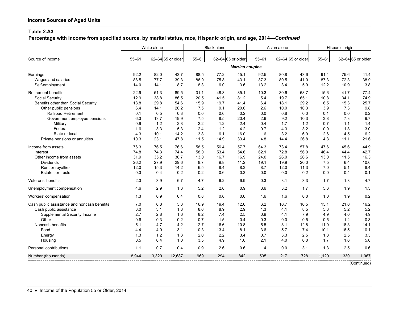**Percentage with income from specified source, by marital status, race, Hispanic origin, and age, 2014—***Continued*

| 62-64 65 or older<br>$55 - 61$<br>62-64 65 or older<br>$55 - 61$<br>$55 - 61$<br>62-64 65 or older<br>$55 - 61$<br>62-64 65 or older<br>Source of income<br><b>Married couples</b><br>92.2<br>82.0<br>43.7<br>88.5<br>77.2<br>45.1<br>92.5<br>80.8<br>43.6<br>91.4<br>75.6<br>41.4<br>Earnings<br>39.3<br>86.9<br>87.3<br>87.3<br>72.3<br>38.9<br>Wages and salaries<br>88.5<br>77.7<br>75.8<br>43.1<br>80.5<br>41.0<br>3.8<br>8.7<br>8.3<br>6.0<br>13.2<br>5.9<br>12.2<br>10.9<br>Self-employment<br>14.0<br>14.1<br>3.6<br>3.4<br>77.4<br><b>Retirement benefits</b><br>22.9<br>51.3<br>89.5<br>31.1<br>48.3<br>85.1<br>10.3<br>30.6<br>68.7<br>15.6<br>41.7<br>74.9<br>12.9<br>38.8<br>86.5<br>20.5<br>41.5<br>81.2<br>5.4<br>19.7<br>65.1<br>34.1<br>Social Security<br>10.8<br>Benefits other than Social Security<br>29.8<br>54.6<br>15.9<br>19.7<br>41.4<br>6.4<br>18.1<br>29.2<br>6.5<br>15.3<br>25.7<br>13.8<br>Other public pensions<br>14.1<br>20.2<br>7.5<br>9.1<br>20.6<br>2.6<br>10.0<br>10.3<br>3.9<br>7.3<br>9.8<br>6.4<br>0.2<br>0.3<br>$0.0\,$<br>0.2<br>0.8<br>0.0<br><b>Railroad Retirement</b><br>0.1<br>0.5<br>0.6<br>0.0<br>0.1<br>0.0<br>7.5<br>2.6<br>9.2<br>3.8<br>7.3<br>9.7<br>Government employee pensions<br>6.3<br>13.7<br>19.9<br>8.5<br>20.4<br>10.3<br>0.9<br>1.2<br>2.3<br>2.2<br>1.2<br>0.4<br>1.7<br>0.7<br>1.1<br>1.4<br>Military<br>2.4<br>1.2<br>Federal<br>5.3<br>1.6<br>3.3<br>2.4<br>1.2<br>4.2<br>0.7<br>4.3<br>3.2<br>0.9<br>1.8<br>3.0<br>6.2<br>State or local<br>14.2<br>3.8<br>6.1<br>6.9<br>2.6<br>4.5<br>4.3<br>10.1<br>16.0<br>1.6<br>3.2<br>47.8<br>4.8<br>4.3<br>11.1<br>21.6<br>Private pensions or annuities<br>10.3<br>23.1<br>11.5<br>14.9<br>33.4<br>14.4<br>26.8<br>44.9<br>Income from assets<br>76.3<br>76.5<br>76.6<br>58.5<br>57.7<br>64.3<br>73.4<br>57.8<br>47.6<br>45.6<br>56.4<br>74.3<br>74.4<br>58.0<br>62.1<br>72.8<br>56.0<br>46.4<br>44.4<br>42.7<br>74.8<br>53.4<br>54.6<br>Interest<br>16.3<br>31.9<br>35.2<br>36.7<br>13.0<br>16.7<br>24.0<br>26.0<br>26.6<br>11.5<br>Other income from assets<br>16.9<br>13.0<br><b>Dividends</b><br>26.2<br>27.9<br>29.6<br>8.7<br>9.8<br>11.2<br>19.1<br>19.9<br>20.0<br>7.5<br>6.4<br>10.6<br>14.2<br>6.5<br>8.3<br>8.7<br>12.0<br>5.1<br>8.4<br>12.0<br>15.3<br>8.4<br>11.3<br>7.0<br>Rent or royalties<br>Estates or trusts<br>0.2<br>0.2<br>0.0<br>0.2<br>0.0<br>0.4<br>0.1<br>0.3<br>0.4<br>0.6<br>0.3<br>0.0<br>3.3<br>4.7<br>Veterans' benefits<br>2.3<br>3.9<br>6.7<br>4.7<br>6.2<br>6.9<br>0.3<br>3.1<br>1.7<br>1.8<br>1.3<br>2.9<br>1.3<br>5.2<br>2.6<br>0.9<br>3.6<br>3.2<br>1.7<br>5.6<br>1.9<br>Unemployment compensation<br>4.6<br>0.2<br>1.3<br>0.9<br>0.4<br>0.8<br>0.6<br>0.0<br>1.6<br>1.6<br>0.0<br>1.0<br>1.9<br>Workers' compensation<br>7.0<br>6.8<br>5.3<br>16.9<br>12.6<br>6.2<br>10.7<br>16.5<br>16.2<br>Cash public assistance and noncash benefits<br>19.4<br>15.1<br>21.0<br>5.2<br>5.2<br>Cash public assistance<br>3.0<br>3.1<br>1.8<br>8.6<br>8.9<br>2.9<br>1.3<br>4.1<br>8.5<br>5.3<br>4.9<br>2.7<br>2.8<br>1.6<br>8.2<br>7.4<br>2.5<br>0.9<br>4.1<br>7.9<br>4.9<br>4.0<br>Supplemental Security Income<br>0.6<br>0.3<br>0.2<br>0.7<br>1.5<br>0.3<br>0.0<br>0.5<br>0.5<br>1.2<br>0.3<br>Other<br>0.4<br>4.2<br>5.5<br>4.7<br>12.7<br>16.6<br>8.1<br>12.8<br>18.3<br>14.1<br>Noncash benefits<br>5.1<br>10.8<br>11.9<br>Food<br>4.0<br>3.1<br>10.3<br>13.4<br>8.1<br>3.6<br>5.7<br>7.4<br>16.5<br>10.1<br>4.4<br>10.1<br>2.5<br>1.3<br>1.2<br>1.3<br>2.0<br>2.2<br>3.4<br>0.7<br>3.3<br>2.5<br>1.8<br>3.3<br>Energy<br>2.1<br>1.6<br>5.0<br>0.5<br>0.4<br>1.0<br>3.5<br>4.9<br>1.0<br>4.0<br>6.0<br>1.7<br>Housing<br>Personal contributions<br>1.1<br>0.7<br>0.4<br>0.9<br>2.6<br>0.6<br>0.0<br>3.1<br>1.3<br>2.5<br>0.6<br>1.4<br>8.944<br>969<br>294<br>3.320<br>12.687<br>842<br>595<br>217<br>728<br>1,120<br>330<br>1.067<br>Number (thousands) | White alone |  |  | <b>Black alone</b> |  | Asian alone | Hispanic origin |  |  |
|-----------------------------------------------------------------------------------------------------------------------------------------------------------------------------------------------------------------------------------------------------------------------------------------------------------------------------------------------------------------------------------------------------------------------------------------------------------------------------------------------------------------------------------------------------------------------------------------------------------------------------------------------------------------------------------------------------------------------------------------------------------------------------------------------------------------------------------------------------------------------------------------------------------------------------------------------------------------------------------------------------------------------------------------------------------------------------------------------------------------------------------------------------------------------------------------------------------------------------------------------------------------------------------------------------------------------------------------------------------------------------------------------------------------------------------------------------------------------------------------------------------------------------------------------------------------------------------------------------------------------------------------------------------------------------------------------------------------------------------------------------------------------------------------------------------------------------------------------------------------------------------------------------------------------------------------------------------------------------------------------------------------------------------------------------------------------------------------------------------------------------------------------------------------------------------------------------------------------------------------------------------------------------------------------------------------------------------------------------------------------------------------------------------------------------------------------------------------------------------------------------------------------------------------------------------------------------------------------------------------------------------------------------------------------------------------------------------------------------------------------------------------------------------------------------------------------------------------------------------------------------------------------------------------------------------------------------------------------------------------------------------------------------------------------------------------------------------------------------------------------------------------------------------------------------------------------------------------------------------------------------------------------------------------------------------------------------------------------------------------------------------------------------------------------------------------------------------------------------------------------------------------------------------------------------------------------------------------------------------------------------------------------------------------------------------------------------------------------------------------------------------------------------------------------------------------------------------------------------------------------------------------------------|-------------|--|--|--------------------|--|-------------|-----------------|--|--|
|                                                                                                                                                                                                                                                                                                                                                                                                                                                                                                                                                                                                                                                                                                                                                                                                                                                                                                                                                                                                                                                                                                                                                                                                                                                                                                                                                                                                                                                                                                                                                                                                                                                                                                                                                                                                                                                                                                                                                                                                                                                                                                                                                                                                                                                                                                                                                                                                                                                                                                                                                                                                                                                                                                                                                                                                                                                                                                                                                                                                                                                                                                                                                                                                                                                                                                                                                                                                                                                                                                                                                                                                                                                                                                                                                                                                                                                                                                     |             |  |  |                    |  |             |                 |  |  |
|                                                                                                                                                                                                                                                                                                                                                                                                                                                                                                                                                                                                                                                                                                                                                                                                                                                                                                                                                                                                                                                                                                                                                                                                                                                                                                                                                                                                                                                                                                                                                                                                                                                                                                                                                                                                                                                                                                                                                                                                                                                                                                                                                                                                                                                                                                                                                                                                                                                                                                                                                                                                                                                                                                                                                                                                                                                                                                                                                                                                                                                                                                                                                                                                                                                                                                                                                                                                                                                                                                                                                                                                                                                                                                                                                                                                                                                                                                     |             |  |  |                    |  |             |                 |  |  |
|                                                                                                                                                                                                                                                                                                                                                                                                                                                                                                                                                                                                                                                                                                                                                                                                                                                                                                                                                                                                                                                                                                                                                                                                                                                                                                                                                                                                                                                                                                                                                                                                                                                                                                                                                                                                                                                                                                                                                                                                                                                                                                                                                                                                                                                                                                                                                                                                                                                                                                                                                                                                                                                                                                                                                                                                                                                                                                                                                                                                                                                                                                                                                                                                                                                                                                                                                                                                                                                                                                                                                                                                                                                                                                                                                                                                                                                                                                     |             |  |  |                    |  |             |                 |  |  |
|                                                                                                                                                                                                                                                                                                                                                                                                                                                                                                                                                                                                                                                                                                                                                                                                                                                                                                                                                                                                                                                                                                                                                                                                                                                                                                                                                                                                                                                                                                                                                                                                                                                                                                                                                                                                                                                                                                                                                                                                                                                                                                                                                                                                                                                                                                                                                                                                                                                                                                                                                                                                                                                                                                                                                                                                                                                                                                                                                                                                                                                                                                                                                                                                                                                                                                                                                                                                                                                                                                                                                                                                                                                                                                                                                                                                                                                                                                     |             |  |  |                    |  |             |                 |  |  |
|                                                                                                                                                                                                                                                                                                                                                                                                                                                                                                                                                                                                                                                                                                                                                                                                                                                                                                                                                                                                                                                                                                                                                                                                                                                                                                                                                                                                                                                                                                                                                                                                                                                                                                                                                                                                                                                                                                                                                                                                                                                                                                                                                                                                                                                                                                                                                                                                                                                                                                                                                                                                                                                                                                                                                                                                                                                                                                                                                                                                                                                                                                                                                                                                                                                                                                                                                                                                                                                                                                                                                                                                                                                                                                                                                                                                                                                                                                     |             |  |  |                    |  |             |                 |  |  |
|                                                                                                                                                                                                                                                                                                                                                                                                                                                                                                                                                                                                                                                                                                                                                                                                                                                                                                                                                                                                                                                                                                                                                                                                                                                                                                                                                                                                                                                                                                                                                                                                                                                                                                                                                                                                                                                                                                                                                                                                                                                                                                                                                                                                                                                                                                                                                                                                                                                                                                                                                                                                                                                                                                                                                                                                                                                                                                                                                                                                                                                                                                                                                                                                                                                                                                                                                                                                                                                                                                                                                                                                                                                                                                                                                                                                                                                                                                     |             |  |  |                    |  |             |                 |  |  |
|                                                                                                                                                                                                                                                                                                                                                                                                                                                                                                                                                                                                                                                                                                                                                                                                                                                                                                                                                                                                                                                                                                                                                                                                                                                                                                                                                                                                                                                                                                                                                                                                                                                                                                                                                                                                                                                                                                                                                                                                                                                                                                                                                                                                                                                                                                                                                                                                                                                                                                                                                                                                                                                                                                                                                                                                                                                                                                                                                                                                                                                                                                                                                                                                                                                                                                                                                                                                                                                                                                                                                                                                                                                                                                                                                                                                                                                                                                     |             |  |  |                    |  |             |                 |  |  |
|                                                                                                                                                                                                                                                                                                                                                                                                                                                                                                                                                                                                                                                                                                                                                                                                                                                                                                                                                                                                                                                                                                                                                                                                                                                                                                                                                                                                                                                                                                                                                                                                                                                                                                                                                                                                                                                                                                                                                                                                                                                                                                                                                                                                                                                                                                                                                                                                                                                                                                                                                                                                                                                                                                                                                                                                                                                                                                                                                                                                                                                                                                                                                                                                                                                                                                                                                                                                                                                                                                                                                                                                                                                                                                                                                                                                                                                                                                     |             |  |  |                    |  |             |                 |  |  |
|                                                                                                                                                                                                                                                                                                                                                                                                                                                                                                                                                                                                                                                                                                                                                                                                                                                                                                                                                                                                                                                                                                                                                                                                                                                                                                                                                                                                                                                                                                                                                                                                                                                                                                                                                                                                                                                                                                                                                                                                                                                                                                                                                                                                                                                                                                                                                                                                                                                                                                                                                                                                                                                                                                                                                                                                                                                                                                                                                                                                                                                                                                                                                                                                                                                                                                                                                                                                                                                                                                                                                                                                                                                                                                                                                                                                                                                                                                     |             |  |  |                    |  |             |                 |  |  |
|                                                                                                                                                                                                                                                                                                                                                                                                                                                                                                                                                                                                                                                                                                                                                                                                                                                                                                                                                                                                                                                                                                                                                                                                                                                                                                                                                                                                                                                                                                                                                                                                                                                                                                                                                                                                                                                                                                                                                                                                                                                                                                                                                                                                                                                                                                                                                                                                                                                                                                                                                                                                                                                                                                                                                                                                                                                                                                                                                                                                                                                                                                                                                                                                                                                                                                                                                                                                                                                                                                                                                                                                                                                                                                                                                                                                                                                                                                     |             |  |  |                    |  |             |                 |  |  |
|                                                                                                                                                                                                                                                                                                                                                                                                                                                                                                                                                                                                                                                                                                                                                                                                                                                                                                                                                                                                                                                                                                                                                                                                                                                                                                                                                                                                                                                                                                                                                                                                                                                                                                                                                                                                                                                                                                                                                                                                                                                                                                                                                                                                                                                                                                                                                                                                                                                                                                                                                                                                                                                                                                                                                                                                                                                                                                                                                                                                                                                                                                                                                                                                                                                                                                                                                                                                                                                                                                                                                                                                                                                                                                                                                                                                                                                                                                     |             |  |  |                    |  |             |                 |  |  |
|                                                                                                                                                                                                                                                                                                                                                                                                                                                                                                                                                                                                                                                                                                                                                                                                                                                                                                                                                                                                                                                                                                                                                                                                                                                                                                                                                                                                                                                                                                                                                                                                                                                                                                                                                                                                                                                                                                                                                                                                                                                                                                                                                                                                                                                                                                                                                                                                                                                                                                                                                                                                                                                                                                                                                                                                                                                                                                                                                                                                                                                                                                                                                                                                                                                                                                                                                                                                                                                                                                                                                                                                                                                                                                                                                                                                                                                                                                     |             |  |  |                    |  |             |                 |  |  |
|                                                                                                                                                                                                                                                                                                                                                                                                                                                                                                                                                                                                                                                                                                                                                                                                                                                                                                                                                                                                                                                                                                                                                                                                                                                                                                                                                                                                                                                                                                                                                                                                                                                                                                                                                                                                                                                                                                                                                                                                                                                                                                                                                                                                                                                                                                                                                                                                                                                                                                                                                                                                                                                                                                                                                                                                                                                                                                                                                                                                                                                                                                                                                                                                                                                                                                                                                                                                                                                                                                                                                                                                                                                                                                                                                                                                                                                                                                     |             |  |  |                    |  |             |                 |  |  |
|                                                                                                                                                                                                                                                                                                                                                                                                                                                                                                                                                                                                                                                                                                                                                                                                                                                                                                                                                                                                                                                                                                                                                                                                                                                                                                                                                                                                                                                                                                                                                                                                                                                                                                                                                                                                                                                                                                                                                                                                                                                                                                                                                                                                                                                                                                                                                                                                                                                                                                                                                                                                                                                                                                                                                                                                                                                                                                                                                                                                                                                                                                                                                                                                                                                                                                                                                                                                                                                                                                                                                                                                                                                                                                                                                                                                                                                                                                     |             |  |  |                    |  |             |                 |  |  |
|                                                                                                                                                                                                                                                                                                                                                                                                                                                                                                                                                                                                                                                                                                                                                                                                                                                                                                                                                                                                                                                                                                                                                                                                                                                                                                                                                                                                                                                                                                                                                                                                                                                                                                                                                                                                                                                                                                                                                                                                                                                                                                                                                                                                                                                                                                                                                                                                                                                                                                                                                                                                                                                                                                                                                                                                                                                                                                                                                                                                                                                                                                                                                                                                                                                                                                                                                                                                                                                                                                                                                                                                                                                                                                                                                                                                                                                                                                     |             |  |  |                    |  |             |                 |  |  |
|                                                                                                                                                                                                                                                                                                                                                                                                                                                                                                                                                                                                                                                                                                                                                                                                                                                                                                                                                                                                                                                                                                                                                                                                                                                                                                                                                                                                                                                                                                                                                                                                                                                                                                                                                                                                                                                                                                                                                                                                                                                                                                                                                                                                                                                                                                                                                                                                                                                                                                                                                                                                                                                                                                                                                                                                                                                                                                                                                                                                                                                                                                                                                                                                                                                                                                                                                                                                                                                                                                                                                                                                                                                                                                                                                                                                                                                                                                     |             |  |  |                    |  |             |                 |  |  |
|                                                                                                                                                                                                                                                                                                                                                                                                                                                                                                                                                                                                                                                                                                                                                                                                                                                                                                                                                                                                                                                                                                                                                                                                                                                                                                                                                                                                                                                                                                                                                                                                                                                                                                                                                                                                                                                                                                                                                                                                                                                                                                                                                                                                                                                                                                                                                                                                                                                                                                                                                                                                                                                                                                                                                                                                                                                                                                                                                                                                                                                                                                                                                                                                                                                                                                                                                                                                                                                                                                                                                                                                                                                                                                                                                                                                                                                                                                     |             |  |  |                    |  |             |                 |  |  |
|                                                                                                                                                                                                                                                                                                                                                                                                                                                                                                                                                                                                                                                                                                                                                                                                                                                                                                                                                                                                                                                                                                                                                                                                                                                                                                                                                                                                                                                                                                                                                                                                                                                                                                                                                                                                                                                                                                                                                                                                                                                                                                                                                                                                                                                                                                                                                                                                                                                                                                                                                                                                                                                                                                                                                                                                                                                                                                                                                                                                                                                                                                                                                                                                                                                                                                                                                                                                                                                                                                                                                                                                                                                                                                                                                                                                                                                                                                     |             |  |  |                    |  |             |                 |  |  |
|                                                                                                                                                                                                                                                                                                                                                                                                                                                                                                                                                                                                                                                                                                                                                                                                                                                                                                                                                                                                                                                                                                                                                                                                                                                                                                                                                                                                                                                                                                                                                                                                                                                                                                                                                                                                                                                                                                                                                                                                                                                                                                                                                                                                                                                                                                                                                                                                                                                                                                                                                                                                                                                                                                                                                                                                                                                                                                                                                                                                                                                                                                                                                                                                                                                                                                                                                                                                                                                                                                                                                                                                                                                                                                                                                                                                                                                                                                     |             |  |  |                    |  |             |                 |  |  |
|                                                                                                                                                                                                                                                                                                                                                                                                                                                                                                                                                                                                                                                                                                                                                                                                                                                                                                                                                                                                                                                                                                                                                                                                                                                                                                                                                                                                                                                                                                                                                                                                                                                                                                                                                                                                                                                                                                                                                                                                                                                                                                                                                                                                                                                                                                                                                                                                                                                                                                                                                                                                                                                                                                                                                                                                                                                                                                                                                                                                                                                                                                                                                                                                                                                                                                                                                                                                                                                                                                                                                                                                                                                                                                                                                                                                                                                                                                     |             |  |  |                    |  |             |                 |  |  |
|                                                                                                                                                                                                                                                                                                                                                                                                                                                                                                                                                                                                                                                                                                                                                                                                                                                                                                                                                                                                                                                                                                                                                                                                                                                                                                                                                                                                                                                                                                                                                                                                                                                                                                                                                                                                                                                                                                                                                                                                                                                                                                                                                                                                                                                                                                                                                                                                                                                                                                                                                                                                                                                                                                                                                                                                                                                                                                                                                                                                                                                                                                                                                                                                                                                                                                                                                                                                                                                                                                                                                                                                                                                                                                                                                                                                                                                                                                     |             |  |  |                    |  |             |                 |  |  |
|                                                                                                                                                                                                                                                                                                                                                                                                                                                                                                                                                                                                                                                                                                                                                                                                                                                                                                                                                                                                                                                                                                                                                                                                                                                                                                                                                                                                                                                                                                                                                                                                                                                                                                                                                                                                                                                                                                                                                                                                                                                                                                                                                                                                                                                                                                                                                                                                                                                                                                                                                                                                                                                                                                                                                                                                                                                                                                                                                                                                                                                                                                                                                                                                                                                                                                                                                                                                                                                                                                                                                                                                                                                                                                                                                                                                                                                                                                     |             |  |  |                    |  |             |                 |  |  |
|                                                                                                                                                                                                                                                                                                                                                                                                                                                                                                                                                                                                                                                                                                                                                                                                                                                                                                                                                                                                                                                                                                                                                                                                                                                                                                                                                                                                                                                                                                                                                                                                                                                                                                                                                                                                                                                                                                                                                                                                                                                                                                                                                                                                                                                                                                                                                                                                                                                                                                                                                                                                                                                                                                                                                                                                                                                                                                                                                                                                                                                                                                                                                                                                                                                                                                                                                                                                                                                                                                                                                                                                                                                                                                                                                                                                                                                                                                     |             |  |  |                    |  |             |                 |  |  |
|                                                                                                                                                                                                                                                                                                                                                                                                                                                                                                                                                                                                                                                                                                                                                                                                                                                                                                                                                                                                                                                                                                                                                                                                                                                                                                                                                                                                                                                                                                                                                                                                                                                                                                                                                                                                                                                                                                                                                                                                                                                                                                                                                                                                                                                                                                                                                                                                                                                                                                                                                                                                                                                                                                                                                                                                                                                                                                                                                                                                                                                                                                                                                                                                                                                                                                                                                                                                                                                                                                                                                                                                                                                                                                                                                                                                                                                                                                     |             |  |  |                    |  |             |                 |  |  |
|                                                                                                                                                                                                                                                                                                                                                                                                                                                                                                                                                                                                                                                                                                                                                                                                                                                                                                                                                                                                                                                                                                                                                                                                                                                                                                                                                                                                                                                                                                                                                                                                                                                                                                                                                                                                                                                                                                                                                                                                                                                                                                                                                                                                                                                                                                                                                                                                                                                                                                                                                                                                                                                                                                                                                                                                                                                                                                                                                                                                                                                                                                                                                                                                                                                                                                                                                                                                                                                                                                                                                                                                                                                                                                                                                                                                                                                                                                     |             |  |  |                    |  |             |                 |  |  |
|                                                                                                                                                                                                                                                                                                                                                                                                                                                                                                                                                                                                                                                                                                                                                                                                                                                                                                                                                                                                                                                                                                                                                                                                                                                                                                                                                                                                                                                                                                                                                                                                                                                                                                                                                                                                                                                                                                                                                                                                                                                                                                                                                                                                                                                                                                                                                                                                                                                                                                                                                                                                                                                                                                                                                                                                                                                                                                                                                                                                                                                                                                                                                                                                                                                                                                                                                                                                                                                                                                                                                                                                                                                                                                                                                                                                                                                                                                     |             |  |  |                    |  |             |                 |  |  |
|                                                                                                                                                                                                                                                                                                                                                                                                                                                                                                                                                                                                                                                                                                                                                                                                                                                                                                                                                                                                                                                                                                                                                                                                                                                                                                                                                                                                                                                                                                                                                                                                                                                                                                                                                                                                                                                                                                                                                                                                                                                                                                                                                                                                                                                                                                                                                                                                                                                                                                                                                                                                                                                                                                                                                                                                                                                                                                                                                                                                                                                                                                                                                                                                                                                                                                                                                                                                                                                                                                                                                                                                                                                                                                                                                                                                                                                                                                     |             |  |  |                    |  |             |                 |  |  |
|                                                                                                                                                                                                                                                                                                                                                                                                                                                                                                                                                                                                                                                                                                                                                                                                                                                                                                                                                                                                                                                                                                                                                                                                                                                                                                                                                                                                                                                                                                                                                                                                                                                                                                                                                                                                                                                                                                                                                                                                                                                                                                                                                                                                                                                                                                                                                                                                                                                                                                                                                                                                                                                                                                                                                                                                                                                                                                                                                                                                                                                                                                                                                                                                                                                                                                                                                                                                                                                                                                                                                                                                                                                                                                                                                                                                                                                                                                     |             |  |  |                    |  |             |                 |  |  |
|                                                                                                                                                                                                                                                                                                                                                                                                                                                                                                                                                                                                                                                                                                                                                                                                                                                                                                                                                                                                                                                                                                                                                                                                                                                                                                                                                                                                                                                                                                                                                                                                                                                                                                                                                                                                                                                                                                                                                                                                                                                                                                                                                                                                                                                                                                                                                                                                                                                                                                                                                                                                                                                                                                                                                                                                                                                                                                                                                                                                                                                                                                                                                                                                                                                                                                                                                                                                                                                                                                                                                                                                                                                                                                                                                                                                                                                                                                     |             |  |  |                    |  |             |                 |  |  |
|                                                                                                                                                                                                                                                                                                                                                                                                                                                                                                                                                                                                                                                                                                                                                                                                                                                                                                                                                                                                                                                                                                                                                                                                                                                                                                                                                                                                                                                                                                                                                                                                                                                                                                                                                                                                                                                                                                                                                                                                                                                                                                                                                                                                                                                                                                                                                                                                                                                                                                                                                                                                                                                                                                                                                                                                                                                                                                                                                                                                                                                                                                                                                                                                                                                                                                                                                                                                                                                                                                                                                                                                                                                                                                                                                                                                                                                                                                     |             |  |  |                    |  |             |                 |  |  |
|                                                                                                                                                                                                                                                                                                                                                                                                                                                                                                                                                                                                                                                                                                                                                                                                                                                                                                                                                                                                                                                                                                                                                                                                                                                                                                                                                                                                                                                                                                                                                                                                                                                                                                                                                                                                                                                                                                                                                                                                                                                                                                                                                                                                                                                                                                                                                                                                                                                                                                                                                                                                                                                                                                                                                                                                                                                                                                                                                                                                                                                                                                                                                                                                                                                                                                                                                                                                                                                                                                                                                                                                                                                                                                                                                                                                                                                                                                     |             |  |  |                    |  |             |                 |  |  |
|                                                                                                                                                                                                                                                                                                                                                                                                                                                                                                                                                                                                                                                                                                                                                                                                                                                                                                                                                                                                                                                                                                                                                                                                                                                                                                                                                                                                                                                                                                                                                                                                                                                                                                                                                                                                                                                                                                                                                                                                                                                                                                                                                                                                                                                                                                                                                                                                                                                                                                                                                                                                                                                                                                                                                                                                                                                                                                                                                                                                                                                                                                                                                                                                                                                                                                                                                                                                                                                                                                                                                                                                                                                                                                                                                                                                                                                                                                     |             |  |  |                    |  |             |                 |  |  |
|                                                                                                                                                                                                                                                                                                                                                                                                                                                                                                                                                                                                                                                                                                                                                                                                                                                                                                                                                                                                                                                                                                                                                                                                                                                                                                                                                                                                                                                                                                                                                                                                                                                                                                                                                                                                                                                                                                                                                                                                                                                                                                                                                                                                                                                                                                                                                                                                                                                                                                                                                                                                                                                                                                                                                                                                                                                                                                                                                                                                                                                                                                                                                                                                                                                                                                                                                                                                                                                                                                                                                                                                                                                                                                                                                                                                                                                                                                     |             |  |  |                    |  |             |                 |  |  |
|                                                                                                                                                                                                                                                                                                                                                                                                                                                                                                                                                                                                                                                                                                                                                                                                                                                                                                                                                                                                                                                                                                                                                                                                                                                                                                                                                                                                                                                                                                                                                                                                                                                                                                                                                                                                                                                                                                                                                                                                                                                                                                                                                                                                                                                                                                                                                                                                                                                                                                                                                                                                                                                                                                                                                                                                                                                                                                                                                                                                                                                                                                                                                                                                                                                                                                                                                                                                                                                                                                                                                                                                                                                                                                                                                                                                                                                                                                     |             |  |  |                    |  |             |                 |  |  |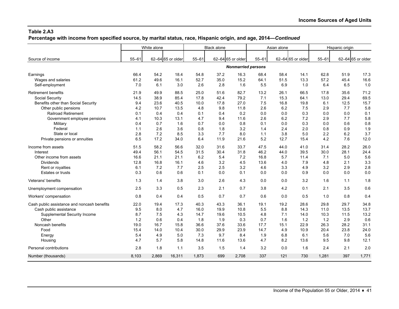**Percentage with income from specified source, by marital status, race, Hispanic origin, and age, 2014—***Continued*

|                                             | White alone |       |                   |           | <b>Black alone</b> |                           |           | Asian alone |                   | Hispanic origin |      |                   |
|---------------------------------------------|-------------|-------|-------------------|-----------|--------------------|---------------------------|-----------|-------------|-------------------|-----------------|------|-------------------|
| Source of income                            | $55 - 61$   |       | 62-64 65 or older | $55 - 61$ |                    | 62-64 65 or older         | $55 - 61$ |             | 62-64 65 or older | $55 - 61$       |      | 62-64 65 or older |
|                                             |             |       |                   |           |                    | <b>Nonmarried persons</b> |           |             |                   |                 |      |                   |
| Earnings                                    | 66.4        | 54.2  | 18.4              | 54.8      | 37.2               | 16.3                      | 68.4      | 58.4        | 14.1              | 62.8            | 51.9 | 17.3              |
| Wages and salaries                          | 61.2        | 49.6  | 16.1              | 52.7      | 35.0               | 15.2                      | 64.1      | 51.5        | 13.3              | 57.2            | 45.4 | 16.6              |
| Self-employment                             | 7.0         | 6.1   | 3.0               | 2.6       | 2.8                | 1.6                       | 5.5       | 6.9         | 1.0               | 6.4             | 6.5  | 1.0               |
| <b>Retirement benefits</b>                  | 21.9        | 49.9  | 88.5              | 25.0      | 51.6               | 82.7                      | 13.2      | 26.1        | 66.5              | 17.8            | 35.6 | 71.2              |
| Social Security                             | 14.5        | 38.9  | 85.4              | 17.8      | 42.4               | 79.2                      | 7.1       | 15.3        | 64.1              | 13.0            | 29.4 | 69.5              |
| Benefits other than Social Security         | 9.4         | 23.6  | 40.5              | 10.0      | 17.8               | 27.0                      | 7.5       | 16.8        | 19.8              | 6.1             | 12.5 | 15.7              |
| Other public pensions                       | 4.2         | 10.7  | 13.5              | 4.8       | 9.8                | 11.8                      | 2.6       | 6.2         | 7.5               | 2.9             | 7.7  | 5.8               |
| <b>Railroad Retirement</b>                  | 0.1         | 0.4   | 0.4               | 0.1       | 0.4                | 0.2                       | 0.0       | 0.0         | 0.3               | 0.0             | 0.0  | 0.1               |
| Government employee pensions                | 4.1         | 10.3  | 13.1              | 4.7       | 9.4                | 11.6                      | 2.6       | 6.2         | 7.2               | 2.9             | 7.7  | 5.8               |
| Military                                    | 0.4         | 0.7   | 1.6               | 0.7       | 0.0                | 0.8                       | 0.1       | 0.0         | 0.3               | 0.0             | 0.6  | 0.8               |
| Federal                                     | 1.1         | 2.6   | 3.6               | 0.8       | 1.8                | 3.2                       | 1.4       | 2.4         | 2.0               | 0.8             | 0.9  | 1.9               |
| State or local                              | 2.8         | 7.2   | 8.5               | 3.3       | 7.7                | 8.0                       | 1.1       | 3.8         | 5.0               | 2.2             | 6.2  | 3.7               |
| Private pensions or annuities               | 6.5         | 17.2  | 34.0              | 6.4       | 11.9               | 21.6                      | 5.2       | 12.7        | 15.4              | 4.2             | 7.6  | 12.0              |
| Income from assets                          | 51.5        | 58.2  | 56.6              | 32.0      | 31.6               | 33.7                      | 47.5      | 44.0        | 41.0              | 31.4            | 28.2 | 26.0              |
| Interest                                    | 49.4        | 56.1  | 54.5              | 31.5      | 30.4               | 31.8                      | 46.2      | 44.0        | 39.5              | 30.0            | 28.1 | 24.4              |
| Other income from assets                    | 16.6        | 21.1  | 21.1              | 6.2       | 5.4                | 7.2                       | 16.8      | 5.7         | 11.4              | 7.1             | 5.0  | 5.6               |
| <b>Dividends</b>                            | 12.8        | 16.8  | 16.1              | 4.6       | 3.2                | 4.5                       | 13.6      | 4.0         | 7.9               | 4.8             | 2.1  | 3.3               |
| Rent or royalties                           | 6.1         | 7.2   | 7.7               | 2.5       | 2.5                | 3.2                       | 4.6       | 3.3         | 4.9               | 3.2             | 2.9  | 2.8               |
| Estates or trusts                           | 0.3         | 0.6   | 0.6               | 0.1       | 0.0                | 0.1                       | 0.0       | 0.0         | 0.9               | 0.0             | 0.0  | 0.0               |
| Veterans' benefits                          | 1.3         | 1.4   | 3.8               | 3.0       | 2.6                | 4.3                       | 0.0       | 0.0         | 3.2               | 1.6             | 1.1  | 1.8               |
| Unemployment compensation                   | 2.5         | 3.3   | 0.5               | 2.3       | 2.1                | 0.7                       | 3.8       | 4.2         | 0.1               | 2.1             | 3.5  | 0.6               |
| Workers' compensation                       | 0.8         | 0.4   | 0.4               | 0.5       | 0.7                | 0.7                       | 0.6       | 0.0         | 0.5               | 1.0             | 0.8  | 0.4               |
| Cash public assistance and noncash benefits | 22.0        | 19.4  | 17.3              | 40.3      | 43.3               | 36.1                      | 19.1      | 19.2        | 28.6              | 29.8            | 29.7 | 34.8              |
| Cash public assistance                      | 9.5         | 8.0   | 4.7               | 16.0      | 19.9               | 10.8                      | 5.5       | 8.8         | 14.3              | 11.0            | 13.5 | 13.7              |
| Supplemental Security Income                | 8.7         | 7.5   | 4.3               | 14.7      | 19.6               | 10.5                      | 4.8       | 7.1         | 14.0              | 10.3            | 11.5 | 13.2              |
| Other                                       | 1.2         | 0.6   | 0.4               | 1.8       | 1.9                | 0.3                       | 0.7       | 1.6         | 1.2               | 1.2             | 2.9  | 0.6               |
| Noncash benefits                            | 19.0        | 16.7  | 15.8              | 36.6      | 37.6               | 33.6                      | 17.7      | 15.1        | 22.9              | 26.3            | 28.2 | 31.1              |
| Food                                        | 15.4        | 14.0  | 10.4              | 30.0      | 29.9               | 23.9                      | 14.7      | 4.9         | 10.9              | 20.4            | 23.8 | 24.0              |
| Energy                                      | 5.4         | 4.9   | 5.0               | 7.3       | 9.7                | 8.4                       | 1.9       | 6.8         | 6.1               | 5.6             | 7.0  | 5.6               |
| Housing                                     | 4.7         | 5.7   | 5.8               | 14.8      | 11.6               | 13.6                      | 4.7       | 8.2         | 13.6              | 9.5             | 9.8  | 12.1              |
| Personal contributions                      | 2.8         | 1.8   | 1.1               | 3.5       | 1.5                | 1.4                       | 3.2       | 0.0         | 1.6               | 2.4             | 2.1  | 2.0               |
| Number (thousands)                          | 8,103       | 2,869 | 16,311            | 1,873     | 699                | 2,708                     | 337       | 121         | 730               | 1,281           | 397  | 1,771             |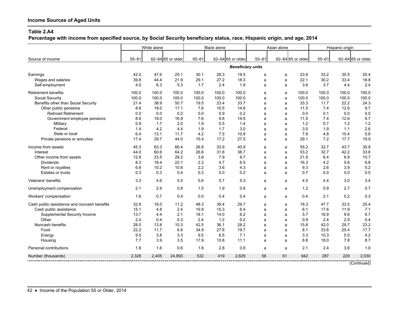**Percentage with income from specified source, by Social Security beneficiary status, race, Hispanic origin, and age, 2014**

|                                             | White alone |       |                   |           | <b>Black alone</b> |                          |           | Asian alone |                   | Hispanic origin |       |                   |
|---------------------------------------------|-------------|-------|-------------------|-----------|--------------------|--------------------------|-----------|-------------|-------------------|-----------------|-------|-------------------|
|                                             | $55 - 61$   |       | 62-64 65 or older | $55 - 61$ |                    | 62-64 65 or older        | $55 - 61$ |             | 62-64 65 or older | $55 - 61$       |       | 62-64 65 or older |
| Source of income                            |             |       |                   |           |                    |                          |           |             |                   |                 |       |                   |
|                                             |             |       |                   |           |                    | <b>Beneficiary units</b> |           |             |                   |                 |       |                   |
| Earnings                                    | 42.0        | 47.6  | 25.1              | 30.1      | 28.3               | 19.5                     | a         | a           | 23.9              | 33.2            | 35.5  | 20.4              |
| Wages and salaries                          | 39.8        | 44.4  | 21.9              | 29.1      | 27.2               | 18.3                     | a         | a           | 22.1              | 30.2            | 33.4  | 18.8              |
| Self-employment                             | 4.0         | 6.3   | 5.3               | 1.7       | 2.4                | 1.8                      | a         | a           | 3.6               | 3.7             | 4.4   | 2.4               |
| Retirement benefits                         | 100.0       | 100.0 | 100.0             | 100.0     | 100.0              | 100.0                    | a         | a           | 100.0             | 100.0           | 100.0 | 100.0             |
| Social Security                             | 100.0       | 100.0 | 100.0             | 100.0     | 100.0              | 100.0                    | a         | a           | 100.0             | 100.0           | 100.0 | 100.0             |
| Benefits other than Social Security         | 21.4        | 38.9  | 50.7              | 19.5      | 23.4               | 33.7                     | a         | a           | 33.3              | 11.7            | 22.2  | 24.3              |
| Other public pensions                       | 8.6         | 18.0  | 17.1              | 7.6       | 10.5               | 14.6                     | a         | a           | 11.5              | 7.4             | 12.6  | 8.7               |
| <b>Railroad Retirement</b>                  | 0.0         | 0.0   | 0.2               | 0.0       | 0.9                | 0.2                      | a         | a           | 0.0               | 0.1             | 0.0   | 0.0               |
| Government employee pensions                | 8.6         | 18.0  | 16.9              | 7.6       | 9.6                | 14.5                     | a         | a           | 11.5              | 7.4             | 12.6  | 8.7               |
| Military                                    | 0.9         | 1.7   | 2.0               | 1.9       | 0.5                | 1.4                      | a         | a           | $1.2$             | 0.7             | $1.2$ | 1.2               |
| Federal                                     | 1.4         | 4.2   | 4.4               | 1.9       | 1.7                | 3.0                      | a         | a           | 3.5               | 1.9             | 1.1   | 2.6               |
| State or local                              | 6.4         | 13.1  | 11.7              | 4.2       | 7.5                | 10.8                     | a         | a           | 7.8               | 4.8             | 10.4  | 5.8               |
| Private pensions or annuities               | 17.4        | 29.7  | 44.0              | 15.4      | 17.2               | 27.5                     | a         | a           | 29.1              | 7.2             | 17.7  | 19.9              |
| Income from assets                          | 45.3        | 63.3  | 66.4              | 26.8      | 33.9               | 40.9                     | a         | a           | 55.2              | 32.7            | 43.7  | 35.8              |
| Interest                                    | 44.0        | 60.6  | 64.2              | 26.6      | 31.6               | 38.7                     | a         | a           | 53.2              | 32.7            | 42.2  | 33.6              |
| Other income from assets                    | 12.8        | 23.5  | 28.2              | 3.8       | 7.9                | 9.7                      | a         | a           | 21.8              | 6.4             | 8.9   | 10.7              |
| <b>Dividends</b>                            | 8.3         | 18.4  | 22.1              | 2.3       | 4.7                | 6.5                      | a         | a           | 16.3              | 4.2             | 5.6   | 6.8               |
| Rent or royalties                           | 6.8         | 10.2  | 10.6              | 2.2       | 3.6                | 4.3                      | a         | a           | 9.3               | 2.6             | 3.9   | 5.2               |
| <b>Estates or trusts</b>                    | 0.3         | 0.3   | 0.4               | 0.3       | 0.0                | 0.2                      | a         | a           | 0.7               | 0.0             | 0.0   | 0.0               |
| Veterans' benefits                          | 3.3         | 4.6   | 5.5               | 5.6       | 5.7                | 5.3                      | a         | a           | 4.5               | 4.4             | 3.0   | 3.4               |
| Unemployment compensation                   | 2.1         | 2.9   | 0.8               | 1.5       | 1.9                | 0.8                      | a         | a           | 1.2               | 0.9             | 2.7   | 0.7               |
| Workers' compensation                       | 1.6         | 0.7   | 0.4               | 0.0       | 0.4                | 0.4                      | a         | a           | 0.4               | 2.1             | 0.2   | 0.3               |
| Cash public assistance and noncash benefits | 32.8        | 16.0  | 11.2              | 48.3      | 39.4               | 29.7                     | a         | a           | 18.3              | 47.7            | 33.5  | 25.4              |
| Cash public assistance                      | 15.1        | 4.8   | 2.4               | 19.8      | 15.3               | 6.4                      | a         | a           | 6.1               | 17.6            | 11.9  | 7.1               |
| Supplemental Security Income                | 13.7        | 4.4   | 2.1               | 18.1      | 14.0               | 6.2                      | a         | a           | 5.7               | 16.9            | 9.6   | 6.7               |
| Other                                       | 2.4         | 0.4   | 0.3               | 2.4       | 1.2                | 0.2                      | a         | a           | 0.9               | 2.4             | 2.9   | 0.4               |
| Noncash benefits                            | 28.0        | 13.8  | 10.3              | 42.5      | 36.1               | 28.2                     | a         | a           | 15.8              | 42.0            | 29.7  | 23.2              |
| Food                                        | 22.2        | 11.7  | 6.8               | 34.9      | 27.8               | 19.7                     | a         | a           | 8.1               | 33.6            | 25.4  | 17.7              |
| Energy                                      | 9.5         | 3.8   | 3.3               | 9.5       | 6.5                | 7.1                      | a         | a           | 3.3               | 10.3            | 5.0   | 4.2               |
| Housing                                     | 7.7         | 3.9   | 3.5               | 17.9      | 10.8               | 11.1                     | a         | a           | 8.8               | 18.0            | 7.8   | 8.7               |
| Personal contributions                      | 1.8         | 1.6   | 0.6               | 1.8       | 2.8                | 0.8                      | a         | a           | 2.1               | 2.4             | 3.6   | 1.0               |
| Number (thousands)                          | 2.328       | 2.405 | 24.893            | 532       | 419                | 2.829                    | 56        | 61          | 942               | 287             | 229   | 2.030             |
|                                             |             |       |                   |           |                    |                          |           |             |                   |                 |       |                   |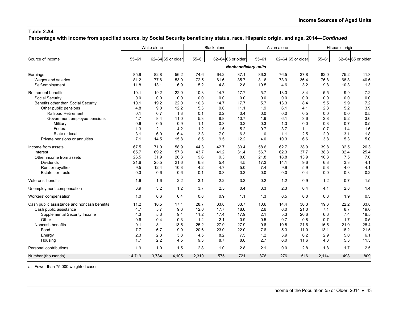**Percentage with income from specified source, by Social Security beneficiary status, race, Hispanic origin, and age, 2014—***Continued*

|                                             | White alone |       |                   |           | <b>Black alone</b> |                             |           | Asian alone |                   | Hispanic origin |      |                   |
|---------------------------------------------|-------------|-------|-------------------|-----------|--------------------|-----------------------------|-----------|-------------|-------------------|-----------------|------|-------------------|
|                                             |             |       |                   |           |                    |                             |           |             |                   |                 |      |                   |
| Source of income                            | $55 - 61$   |       | 62-64 65 or older | $55 - 61$ |                    | 62-64 65 or older           | $55 - 61$ |             | 62-64 65 or older | $55 - 61$       |      | 62-64 65 or older |
|                                             |             |       |                   |           |                    | <b>Nonbeneficiary units</b> |           |             |                   |                 |      |                   |
| Earnings                                    | 85.9        | 82.8  | 56.2              | 74.6      | 64.2               | 37.1                        | 86.3      | 76.5        | 37.8              | 82.0            | 75.2 | 41.3              |
| Wages and salaries                          | 81.2        | 77.6  | 53.0              | 72.5      | 61.6               | 35.7                        | 81.6      | 73.9        | 36.4              | 76.8            | 68.8 | 40.6              |
| Self-employment                             | 11.8        | 13.1  | 6.9               | 5.2       | 4.8                | 2.8                         | 10.5      | 4.6         | 3.2               | 9.8             | 10.3 | 1.3               |
| <b>Retirement benefits</b>                  | 10.1        | 19.2  | 22.0              | 10.3      | 14.7               | 17.7                        | 5.7       | 13.3        | 8.4               | 5.5             | 9.9  | 7.2               |
| Social Security                             | 0.0         | 0.0   | 0.0               | 0.0       | 0.0                | 0.0                         | 0.0       | 0.0         | 0.0               | 0.0             | 0.0  | 0.0               |
| Benefits other than Social Security         | 10.1        | 19.2  | 22.0              | 10.3      | 14.7               | 17.7                        | 5.7       | 13.3        | 8.4               | 5.5             | 9.9  | 7.2               |
| Other public pensions                       | 4.8         | 9.0   | 12.2              | 5.3       | 9.0                | 11.1                        | 1.9       | 6.1         | 4.1               | 2.8             | 5.2  | 3.9               |
| <b>Railroad Retirement</b>                  | 0.1         | 0.7   | 1.3               | 0.1       | 0.2                | 0.4                         | 0.0       | 0.0         | 0.5               | 0.0             | 0.0  | 0.5               |
| Government employee pensions                | 4.7         | 8.4   | 11.0              | 5.3       | 8.8                | 10.7                        | 1.9       | 6.1         | 3.6               | 2.8             | 5.2  | 3.6               |
| Military                                    | 0.6         | 0.5   | 0.9               | 1.1       | 0.3                | 0.2                         | 0.3       | 1.3         | 0.0               | 0.3             | 0.7  | 0.5               |
| Federal                                     | 1.3         | 2.1   | 4.2               | 1.2       | 1.5                | 5.2                         | 0.7       | 3.7         | 1.1               | 0.7             | 1.4  | 1.6               |
| State or local                              | 3.1         | 6.0   | 6.4               | 3.3       | 7.0                | 6.3                         | 1.0       | 1.1         | 2.5               | 2.0             | 3.1  | 1.8               |
| Private pensions or annuities               | 7.1         | 14.5  | 15.8              | 6.5       | 9.5                | 12.2                        | 4.0       | 10.3        | 6.6               | 3.8             | 5.3  | 5.0               |
| Income from assets                          | 67.5        | 71.0  | 58.9              | 44.3      | 42.7               | 33.4                        | 58.6      | 62.7        | 38.9              | 39.8            | 32.5 | 26.3              |
| Interest                                    | 65.7        | 69.2  | 57.3              | 43.7      | 41.2               | 31.4                        | 56.7      | 62.3        | 37.7              | 38.3            | 32.4 | 25.4              |
| Other income from assets                    | 26.5        | 31.9  | 26.3              | 9.6       | 9.3                | 8.6                         | 21.8      | 18.8        | 13.9              | 10.3            | 7.5  | 7.0               |
| <b>Dividends</b>                            | 21.6        | 25.5  | 21.6              | 6.8       | 5.4                | 4.5                         | 17.3      | 14.1        | 9.6               | 6.3             | 3.3  | 4.1               |
| Rent or royalties                           | 9.5         | 12.4  | 10.3              | 4.2       | 4.7                | 5.0                         | 7.4       | 9.9         | 5.9               | 5.3             | 4.0  | 4.1               |
| <b>Estates or trusts</b>                    | 0.3         | 0.6   | 0.6               | 0.1       | 0.3                | 0.3                         | 0.0       | 0.0         | 0.4               | 0.0             | 0.3  | 0.2               |
| Veterans' benefits                          | 1.6         | 1.6   | 2.2               | 3.1       | 2.2                | 3.3                         | 0.2       | 1.2         | 0.9               | 1.2             | 0.7  | 1.5               |
| Unemployment compensation                   | 3.9         | 3.2   | 1.2               | 3.7       | 2.5                | 0.4                         | 3.3       | 2.3         | 0.4               | 4.1             | 2.8  | 1.4               |
| Workers' compensation                       | 1.0         | 0.6   | 0.4               | 0.8       | 0.9                | 1.1                         | 1.3       | 0.5         | 0.0               | 0.8             | 1.9  | 0.3               |
| Cash public assistance and noncash benefits | 11.2        | 10.5  | 17.1              | 28.7      | 33.8               | 33.7                        | 10.6      | 14.4        | 30.3              | 19.6            | 22.2 | 33.8              |
| Cash public assistance                      | 4.7         | 5.7   | 9.6               | 12.0      | 17.7               | 18.6                        | 2.6       | 6.0         | 21.0              | 7.1             | 8.7  | 19.0              |
| Supplemental Security Income                | 4.3         | 5.3   | 9.4               | 11.2      | 17.4               | 17.9                        | 2.1       | 5.3         | 20.6              | 6.6             | 7.4  | 18.5              |
| Other                                       | 0.6         | 0.4   | 0.3               | 1.2       | 2.1                | 0.9                         | 0.5       | 0.7         | 0.8               | 0.7             | 1.7  | 0.5               |
| Noncash benefits                            | 9.1         | 8.1   | 13.5              | 25.2      | 27.9               | 27.9                        | 9.6       | 10.8        | 21.6              | 16.5            | 21.0 | 28.4              |
| Food                                        | 7.7         | 6.7   | 9.9               | 20.6      | 23.0               | 22.0                        | 7.6       | 5.3         | 11.0              | 13.1            | 18.2 | 21.5              |
| Energy                                      | 2.3         | 2.3   | 3.8               | 4.5       | 8.2                | 7.5                         | 1.2       | 3.9         | 6.2               | 2.9             | 5.0  | 6.1               |
| Housing                                     | 1.7         | 2.2   | 4.5               | 9.3       | 8.7                | 8.8                         | 2.7       | 6.0         | 11.6              | 4.3             | 5.3  | 11.3              |
| Personal contributions                      | 1.9         | 1.0   | 1.5               | 2.8       | 1.0                | 2.8                         | 2.1       | 0.0         | 2.8               | 1.8             | 1.7  | 2.5               |
| Number (thousands)                          | 14,719      | 3,784 | 4,105             | 2,310     | 575                | 721                         | 876       | 276         | 516               | 2,114           | 498  | 809               |

a. Fewer than 75,000 weighted cases.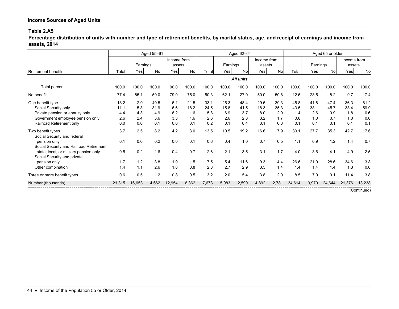**Percentage distribution of units with number and type of retirement benefits, by marital status, age, and receipt of earnings and income from assets, 2014**

|                                                                              | Aged 55-61        |                   |                   |                   |                       |                   |                   | Aged 62-64        |                       |                   | Aged 65 or older  |                   |                   |                       |                   |
|------------------------------------------------------------------------------|-------------------|-------------------|-------------------|-------------------|-----------------------|-------------------|-------------------|-------------------|-----------------------|-------------------|-------------------|-------------------|-------------------|-----------------------|-------------------|
|                                                                              |                   | Earnings          |                   |                   | Income from<br>assets |                   | Earnings          |                   | Income from<br>assets |                   |                   | Earnings          |                   | Income from<br>assets |                   |
| <b>Retirement benefits</b>                                                   | Total             | Yes               | No                | Yes               | <b>No</b>             | Total             | Yes               | <b>No</b>         | Yesl                  | <b>No</b>         | Total             | Yes               | No                | Yes                   | No                |
|                                                                              |                   |                   |                   |                   |                       |                   |                   | <b>All units</b>  |                       |                   |                   |                   |                   |                       |                   |
| Total percent                                                                | 100.0             | 100.0             | 100.0             | 100.0             | 100.0                 | 100.0             | 100.0             | 100.0             | 100.0                 | 100.0             | 100.0             | 100.0             | 100.0             | 100.0                 | 100.0             |
| No benefit                                                                   | 77.4              | 85.1              | 50.0              | 79.0              | 75.0                  | 50.3              | 62.1              | 27.0              | 50.0                  | 50.8              | 12.6              | 23.5              | 8.2               | 9.7                   | 17.4              |
| One benefit type<br>Social Security only                                     | 18.2<br>11.1      | 12.0<br>5.3       | 40.5<br>31.9      | 16.1<br>6.6       | 21.5<br>18.2          | 33.1<br>24.5      | 25.3<br>15.8      | 48.4<br>41.5      | 29.6<br>18.3          | 39.3<br>35.3      | 45.8<br>43.5      | 41.8<br>38.1      | 47.4<br>45.7      | 36.3<br>33.4          | 61.2<br>59.9      |
| Private pension or annuity only<br>Government employee pension only          | 4.4<br>2.6<br>0.0 | 4.3<br>2.4<br>0.0 | 4.9<br>3.6<br>0.1 | 6.2<br>3.3<br>0.0 | 1.6<br>1.6<br>0.1     | 5.8<br>2.6<br>0.2 | 6.9<br>2.6<br>0.1 | 3.7<br>2.8<br>0.4 | 8.0<br>3.2<br>0.1     | 2.0<br>1.7<br>0.3 | 1.4<br>0.8<br>0.1 | 2.6<br>1.0<br>0.1 | 0.9<br>0.7<br>0.1 | 1.8<br>1.0<br>0.1     | 0.6<br>0.6<br>0.1 |
| Railroad Retirement only<br>Two benefit types<br>Social Security and federal | 3.7               | 2.5               | 8.2               | 4.2               | 3.0                   | 13.5              | 10.5              | 19.2              | 16.6                  | 7.9               | 33.1              | 27.7              | 35.3              | 42.7                  | 17.6              |
| pension only<br>Social Security and Railroad Retirement,                     | 0.1               | 0.0               | 0.2               | 0.0               | 0.1                   | 0.6               | 0.4               | 1.0               | 0.7                   | 0.5               | 1.1               | 0.9               | 1.2               | 1.4                   | 0.7               |
| state, local, or military pension only<br>Social Security and private        | 0.5               | 0.2               | 1.6               | 0.4               | 0.7                   | 2.6               | 2.1               | 3.5               | 3.1                   | 1.7               | 4.0               | 3.6               | 4.1               | 4.9                   | 2.5               |
| pension only<br>Other combination                                            | 1.7<br>1.4        | 1.2<br>1.1        | 3.8<br>2.6        | 1.9<br>1.8        | 1.5<br>0.8            | 7.5<br>2.8        | 5.4<br>2.7        | 11.6<br>2.9       | 9.3<br>3.5            | 4.4<br>1.4        | 26.6<br>1.4       | 21.9<br>1.4       | 28.6<br>1.4       | 34.6<br>1.8           | 13.8<br>0.6       |
| Three or more benefit types                                                  | 0.6               | 0.5               | 1.2               | 0.8               | 0.5                   | 3.2               | 2.0               | 5.4               | 3.8                   | 2.0               | 8.5               | 7.0               | 9.1               | 11.4                  | 3.8               |
| Number (thousands)                                                           | 21,315            | 16,653            | 4,662             | 12,954            | 8,362                 | 7,673             | 5,083             | 2,590             | 4,892                 | 2,781             | 34,614            | 9,970             | 24,644            | 21,376                | 13,238            |
|                                                                              |                   |                   |                   |                   |                       |                   |                   |                   |                       |                   |                   |                   |                   |                       | (Continued)       |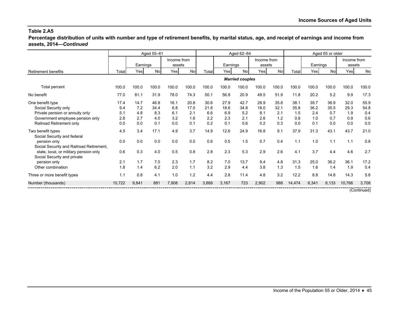**Percentage distribution of units with number and type of retirement benefits, by marital status, age, and receipt of earnings and income from assets, 2014—***Continued*

|                                                                                                 | Aged 55-61        |                   |                   |                   |                       | Aged 62-64        |                   |                        |                       |                   |                   | Aged 65 or older  |                   |                       |                   |  |
|-------------------------------------------------------------------------------------------------|-------------------|-------------------|-------------------|-------------------|-----------------------|-------------------|-------------------|------------------------|-----------------------|-------------------|-------------------|-------------------|-------------------|-----------------------|-------------------|--|
|                                                                                                 |                   | Earnings          |                   |                   | Income from<br>assets |                   | Earnings          |                        | Income from<br>assets |                   |                   | Earnings          |                   | Income from<br>assets |                   |  |
| <b>Retirement benefits</b>                                                                      | Total             | Yes               | No                | Yes               | <b>No</b>             | Total             | Yes               | Nol                    | Yesl                  | No                | Total             | Yes               | No                | Yes                   | No                |  |
|                                                                                                 |                   |                   |                   |                   |                       |                   |                   | <b>Married couples</b> |                       |                   |                   |                   |                   |                       |                   |  |
| Total percent                                                                                   | 100.0             | 100.0             | 100.0             | 100.0             | 100.0                 | 100.0             | 100.0             | 100.0                  | 100.0                 | 100.0             | 100.0             | 100.0             | 100.0             | 100.0                 | 100.0             |  |
| No benefit                                                                                      | 77.0              | 81.1              | 31.9              | 78.0              | 74.3                  | 50.1              | 56.8              | 20.9                   | 49.5                  | 51.9              | 11.8              | 20.2              | 5.2               | 9.9                   | 17.3              |  |
| One benefit type<br>Social Security only                                                        | 17.4<br>9.4       | 14.7<br>7.2       | 46.8<br>34.4      | 16.1<br>6.8       | 20.8<br>17.0          | 30.6<br>21.6      | 27.9<br>18.6      | 42.7<br>34.8           | 28.9<br>18.0          | 35.8<br>32.1      | 38.1<br>35.8      | 39.7<br>36.2      | 36.9<br>35.5      | 32.0<br>29.3          | 55.9<br>54.8      |  |
| Private pension or annuity only<br>Government employee pension only<br>Railroad Retirement only | 5.1<br>2.8<br>0.0 | 4.8<br>2.7<br>0.0 | 8.3<br>4.0<br>0.1 | 6.1<br>3.2<br>0.0 | 2.1<br>1.6<br>0.1     | 6.6<br>2.2<br>0.2 | 6.9<br>2.3<br>0.1 | 5.2<br>2.1<br>0.6      | 8.1<br>2.6<br>0.2     | 2.1<br>1.2<br>0.3 | 1.5<br>0.8<br>0.0 | 2.4<br>1.0<br>0.1 | 0.7<br>0.7<br>0.0 | 1.9<br>0.9<br>0.0     | 0.4<br>0.6<br>0.0 |  |
| Two benefit types<br>Social Security and federal                                                | 4.5               | 3.4               | 17.1              | 4.9               | 3.7                   | 14.9              | 12.6              | 24.9                   | 16.8                  | 9.1               | 37.9              | 31.3              | 43.1              | 43.7                  | 21.0              |  |
| pension only<br>Social Security and Railroad Retirement,                                        | 0.0               | 0.0               | 0.0               | 0.0               | 0.0                   | 0.6               | 0.5               | 1.5                    | 0.7                   | 0.4               | 1.1               | 1.0               | 1.1               | 1.1                   | 0.8               |  |
| state, local, or military pension only<br>Social Security and private                           | 0.6               | 0.3               | 4.0               | 0.5               | 0.8                   | 2.8               | 2.3               | 5.3                    | 2.9                   | 2.6               | 4.1               | 3.7               | 4.4               | 4.6                   | 2.7               |  |
| pension only<br>Other combination                                                               | 2.1<br>1.8        | 1.7<br>1.4        | 7.0<br>6.2        | 2.3<br>2.0        | 1.7<br>1.1            | 8.2<br>3.2        | 7.0<br>2.9        | 13.7<br>4.4            | 9.4<br>3.8            | 4.8<br>1.3        | 31.3<br>1.5       | 25.0<br>1.6       | 36.2<br>1.4       | 36.1<br>1.9           | 17.2<br>0.4       |  |
| Three or more benefit types                                                                     | 1.1               | 0.8               | 4.1               | 1.0               | 1.2                   | 4.4               | 2.8               | 11.4                   | 4.8                   | 3.2               | 12.2              | 8.8               | 14.8              | 14.3                  | 5.8               |  |
| Number (thousands)                                                                              | 10,722            | 9,841             | 881               | 7,908             | 2,814                 | 3,889             | 3,167             | 723                    | 2,902                 | 988               | 14,474            | 6,341             | 8,133             | 10,766                | 3,708             |  |
|                                                                                                 |                   |                   |                   |                   |                       |                   |                   |                        |                       |                   |                   |                   |                   |                       | (Continued)       |  |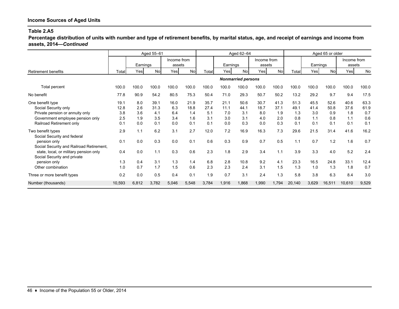**Percentage distribution of units with number and type of retirement benefits, by marital status, age, and receipt of earnings and income from assets, 2014—***Continued*

|                                                                                                                 |                            | Aged 55-61               |                            | Aged 62-64                |                            |                            |                            | Aged 65 or older           |                            |                            |                            |                            |                            |                            |                            |
|-----------------------------------------------------------------------------------------------------------------|----------------------------|--------------------------|----------------------------|---------------------------|----------------------------|----------------------------|----------------------------|----------------------------|----------------------------|----------------------------|----------------------------|----------------------------|----------------------------|----------------------------|----------------------------|
|                                                                                                                 |                            | Earnings                 |                            | Income from<br>assets     |                            |                            | Earnings                   |                            | Income from<br>assets      |                            |                            | Earnings                   |                            | Income from<br>assets      |                            |
| <b>Retirement benefits</b>                                                                                      | Total                      | Yes                      | Nol                        | Yes                       | <b>No</b>                  | Total                      | Yes                        | Nol                        | Yesl                       | Nol                        | Total                      | Yes                        | Nol                        | Yes                        | <b>No</b>                  |
|                                                                                                                 |                            |                          |                            |                           |                            |                            |                            | <b>Nonmarried persons</b>  |                            |                            |                            |                            |                            |                            |                            |
| Total percent                                                                                                   | 100.0                      | 100.0                    | 100.0                      | 100.0                     | 100.0                      | 100.0                      | 100.0                      | 100.0                      | 100.0                      | 100.0                      | 100.0                      | 100.0                      | 100.0                      | 100.0                      | 100.0                      |
| No benefit                                                                                                      | 77.8                       | 90.9                     | 54.2                       | 80.5                      | 75.3                       | 50.4                       | 71.0                       | 29.3                       | 50.7                       | 50.2                       | 13.2                       | 29.2                       | 9.7                        | 9.4                        | 17.5                       |
| One benefit type<br>Social Security only<br>Private pension or annuity only<br>Government employee pension only | 19.1<br>12.8<br>3.8<br>2.5 | 8.0<br>2.6<br>3.6<br>1.9 | 39.1<br>31.3<br>4.1<br>3.5 | 16.0<br>6.3<br>6.4<br>3.4 | 21.9<br>18.8<br>1.4<br>1.6 | 35.7<br>27.4<br>5.1<br>3.1 | 21.1<br>11.1<br>7.0<br>3.0 | 50.6<br>44.1<br>3.1<br>3.1 | 30.7<br>18.7<br>8.0<br>4.0 | 41.3<br>37.1<br>1.9<br>2.0 | 51.3<br>49.1<br>1.3<br>0.8 | 45.5<br>41.4<br>3.0<br>1.1 | 52.6<br>50.8<br>0.9<br>0.8 | 40.6<br>37.6<br>1.8<br>1.1 | 63.3<br>61.9<br>0.7<br>0.6 |
| Railroad Retirement only                                                                                        | 0.1                        | 0.0                      | 0.1                        | 0.0                       | 0.1                        | 0.1                        | 0.0                        | 0.3                        | 0.0                        | 0.3                        | 0.1                        | 0.1                        | 0.1                        | 0.1                        | 0.1                        |
| Two benefit types<br>Social Security and federal                                                                | 2.9                        | 1.1                      | 6.2                        | 3.1                       | 2.7                        | 12.0                       | 7.2                        | 16.9                       | 16.3                       | 7.3                        | 29.6                       | 21.5                       | 31.4                       | 41.6                       | 16.2                       |
| pension only<br>Social Security and Railroad Retirement,                                                        | 0.1                        | 0.0                      | 0.3                        | 0.0                       | 0.1                        | 0.6                        | 0.3                        | 0.9                        | 0.7                        | 0.5                        | 1.1                        | 0.7                        | 1.2                        | 1.6                        | 0.7                        |
| state, local, or military pension only<br>Social Security and private                                           | 0.4                        | 0.0                      | 1.1                        | 0.3                       | 0.6                        | 2.3                        | 1.8                        | 2.9                        | 3.4                        | 1.1                        | 3.9                        | 3.3                        | 4.0                        | 5.2                        | 2.4                        |
| pension only<br>Other combination                                                                               | 1.3<br>1.0                 | 0.4<br>0.7               | 3.1<br>1.7                 | 1.3<br>1.5                | 1.4<br>0.6                 | 6.8<br>2.3                 | 2.8<br>2.3                 | 10.8<br>2.4                | 9.2<br>3.1                 | 4.1<br>1.5                 | 23.3<br>1.3                | 16.5<br>1.0                | 24.8<br>1.3                | 33.1<br>1.8                | 12.4<br>0.7                |
| Three or more benefit types                                                                                     | 0.2                        | 0.0                      | 0.5                        | 0.4                       | 0.1                        | 1.9                        | 0.7                        | 3.1                        | 2.4                        | 1.3                        | 5.8                        | 3.8                        | 6.3                        | 8.4                        | 3.0                        |
| Number (thousands)                                                                                              | 10,593                     | 6,812                    | 3,782                      | 5,046                     | 5,548                      | 3,784                      | 1,916                      | 1,868                      | 1,990                      | 1,794                      | 20,140                     | 3,629                      | 16,511                     | 10,610                     | 9,529                      |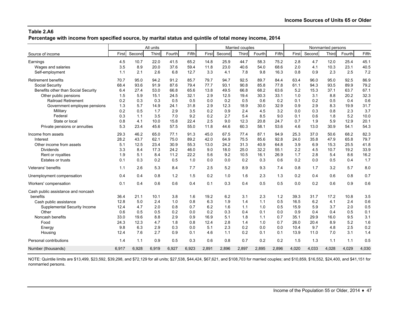**Percentage with income from specified source, by marital status and quintile of total money income, 2014**

|                                     |       |        | All units |        |       | Married couples<br>Nonmarried persons |        |       |        |       |       |        |       |        |       |
|-------------------------------------|-------|--------|-----------|--------|-------|---------------------------------------|--------|-------|--------|-------|-------|--------|-------|--------|-------|
| Source of income                    | First | Second | Third     | Fourth | Fifth | First                                 | Second | Third | Fourth | Fifth | First | Second | Third | Fourth | Fifth |
| Earnings                            | 4.5   | 10.7   | 22.0      | 41.5   | 65.2  | 14.8                                  | 25.9   | 44.7  | 58.3   | 75.2  | 2.8   | 4.7    | 12.0  | 25.4   | 45.1  |
| Wages and salaries                  | 3.5   | 8.9    | 20.0      | 37.6   | 59.4  | 11.8                                  | 23.0   | 40.6  | 54.0   | 68.6  | 2.0   | 4.1    | 10.3  | 23.1   | 40.5  |
| Self-employment                     | 1.1   | 2.1    | 2.6       | 6.8    | 12.7  | 3.3                                   | 4.1    | 7.8   | 9.8    | 16.3  | 0.8   | 0.9    | 2.3   | 2.5    | 7.2   |
| <b>Retirement benefits</b>          | 70.7  | 95.0   | 94.2      | 91.2   | 85.7  | 79.7                                  | 94.7   | 92.5  | 89.7   | 84.4  | 63.4  | 96.0   | 95.0  | 92.5   | 86.9  |
| Social Security                     | 68.4  | 93.6   | 91.9      | 87.6   | 79.4  | 77.7                                  | 93.1   | 90.8  | 85.8   | 77.8  | 61.1  | 94.3   | 93.5  | 89.9   | 79.2  |
| Benefits other than Social Security | 6.4   | 27.4   | 53.0      | 66.8   | 65.6  | 13.8                                  | 49.5   | 66.8  | 68.2   | 63.6  | 5.2   | 15.3   | 37.1  | 63.7   | 67.1  |
| Other public pensions               | 1.5   | 5.9    | 15.1      | 24.5   | 32.1  | 2.9                                   | 12.5   | 19.4  | 30.3   | 33.1  | 1.0   | 3.1    | 8.8   | 20.2   | 32.3  |
| <b>Railroad Retirement</b>          | 0.2   | 0.3    | 0.3       | 0.5    | 0.5   | 0.0                                   | 0.2    | 0.5   | 0.6    | 0.2   | 0.1   | 0.2    | 0.5   | 0.4    | 0.6   |
| Government employee pensions        | 1.3   | 5.7    | 14.9      | 24.1   | 31.8  | 2.9                                   | 12.3   | 18.9  | 30.0   | 32.9  | 0.9   | 2.9    | 8.3   | 19.9   | 31.7  |
| Military                            | 0.2   | 0.5    | 1.7       | 2.9    | 3.5   | 0.2                                   | 0.9    | 2.4   | 4.5    | 3.2   | 0.0   | 0.3    | 0.8   | 2.3    | 3.7   |
| Federal                             | 0.3   | 1.1    | 3.5       | 7.0    | 9.2   | 0.2                                   | 2.7    | 5.4   | 8.5    | 9.0   | 0.1   | 0.6    | 1.8   | 5.2    | 10.0  |
| State or local                      | 0.8   | 4.1    | 10.0      | 15.8   | 22.4  | 2.5                                   | 9.0    | 12.3  | 20.8   | 24.7  | 0.7   | 1.9    | 5.9   | 12.9   | 20.1  |
| Private pensions or annuities       | 5.3   | 23.4   | 45.6      | 57.5   | 55.0  | 11.8                                  | 44.6   | 60.3  | 58.1   | 53.6  | 4.6   | 13.0   | 30.9  | 54.1   | 54.3  |
| Income from assets                  | 29.3  | 46.2   | 65.0      | 77.1   | 91.3  | 45.0                                  | 67.5   | 77.4  | 87.1   | 94.9  | 25.3  | 37.0   | 50.6  | 68.2   | 82.3  |
| Interest                            | 28.2  | 43.7   | 62.1      | 75.0   | 89.2  | 42.0                                  | 64.9   | 75.5  | 85.6   | 92.8  | 24.0  | 35.8   | 47.9  | 65.8   | 79.7  |
| Other income from assets            | 5.1   | 12.5   | 23.4      | 30.9   | 55.3  | 13.0                                  | 24.2   | 31.3  | 40.9   | 64.8  | 3.9   | 6.9    | 15.3  | 25.5   | 41.8  |
| <b>Dividends</b>                    | 3.3   | 8.4    | 17.3      | 24.2   | 46.0  | 9.0                                   | 18.0   | 25.0  | 32.2   | 55.1  | 2.2   | 4.5    | 10.7  | 19.2   | 33.9  |
| Rent or royalties                   | 1.9   | 5.1    | 8.4       | 11.2   | 22.2  | 5.6                                   | 9.2    | 10.5  | 16.1   | 26.9  | 1.7   | 2.8    | 5.4   | 8.6    | 16.2  |
| <b>Estates or trusts</b>            | 0.1   | 0.3    | 0.2       | 0.5    | 1.0   | 0.0                                   | 0.0    | 0.2   | 0.3    | 0.6   | 0.2   | 0.0    | 0.5   | 0.4    | 1.7   |
| Veterans' benefits                  | 1.1   | 2.6    | 5.3       | 8.4    | 7.7   | 2.5                                   | 5.2    | 8.9   | 9.3    | 7.4   | 0.8   | 1.7    | 3.2   | 5.7    | 8.0   |
| Unemployment compensation           | 0.4   | 0.4    | 0.8       | 1.2    | 1.5   | 0.2                                   | 1.0    | 1.6   | 2.3    | 1.3   | 0.2   | 0.4    | 0.6   | 0.8    | 0.7   |
| Workers' compensation               | 0.1   | 0.4    | 0.6       | 0.6    | 0.4   | 0.1                                   | 0.3    | 0.4   | 0.5    | 0.5   | 0.0   | 0.2    | 0.6   | 0.9    | 0.6   |
| Cash public assistance and noncash  |       |        |           |        |       |                                       |        |       |        |       |       |        |       |        |       |
| benefits                            | 36.4  | 21.1   | 10.1      | 3.8    | 1.6   | 19.2                                  | 6.2    | 3.1   | 2.3    | 1.2   | 39.3  | 31.7   | 17.2  | 10.8   | 3.5   |
| Cash public assistance              | 12.8  | 5.0    | 2.4       | 1.0    | 0.8   | 6.3                                   | 1.9    | 1.4   | 1.1    | 0.5   | 16.5  | 6.2    | 4.1   | 2.4    | 0.6   |
| Supplemental Security Income        | 12.4  | 4.7    | 2.0       | 0.8    | 0.7   | 6.2                                   | 1.6    | 1.1   | 1.0    | 0.5   | 15.9  | 5.9    | 3.7   | 2.0    | 0.5   |
| Other                               | 0.6   | 0.5    | 0.5       | 0.2    | 0.0   | 0.2                                   | 0.3    | 0.4   | 0.1    | 0.0   | 0.9   | 0.4    | 0.4   | 0.5    | 0.1   |
| Noncash benefits                    | 33.0  | 19.6   | 8.8       | 2.9    | 0.9   | 16.9                                  | 5.1    | 1.8   | 1.1    | 0.7   | 35.1  | 29.9   | 16.0  | 9.5    | 3.1   |
| Food                                | 24.3  | 12.3   | 4.7       | 1.8    | 0.8   | 12.4                                  | 2.8    | 1.4   | 1.0    | 0.7   | 26.0  | 20.4   | 8.9   | 5.2    | 1.6   |
| Energy                              | 9.8   | 6.3    | 2.9       | 0.3    | 0.0   | 5.1                                   | 2.3    | 0.2   | 0.0    | 0.0   | 10.4  | 9.7    | 4.8   | 2.5    | 0.2   |
| Housing                             | 12.4  | 7.6    | 2.7       | 0.9    | 0.1   | 4.6                                   | 1.1    | 0.2   | 0.1    | 0.1   | 13.9  | 11.0   | 7.0   | 3.1    | 1.4   |
| Personal contributions              | 1.4   | 1.1    | 0.9       | 0.5    | 0.3   | 0.6                                   | 0.8    | 0.7   | 0.2    | 0.2   | 1.5   | 1.3    | 1.1   | 1.1    | 0.5   |
| Number (thousands)                  | 6,917 | 6,928  | 6,919     | 6,927  | 6,923 | 2,891                                 | 2,896  | 2,897 | 2,895  | 2,896 | 4,020 | 4,033  | 4,028 | 4,029  | 4,030 |

NOTE: Quintile limits are \$13,499, \$23,592, \$39,298, and \$72,129 for all units; \$27,538, \$44,424, \$67,621, and \$108,703 for married couples; and \$10,859, \$16,552, \$24,400, and \$41,151 for nonmarried persons.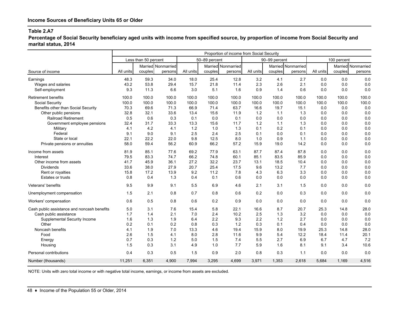**Percentage of Social Security beneficiary aged units with income from specified source, by proportion of income from Social Security and marital status, 2014**

|                                             | Proportion of income from Social Security |                      |                    |           |               |                    |           |               |                    |             |         |                    |
|---------------------------------------------|-------------------------------------------|----------------------|--------------------|-----------|---------------|--------------------|-----------|---------------|--------------------|-------------|---------|--------------------|
|                                             |                                           | Less than 50 percent |                    |           | 50-89 percent |                    |           | 90-99 percent |                    | 100 percent |         |                    |
|                                             |                                           |                      | Married Nonmarried |           |               | Married Nonmarried |           |               | Married Nonmarried |             |         | Married Nonmarried |
| Source of income                            | All units                                 | couples              | persons            | All units | couples       | persons            | All units | couples       | persons            | All units   | couples | persons            |
| Earnings                                    | 48.3                                      | 59.3                 | 34.0               | 18.0      | 25.4          | 12.8               | 3.2       | 4.1           | 2.7                | 0.0         | 0.0     | 0.0                |
| Wages and salaries                          | 43.2                                      | 53.8                 | 29.4               | 15.7      | 21.8          | 11.4               | 2.3       | 2.6           | 2.1                | 0.0         | 0.0     | 0.0                |
| Self-employment                             | 9.3                                       | 11.3                 | 6.6                | 3.0       | 5.1           | 1.6                | 0.9       | 1.4           | 0.6                | 0.0         | 0.0     | 0.0                |
| <b>Retirement benefits</b>                  | 100.0                                     | 100.0                | 100.0              | 100.0     | 100.0         | 100.0              | 100.0     | 100.0         | 100.0              | 100.0       | 100.0   | 100.0              |
| Social Security                             | 100.0                                     | 100.0                | 100.0              | 100.0     | 100.0         | 100.0              | 100.0     | 100.0         | 100.0              | 100.0       | 100.0   | 100.0              |
| Benefits other than Social Security         | 70.3                                      | 69.6                 | 71.3               | 66.9      | 71.4          | 63.7               | 16.6      | 19.7          | 15.1               | 0.0         | 0.0     | 0.0                |
| Other public pensions                       | 32.8                                      | 32.1                 | 33.6               | 13.4      | 15.6          | 11.9               | 1.2       | 1.1           | 1.3                | 0.0         | 0.0     | 0.0                |
| <b>Railroad Retirement</b>                  | 0.5                                       | 0.6                  | 0.3                | 0.1       | 0.0           | 0.1                | 0.0       | 0.0           | 0.0                | 0.0         | 0.0     | 0.0                |
| Government employee pensions                | 32.4                                      | 31.7                 | 33.3               | 13.3      | 15.6          | 11.7               | 1.2       | 1.1           | 1.3                | 0.0         | 0.0     | 0.0                |
| Military                                    | 4.1                                       | 4.2                  | 4.1                | 1.2       | 1.0           | 1.3                | 0.1       | 0.2           | 0.1                | 0.0         | 0.0     | 0.0                |
| Federal                                     | 9.1                                       | 9.0                  | 9.1                | 2.5       | 2.4           | 2.5                | 0.1       | 0.0           | 0.1                | 0.0         | 0.0     | 0.0                |
| State or local                              | 22.1                                      | 22.2                 | 22.0               | 9.8       | 12.5          | 8.0                | 1.0       | 0.9           | 1.1                | 0.0         | 0.0     | 0.0                |
| Private pensions or annuities               | 58.0                                      | 59.4                 | 56.2               | 60.9      | 66.2          | 57.2               | 15.9      | 19.0          | 14.2               | 0.0         | 0.0     | 0.0                |
| Income from assets                          | 81.9                                      | 85.1                 | 77.6               | 69.2      | 77.9          | 63.1               | 87.7      | 87.4          | 87.8               | 0.0         | 0.0     | 0.0                |
| Interest                                    | 79.5                                      | 83.3                 | 74.7               | 66.2      | 74.8          | 60.1               | 85.1      | 83.5          | 85.9               | 0.0         | 0.0     | 0.0                |
| Other income from assets                    | 41.7                                      | 45.9                 | 36.1               | 27.2      | 32.2          | 23.7               | 13.1      | 18.5          | 10.4               | 0.0         | 0.0     | 0.0                |
| <b>Dividends</b>                            | 33.6                                      | 38.0                 | 27.9               | 20.7      | 25.4          | 17.5               | 9.6       | 13.2          | 7.7                | 0.0         | 0.0     | 0.0                |
| Rent or royalties                           | 15.8                                      | 17.2                 | 13.9               | 9.2       | 11.2          | 7.8                | 4.3       | 6.3           | 3.3                | 0.0         | 0.0     | 0.0                |
| <b>Estates or trusts</b>                    | 0.8                                       | 0.4                  | 1.3                | 0.4       | 0.1           | 0.6                | 0.0       | 0.0           | 0.0                | 0.0         | 0.0     | 0.0                |
| Veterans' benefits                          | 9.5                                       | 9.9                  | 9.1                | 5.5       | 6.9           | 4.6                | 2.1       | 3.1           | 1.5                | 0.0         | 0.0     | 0.0                |
| Unemployment compensation                   | 1.5                                       | 2.1                  | 0.8                | 0.7       | 0.8           | 0.6                | 0.2       | 0.0           | 0.3                | 0.0         | 0.0     | 0.0                |
| Workers' compensation                       | 0.6                                       | 0.5                  | 0.8                | 0.6       | 0.2           | 0.9                | 0.0       | 0.0           | 0.0                | 0.0         | 0.0     | 0.0                |
| Cash public assistance and noncash benefits | 5.0                                       | 3.1                  | 7.6                | 15.4      | 5.8           | 22.1               | 16.6      | 8.7           | 20.7               | 25.3        | 14.8    | 28.0               |
| Cash public assistance                      | 1.7                                       | 1.4                  | 2.1                | 7.0       | 2.4           | 10.2               | 2.5       | 1.3           | 3.2                | 0.0         | 0.0     | 0.0                |
| Supplemental Security Income                | 1.6                                       | 1.3                  | 1.9                | 6.4       | 2.2           | 9.3                | 2.2       | 1.2           | 2.7                | 0.0         | 0.0     | 0.0                |
| Other                                       | 0.2                                       | 0.1                  | 0.2                | 0.8       | 0.3           | 1.2                | 0.3       | 0.1           | 0.4                | 0.0         | 0.0     | 0.0                |
| Noncash benefits                            | 4.1                                       | 1.9                  | 7.0                | 13.3      | 4.6           | 19.4               | 15.9      | 8.0           | 19.9               | 25.3        | 14.8    | 28.0               |
| Food                                        | 2.6                                       | 1.5                  | 4.1                | 8.0       | 2.8           | 11.6               | 9.9       | 5.4           | 12.2               | 18.4        | 11.4    | 20.1               |
| Energy                                      | 0.7                                       | 0.3                  | 1.2                | 5.0       | 1.5           | 7.4                | 5.5       | 2.7           | 6.9                | 6.7         | 4.7     | 7.2                |
| Housing                                     | 1.5                                       | 0.3                  | 3.1                | 4.9       | 1.0           | 7.7                | 5.9       | 1.6           | 8.1                | 9.1         | 3.4     | 10.6               |
| Personal contributions                      | 0.4                                       | 0.3                  | 0.5                | 1.5       | 0.9           | 2.0                | 0.8       | 0.3           | 1.1                | 0.0         | 0.0     | 0.0                |
| Number (thousands)                          | 11,251                                    | 6,351                | 4,900              | 7,994     | 3,295         | 4,699              | 3,971     | 1,353         | 2,618              | 5,684       | 1,169   | 4,516              |

NOTE: Units with zero total income or with negative total income, earnings, or income from assets are excluded.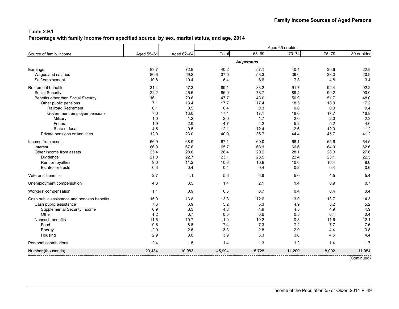**Percentage with family income from specified source, by sex, marital status, and age, 2014**

|                                             |            |            | Aged 65 or older |             |           |           |             |
|---------------------------------------------|------------|------------|------------------|-------------|-----------|-----------|-------------|
| Source of family income                     | Aged 55-61 | Aged 62-64 | Total            | 65-69       | $70 - 74$ | $75 - 79$ | 80 or older |
|                                             |            |            |                  | All persons |           |           |             |
| Earnings                                    | 83.7       | 72.9       | 40.2             | 57.1        | 40.4      | 30.6      | 22.8        |
| Wages and salaries                          | 80.6       | 69.2       | 37.0             | 53.3        | 36.6      | 28.0      | 20.9        |
| Self-employment                             | 10.8       | 10.4       | 6.4              | 8.6         | 7.3       | 4.8       | 3.4         |
| <b>Retirement benefits</b>                  | 31.4       | 57.3       | 89.1             | 83.2        | 91.7      | 92.4      | 92.2        |
| Social Security                             | 22.2       | 46.6       | 86.0             | 78.7        | 89.4      | 90.2      | 90.0        |
| Benefits other than Social Security         | 16.1       | 29.6       | 47.7             | 43.0        | 50.9      | 51.7      | 48.0        |
| Other public pensions                       | 7.1        | 13.4       | 17.7             | 17.4        | 18.5      | 18.0      | 17.2        |
| <b>Railroad Retirement</b>                  | 0.1        | 0.5        | 0.4              | 0.3         | 0.6       | 0.3       | 0.4         |
| Government employee pensions                | 7.0        | 13.0       | 17.4             | 17.1        | 18.0      | 17.7      | 16.8        |
| Military                                    | 1.0        | 1.2        | 2.0              | 1.7         | 2.0       | 2.0       | 2.3         |
| Federal                                     | 1.9        | 2.9        | 4.7              | 4.2         | 5.2       | 5.2       | 4.6         |
| State or local                              | 45         | 9.5        | 12.1             | 12.4        | 12.6      | 12.0      | 11.2        |
| Private pensions or annuities               | 12.0       | 23.0       | 40.9             | 35.7        | 44.4      | 45.7      | 41.2        |
| Income from assets                          | 66.9       | 68.9       | 67.1             | 69.0        | 68.1      | 65.6      | 64.5        |
| Interest                                    | 66.0       | 67.6       | 65.7             | 68.1        | 66.6      | 64.0      | 62.6        |
| Other income from assets                    | 25.4       | 28.0       | 28.4             | 29.2        | 28.1      | 28.3      | 27.6        |
| <b>Dividends</b>                            | 21.0       | 22.7       | 23.1             | 23.9        | 22.4      | 23.1      | 22.5        |
| Rent or royalties                           | 9.0        | 11.2       | 10.3             | 10.9        | 10.6      | 10.4      | 9.0         |
| <b>Estates or trusts</b>                    | 0.3        | 0.4        | 0.4              | 0.4         | 0.2       | 0.4       | 0.6         |
| Veterans' benefits                          | 2.7        | 4.1        | 5.6              | 6.8         | 5.0       | 4.5       | 5.4         |
| Unemployment compensation                   | 4.3        | 3.5        | 1.4              | 2.1         | 1.4       | 0.9       | 0.7         |
| Workers' compensation                       | 1.1        | 0.9        | 0.5              | 0.7         | 0.4       | 0.4       | 0.4         |
| Cash public assistance and noncash benefits | 15.0       | 13.8       | 13.3             | 12.6        | 13.0      | 13.7      | 14.3        |
| Cash public assistance                      | 7.6        | 6.9        | 5.2              | 5.3         | 4.9       | 5.2       | 5.2         |
| Supplemental Security Income                | 6.9        | 6.3        | 4.8              | 4.9         | 4.5       | 4.9       | 4.9         |
| Other                                       | 1.2        | 0.7        | 0.5              | 0.6         | 0.5       | 0.4       | 0.4         |
| Noncash benefits                            | 11.6       | 10.7       | 11.0             | 10.2        | 10.8      | 11.6      | 12.1        |
| Food                                        | 95         | 8.8        | 7.4              | 7.3         | 7.2       | 7.7       | 7.6         |
| Energy                                      | 2.9        | 2.6        | 3.3              | 2.8         | 2.9       | 4.4       | 3.8         |
| Housing                                     | 2.9        | 3.0        | 3.9              | 3.3         | 3.8       | 4.5       | 4.4         |
| Personal contributions                      | 2.4        | 1.8        | 1.4              | 1.3         | 1.2       | 1.4       | 1.7         |
| Number (thousands)                          | 29,434     | 10,983     | 45.994           | 15,728      | 11,209    | 8,002     | 11,054      |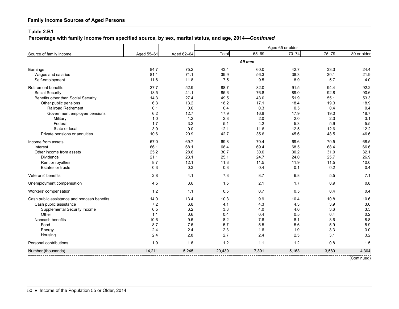**Percentage with family income from specified source, by sex, marital status, and age, 2014—***Continued*

|                                             |            |            | Aged 65 or older |         |           |       |             |
|---------------------------------------------|------------|------------|------------------|---------|-----------|-------|-------------|
| Source of family income                     | Aged 55-61 | Aged 62-64 | Total            | 65-69   | $70 - 74$ | 75-79 | 80 or older |
|                                             |            |            |                  | All men |           |       |             |
| Earnings                                    | 84.7       | 75.2       | 43.4             | 60.0    | 42.7      | 33.3  | 24.4        |
| Wages and salaries                          | 81.1       | 71.1       | 39.9             | 56.3    | 38.3      | 30.1  | 21.9        |
| Self-employment                             | 11.6       | 11.8       | 7.5              | 9.5     | 8.9       | 5.7   | 4.0         |
| <b>Retirement benefits</b>                  | 27.7       | 52.9       | 88.7             | 82.0    | 91.5      | 94.4  | 92.2        |
| Social Security                             | 18.5       | 41.1       | 85.6             | 76.8    | 89.0      | 92.8  | 90.6        |
| Benefits other than Social Security         | 14.3       | 27.4       | 49.5             | 43.0    | 51.9      | 55.1  | 53.3        |
| Other public pensions                       | 6.3        | 13.2       | 18.2             | 17.1    | 18.4      | 19.3  | 18.9        |
| <b>Railroad Retirement</b>                  | 0.1        | 0.6        | 0.4              | 0.3     | 0.5       | 0.4   | 0.4         |
| Government employee pensions                | 6.2        | 12.7       | 17.9             | 16.8    | 17.9      | 19.0  | 18.7        |
| Military                                    | 1.0        | 1.2        | 2.3              | 2.0     | 2.0       | 2.3   | 3.1         |
| Federal                                     | 1.7        | 3.2        | 5.1              | 4.2     | 5.3       | 5.9   | 5.5         |
| State or local                              | 3.9        | 9.0        | 12.1             | 11.6    | 12.5      | 12.6  | 12.2        |
| Private pensions or annuities               | 10.6       | 20.9       | 42.7             | 35.6    | 45.6      | 48.5  | 46.6        |
| Income from assets                          | 67.0       | 69.7       | 69.8             | 70.4    | 69.6      | 70.5  | 68.5        |
| Interest                                    | 66.1       | 68.1       | 68.4             | 69.4    | 68.5      | 68.4  | 66.6        |
| Other income from assets                    | 25.2       | 28.6       | 30.7             | 30.0    | 30.2      | 31.0  | 32.1        |
| <b>Dividends</b>                            | 21.1       | 23.1       | 25.1             | 24.7    | 24.0      | 25.7  | 26.9        |
| Rent or royalties                           | 8.7        | 12.1       | 11.3             | 11.5    | 11.9      | 11.5  | 10.0        |
| Estates or trusts                           | 0.3        | 0.3        | 0.3              | 0.4     | 0.1       | 0.2   | 0.4         |
| Veterans' benefits                          | 2.8        | 4.1        | 7.3              | 8.7     | 6.8       | 5.5   | 7.1         |
| Unemployment compensation                   | 4.5        | 3.6        | 1.5              | 2.1     | 1.7       | 0.9   | 0.8         |
| Workers' compensation                       | $1.2$      | 1.1        | 0.5              | 0.7     | 0.5       | 0.4   | 0.4         |
| Cash public assistance and noncash benefits | 14.0       | 13.4       | 10.3             | 9.9     | 10.4      | 10.8  | 10.6        |
| Cash public assistance                      | 7.2        | 6.8        | 4.1              | 4.3     | 4.3       | 3.9   | 3.6         |
| Supplemental Security Income                | 6.5        | 6.2        | 3.8              | 4.0     | 4.0       | 3.6   | 3.5         |
| Other                                       | 1.1        | 0.6        | 0.4              | 0.4     | 0.5       | 0.4   | 0.2         |
| Noncash benefits                            | 10.6       | 9.6        | 8.2              | 7.6     | 8.1       | 8.6   | 8.8         |
| Food                                        | 8.7        | 7.6        | 5.7              | 5.5     | 5.6       | 5.9   | 5.9         |
| Energy                                      | 2.4        | 2.4        | 2.3              | 1.6     | 1.9       | 3.3   | 3.0         |
| Housing                                     | 2.4        | 2.8        | 2.7              | 2.4     | 2.5       | 3.1   | 3.2         |
| Personal contributions                      | 1.9        | 1.6        | 1.2              | 1.1     | 1.2       | 0.8   | 1.5         |
| Number (thousands)                          | 14,211     | 5,245      | 20,439           | 7,391   | 5,163     | 3,580 | 4,304       |
|                                             |            |            |                  |         |           |       |             |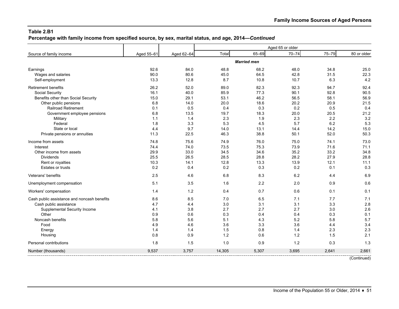**Percentage with family income from specified source, by sex, marital status, and age, 2014—***Continued*

| 65-69<br>$70 - 74$<br>75-79<br>Total<br>Aged 55-61<br>Aged 62-64<br>80 or older<br>Source of family income<br><b>Married men</b><br>84.0<br>34.8<br>92.6<br>48.8<br>68.2<br>48.0<br>25.0<br>Earnings<br>90.0<br>42.8<br>31.5<br>22.3<br>Wages and salaries<br>80.6<br>45.0<br>64.5<br>4.2<br>8.7<br>10.7<br>6.3<br>13.3<br>12.8<br>10.8<br>Self-employment<br><b>Retirement benefits</b><br>26.2<br>52.0<br>89.0<br>82.3<br>92.3<br>94.7<br>92.4<br>90.5<br>Social Security<br>16.1<br>40.0<br>85.9<br>77.3<br>90.1<br>92.8<br>15.0<br>29.1<br>53.1<br>46.2<br>56.5<br>58.1<br>56.9<br>Benefits other than Social Security<br>20.2<br>20.9<br>21.5<br>Other public pensions<br>6.8<br>14.0<br>20.0<br>18.6<br><b>Railroad Retirement</b><br>0.5<br>0.4<br>0.2<br>0.5<br>0.4<br>0.1<br>0.3<br>21.2<br>6.8<br>13.5<br>18.3<br>20.0<br>20.5<br>Government employee pensions<br>19.7<br>2.2<br>3.2<br>1.1<br>1.4<br>2.3<br>1.9<br>2.3<br>Military<br>6.2<br>5.3<br>1.8<br>3.3<br>5.3<br>4.5<br>5.7<br>Federal<br>9.7<br>14.2<br>State or local<br>4.4<br>14.0<br>13.1<br>15.0<br>14.4<br>52.0<br>50.3<br>Private pensions or annuities<br>11.3<br>22.5<br>46.3<br>38.8<br>50.1<br>Income from assets<br>74.8<br>75.6<br>74.9<br>76.0<br>75.0<br>74.1<br>73.0<br>73.9<br>71.6<br>71.1<br>74.4<br>74.0<br>73.5<br>75.3<br>Interest<br>Other income from assets<br>33.0<br>34.5<br>35.2<br>33.2<br>34.8<br>29.9<br>34.6<br>27.9<br>25.5<br>26.5<br>28.5<br>28.2<br>28.8<br><b>Dividends</b><br>28.8<br>10.3<br>14.1<br>12.8<br>13.9<br>12.1<br>11.1<br>Rent or royalties<br>13.3<br>0.2<br>0.3<br><b>Estates or trusts</b><br>0.4<br>0.2<br>0.3<br>0.2<br>0.1<br>Veterans' benefits<br>2.5<br>4.6<br>6.8<br>8.3<br>6.2<br>6.9<br>4.4<br>2.2<br>0.6<br>5.1<br>3.5<br>1.6<br>2.0<br>0.9<br>Unemployment compensation<br>Workers' compensation<br>1.2<br>0.6<br>0.1<br>0.1<br>1.4<br>0.4<br>0.7<br>Cash public assistance and noncash benefits<br>8.6<br>8.5<br>7.0<br>6.5<br>7.1<br>7.1<br>7.7<br>2.8<br>4.7<br>3.0<br>3.1<br>3.1<br>3.3<br>Cash public assistance<br>4.4<br>2.7<br>2.7<br>3.0<br>2.6<br>4.1<br>3.8<br>2.7<br>Supplemental Security Income<br>Other<br>0.6<br>0.3<br>0.1<br>0.9<br>0.3<br>0.4<br>0.4<br>5.7<br>Noncash benefits<br>5.8<br>5.6<br>4.3<br>5.2<br>5.8<br>5.1<br>3.4<br>4.9<br>4.6<br>3.6<br>3.3<br>3.6<br>Food<br>4.4<br>2.3<br>1.4<br>1.4<br>0.8<br>1.4<br>2.3<br>Energy<br>1.5<br>2.1<br>0.8<br>0.9<br>1.2<br>0.6<br>1.2<br>1.5<br>Housing<br>1.8<br>1.5<br>0.9<br>1.2<br>0.3<br>1.3<br>Personal contributions<br>1.0<br>9.537<br>2,641<br>Number (thousands)<br>3,757<br>14,305<br>5,307<br>3,695<br>2,661 |  |  | Aged 65 or older |  |
|-----------------------------------------------------------------------------------------------------------------------------------------------------------------------------------------------------------------------------------------------------------------------------------------------------------------------------------------------------------------------------------------------------------------------------------------------------------------------------------------------------------------------------------------------------------------------------------------------------------------------------------------------------------------------------------------------------------------------------------------------------------------------------------------------------------------------------------------------------------------------------------------------------------------------------------------------------------------------------------------------------------------------------------------------------------------------------------------------------------------------------------------------------------------------------------------------------------------------------------------------------------------------------------------------------------------------------------------------------------------------------------------------------------------------------------------------------------------------------------------------------------------------------------------------------------------------------------------------------------------------------------------------------------------------------------------------------------------------------------------------------------------------------------------------------------------------------------------------------------------------------------------------------------------------------------------------------------------------------------------------------------------------------------------------------------------------------------------------------------------------------------------------------------------------------------------------------------------------------------------------------------------------------------------------------------------------------------------------------------------------------------------------------------------------------------------------------------------------------------------------------------------------------------------------------------------------------------------------------------------------------------|--|--|------------------|--|
|                                                                                                                                                                                                                                                                                                                                                                                                                                                                                                                                                                                                                                                                                                                                                                                                                                                                                                                                                                                                                                                                                                                                                                                                                                                                                                                                                                                                                                                                                                                                                                                                                                                                                                                                                                                                                                                                                                                                                                                                                                                                                                                                                                                                                                                                                                                                                                                                                                                                                                                                                                                                                                   |  |  |                  |  |
|                                                                                                                                                                                                                                                                                                                                                                                                                                                                                                                                                                                                                                                                                                                                                                                                                                                                                                                                                                                                                                                                                                                                                                                                                                                                                                                                                                                                                                                                                                                                                                                                                                                                                                                                                                                                                                                                                                                                                                                                                                                                                                                                                                                                                                                                                                                                                                                                                                                                                                                                                                                                                                   |  |  |                  |  |
|                                                                                                                                                                                                                                                                                                                                                                                                                                                                                                                                                                                                                                                                                                                                                                                                                                                                                                                                                                                                                                                                                                                                                                                                                                                                                                                                                                                                                                                                                                                                                                                                                                                                                                                                                                                                                                                                                                                                                                                                                                                                                                                                                                                                                                                                                                                                                                                                                                                                                                                                                                                                                                   |  |  |                  |  |
|                                                                                                                                                                                                                                                                                                                                                                                                                                                                                                                                                                                                                                                                                                                                                                                                                                                                                                                                                                                                                                                                                                                                                                                                                                                                                                                                                                                                                                                                                                                                                                                                                                                                                                                                                                                                                                                                                                                                                                                                                                                                                                                                                                                                                                                                                                                                                                                                                                                                                                                                                                                                                                   |  |  |                  |  |
|                                                                                                                                                                                                                                                                                                                                                                                                                                                                                                                                                                                                                                                                                                                                                                                                                                                                                                                                                                                                                                                                                                                                                                                                                                                                                                                                                                                                                                                                                                                                                                                                                                                                                                                                                                                                                                                                                                                                                                                                                                                                                                                                                                                                                                                                                                                                                                                                                                                                                                                                                                                                                                   |  |  |                  |  |
|                                                                                                                                                                                                                                                                                                                                                                                                                                                                                                                                                                                                                                                                                                                                                                                                                                                                                                                                                                                                                                                                                                                                                                                                                                                                                                                                                                                                                                                                                                                                                                                                                                                                                                                                                                                                                                                                                                                                                                                                                                                                                                                                                                                                                                                                                                                                                                                                                                                                                                                                                                                                                                   |  |  |                  |  |
|                                                                                                                                                                                                                                                                                                                                                                                                                                                                                                                                                                                                                                                                                                                                                                                                                                                                                                                                                                                                                                                                                                                                                                                                                                                                                                                                                                                                                                                                                                                                                                                                                                                                                                                                                                                                                                                                                                                                                                                                                                                                                                                                                                                                                                                                                                                                                                                                                                                                                                                                                                                                                                   |  |  |                  |  |
|                                                                                                                                                                                                                                                                                                                                                                                                                                                                                                                                                                                                                                                                                                                                                                                                                                                                                                                                                                                                                                                                                                                                                                                                                                                                                                                                                                                                                                                                                                                                                                                                                                                                                                                                                                                                                                                                                                                                                                                                                                                                                                                                                                                                                                                                                                                                                                                                                                                                                                                                                                                                                                   |  |  |                  |  |
|                                                                                                                                                                                                                                                                                                                                                                                                                                                                                                                                                                                                                                                                                                                                                                                                                                                                                                                                                                                                                                                                                                                                                                                                                                                                                                                                                                                                                                                                                                                                                                                                                                                                                                                                                                                                                                                                                                                                                                                                                                                                                                                                                                                                                                                                                                                                                                                                                                                                                                                                                                                                                                   |  |  |                  |  |
|                                                                                                                                                                                                                                                                                                                                                                                                                                                                                                                                                                                                                                                                                                                                                                                                                                                                                                                                                                                                                                                                                                                                                                                                                                                                                                                                                                                                                                                                                                                                                                                                                                                                                                                                                                                                                                                                                                                                                                                                                                                                                                                                                                                                                                                                                                                                                                                                                                                                                                                                                                                                                                   |  |  |                  |  |
|                                                                                                                                                                                                                                                                                                                                                                                                                                                                                                                                                                                                                                                                                                                                                                                                                                                                                                                                                                                                                                                                                                                                                                                                                                                                                                                                                                                                                                                                                                                                                                                                                                                                                                                                                                                                                                                                                                                                                                                                                                                                                                                                                                                                                                                                                                                                                                                                                                                                                                                                                                                                                                   |  |  |                  |  |
|                                                                                                                                                                                                                                                                                                                                                                                                                                                                                                                                                                                                                                                                                                                                                                                                                                                                                                                                                                                                                                                                                                                                                                                                                                                                                                                                                                                                                                                                                                                                                                                                                                                                                                                                                                                                                                                                                                                                                                                                                                                                                                                                                                                                                                                                                                                                                                                                                                                                                                                                                                                                                                   |  |  |                  |  |
|                                                                                                                                                                                                                                                                                                                                                                                                                                                                                                                                                                                                                                                                                                                                                                                                                                                                                                                                                                                                                                                                                                                                                                                                                                                                                                                                                                                                                                                                                                                                                                                                                                                                                                                                                                                                                                                                                                                                                                                                                                                                                                                                                                                                                                                                                                                                                                                                                                                                                                                                                                                                                                   |  |  |                  |  |
|                                                                                                                                                                                                                                                                                                                                                                                                                                                                                                                                                                                                                                                                                                                                                                                                                                                                                                                                                                                                                                                                                                                                                                                                                                                                                                                                                                                                                                                                                                                                                                                                                                                                                                                                                                                                                                                                                                                                                                                                                                                                                                                                                                                                                                                                                                                                                                                                                                                                                                                                                                                                                                   |  |  |                  |  |
|                                                                                                                                                                                                                                                                                                                                                                                                                                                                                                                                                                                                                                                                                                                                                                                                                                                                                                                                                                                                                                                                                                                                                                                                                                                                                                                                                                                                                                                                                                                                                                                                                                                                                                                                                                                                                                                                                                                                                                                                                                                                                                                                                                                                                                                                                                                                                                                                                                                                                                                                                                                                                                   |  |  |                  |  |
|                                                                                                                                                                                                                                                                                                                                                                                                                                                                                                                                                                                                                                                                                                                                                                                                                                                                                                                                                                                                                                                                                                                                                                                                                                                                                                                                                                                                                                                                                                                                                                                                                                                                                                                                                                                                                                                                                                                                                                                                                                                                                                                                                                                                                                                                                                                                                                                                                                                                                                                                                                                                                                   |  |  |                  |  |
|                                                                                                                                                                                                                                                                                                                                                                                                                                                                                                                                                                                                                                                                                                                                                                                                                                                                                                                                                                                                                                                                                                                                                                                                                                                                                                                                                                                                                                                                                                                                                                                                                                                                                                                                                                                                                                                                                                                                                                                                                                                                                                                                                                                                                                                                                                                                                                                                                                                                                                                                                                                                                                   |  |  |                  |  |
|                                                                                                                                                                                                                                                                                                                                                                                                                                                                                                                                                                                                                                                                                                                                                                                                                                                                                                                                                                                                                                                                                                                                                                                                                                                                                                                                                                                                                                                                                                                                                                                                                                                                                                                                                                                                                                                                                                                                                                                                                                                                                                                                                                                                                                                                                                                                                                                                                                                                                                                                                                                                                                   |  |  |                  |  |
|                                                                                                                                                                                                                                                                                                                                                                                                                                                                                                                                                                                                                                                                                                                                                                                                                                                                                                                                                                                                                                                                                                                                                                                                                                                                                                                                                                                                                                                                                                                                                                                                                                                                                                                                                                                                                                                                                                                                                                                                                                                                                                                                                                                                                                                                                                                                                                                                                                                                                                                                                                                                                                   |  |  |                  |  |
|                                                                                                                                                                                                                                                                                                                                                                                                                                                                                                                                                                                                                                                                                                                                                                                                                                                                                                                                                                                                                                                                                                                                                                                                                                                                                                                                                                                                                                                                                                                                                                                                                                                                                                                                                                                                                                                                                                                                                                                                                                                                                                                                                                                                                                                                                                                                                                                                                                                                                                                                                                                                                                   |  |  |                  |  |
|                                                                                                                                                                                                                                                                                                                                                                                                                                                                                                                                                                                                                                                                                                                                                                                                                                                                                                                                                                                                                                                                                                                                                                                                                                                                                                                                                                                                                                                                                                                                                                                                                                                                                                                                                                                                                                                                                                                                                                                                                                                                                                                                                                                                                                                                                                                                                                                                                                                                                                                                                                                                                                   |  |  |                  |  |
|                                                                                                                                                                                                                                                                                                                                                                                                                                                                                                                                                                                                                                                                                                                                                                                                                                                                                                                                                                                                                                                                                                                                                                                                                                                                                                                                                                                                                                                                                                                                                                                                                                                                                                                                                                                                                                                                                                                                                                                                                                                                                                                                                                                                                                                                                                                                                                                                                                                                                                                                                                                                                                   |  |  |                  |  |
|                                                                                                                                                                                                                                                                                                                                                                                                                                                                                                                                                                                                                                                                                                                                                                                                                                                                                                                                                                                                                                                                                                                                                                                                                                                                                                                                                                                                                                                                                                                                                                                                                                                                                                                                                                                                                                                                                                                                                                                                                                                                                                                                                                                                                                                                                                                                                                                                                                                                                                                                                                                                                                   |  |  |                  |  |
|                                                                                                                                                                                                                                                                                                                                                                                                                                                                                                                                                                                                                                                                                                                                                                                                                                                                                                                                                                                                                                                                                                                                                                                                                                                                                                                                                                                                                                                                                                                                                                                                                                                                                                                                                                                                                                                                                                                                                                                                                                                                                                                                                                                                                                                                                                                                                                                                                                                                                                                                                                                                                                   |  |  |                  |  |
|                                                                                                                                                                                                                                                                                                                                                                                                                                                                                                                                                                                                                                                                                                                                                                                                                                                                                                                                                                                                                                                                                                                                                                                                                                                                                                                                                                                                                                                                                                                                                                                                                                                                                                                                                                                                                                                                                                                                                                                                                                                                                                                                                                                                                                                                                                                                                                                                                                                                                                                                                                                                                                   |  |  |                  |  |
|                                                                                                                                                                                                                                                                                                                                                                                                                                                                                                                                                                                                                                                                                                                                                                                                                                                                                                                                                                                                                                                                                                                                                                                                                                                                                                                                                                                                                                                                                                                                                                                                                                                                                                                                                                                                                                                                                                                                                                                                                                                                                                                                                                                                                                                                                                                                                                                                                                                                                                                                                                                                                                   |  |  |                  |  |
|                                                                                                                                                                                                                                                                                                                                                                                                                                                                                                                                                                                                                                                                                                                                                                                                                                                                                                                                                                                                                                                                                                                                                                                                                                                                                                                                                                                                                                                                                                                                                                                                                                                                                                                                                                                                                                                                                                                                                                                                                                                                                                                                                                                                                                                                                                                                                                                                                                                                                                                                                                                                                                   |  |  |                  |  |
|                                                                                                                                                                                                                                                                                                                                                                                                                                                                                                                                                                                                                                                                                                                                                                                                                                                                                                                                                                                                                                                                                                                                                                                                                                                                                                                                                                                                                                                                                                                                                                                                                                                                                                                                                                                                                                                                                                                                                                                                                                                                                                                                                                                                                                                                                                                                                                                                                                                                                                                                                                                                                                   |  |  |                  |  |
|                                                                                                                                                                                                                                                                                                                                                                                                                                                                                                                                                                                                                                                                                                                                                                                                                                                                                                                                                                                                                                                                                                                                                                                                                                                                                                                                                                                                                                                                                                                                                                                                                                                                                                                                                                                                                                                                                                                                                                                                                                                                                                                                                                                                                                                                                                                                                                                                                                                                                                                                                                                                                                   |  |  |                  |  |
|                                                                                                                                                                                                                                                                                                                                                                                                                                                                                                                                                                                                                                                                                                                                                                                                                                                                                                                                                                                                                                                                                                                                                                                                                                                                                                                                                                                                                                                                                                                                                                                                                                                                                                                                                                                                                                                                                                                                                                                                                                                                                                                                                                                                                                                                                                                                                                                                                                                                                                                                                                                                                                   |  |  |                  |  |
|                                                                                                                                                                                                                                                                                                                                                                                                                                                                                                                                                                                                                                                                                                                                                                                                                                                                                                                                                                                                                                                                                                                                                                                                                                                                                                                                                                                                                                                                                                                                                                                                                                                                                                                                                                                                                                                                                                                                                                                                                                                                                                                                                                                                                                                                                                                                                                                                                                                                                                                                                                                                                                   |  |  |                  |  |
|                                                                                                                                                                                                                                                                                                                                                                                                                                                                                                                                                                                                                                                                                                                                                                                                                                                                                                                                                                                                                                                                                                                                                                                                                                                                                                                                                                                                                                                                                                                                                                                                                                                                                                                                                                                                                                                                                                                                                                                                                                                                                                                                                                                                                                                                                                                                                                                                                                                                                                                                                                                                                                   |  |  |                  |  |
|                                                                                                                                                                                                                                                                                                                                                                                                                                                                                                                                                                                                                                                                                                                                                                                                                                                                                                                                                                                                                                                                                                                                                                                                                                                                                                                                                                                                                                                                                                                                                                                                                                                                                                                                                                                                                                                                                                                                                                                                                                                                                                                                                                                                                                                                                                                                                                                                                                                                                                                                                                                                                                   |  |  |                  |  |
|                                                                                                                                                                                                                                                                                                                                                                                                                                                                                                                                                                                                                                                                                                                                                                                                                                                                                                                                                                                                                                                                                                                                                                                                                                                                                                                                                                                                                                                                                                                                                                                                                                                                                                                                                                                                                                                                                                                                                                                                                                                                                                                                                                                                                                                                                                                                                                                                                                                                                                                                                                                                                                   |  |  |                  |  |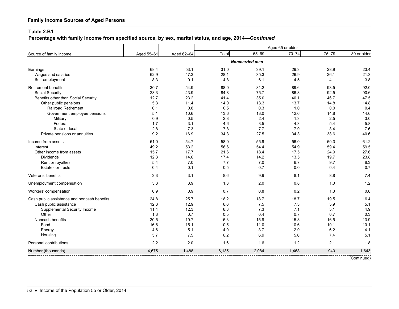**Percentage with family income from specified source, by sex, marital status, and age, 2014—***Continued*

|                                             |            |            | Aged 65 or older |                       |           |       |             |
|---------------------------------------------|------------|------------|------------------|-----------------------|-----------|-------|-------------|
| Source of family income                     | Aged 55-61 | Aged 62-64 | Total            | 65-69                 | $70 - 74$ | 75-79 | 80 or older |
|                                             |            |            |                  | <b>Nonmarried men</b> |           |       |             |
| Earnings                                    | 68.4       | 53.1       | 31.0             | 39.1                  | 29.3      | 28.9  | 23.4        |
| Wages and salaries                          | 62.9       | 47.3       | 28.1             | 35.3                  | 26.9      | 26.1  | 21.3        |
| Self-employment                             | 8.3        | 9.1        | 4.8              | 6.1                   | 4.5       | 4.1   | 3.8         |
| <b>Retirement benefits</b>                  | 30.7       | 54.9       | 88.0             | 81.2                  | 89.6      | 93.5  | 92.0        |
| Social Security                             | 23.3       | 43.9       | 84.8             | 75.7                  | 86.3      | 92.5  | 90.6        |
| Benefits other than Social Security         | 12.7       | 23.2       | 41.4             | 35.0                  | 40.1      | 46.7  | 47.5        |
| Other public pensions                       | 5.3        | 11.4       | 14.0             | 13.3                  | 13.7      | 14.8  | 14.8        |
| <b>Railroad Retirement</b>                  | 0.1        | 0.8        | 0.5              | 0.3                   | 1.0       | 0.0   | 0.4         |
| Government employee pensions                | 5.1        | 10.6       | 13.6             | 13.0                  | 12.6      | 14.8  | 14.6        |
| Military                                    | 0.9        | 0.5        | 2.3              | 2.4                   | 1.3       | 2.5   | 3.0         |
| Federal                                     | 1.7        | 3.1        | 4.6              | 3.5                   | 4.3       | 5.4   | 5.8         |
| State or local                              | 2.8        | 7.3        | 7.8              | 7.7                   | 7.9       | 8.4   | 7.6         |
| Private pensions or annuities               | 9.2        | 16.9       | 34.3             | 27.5                  | 34.3      | 38.6  | 40.6        |
| Income from assets                          | 51.0       | 54.7       | 58.0             | 55.9                  | 56.0      | 60.3  | 61.2        |
| Interest                                    | 49.2       | 53.2       | 56.6             | 54.4                  | 54.9      | 59.4  | 59.5        |
| Other income from assets                    | 15.7       | 17.7       | 21.6             | 18.4                  | 17.5      | 24.9  | 27.6        |
| <b>Dividends</b>                            | 12.3       | 14.6       | 17.4             | 14.2                  | 13.5      | 19.7  | 23.8        |
| Rent or royalties                           | 5.4        | 7.0        | 7.7              | 7.0                   | 6.7       | 9.7   | 8.3         |
| Estates or trusts                           | 0.4        | 0.1        | 0.5              | 0.7                   | 0.0       | 0.4   | 0.7         |
| Veterans' benefits                          | 3.3        | 3.1        | 8.6              | 9.9                   | 8.1       | 8.8   | 7.4         |
| Unemployment compensation                   | 3.3        | 3.9        | 1.3              | 2.0                   | 0.8       | 1.0   | 1.2         |
| Workers' compensation                       | 0.9        | 0.9        | 0.7              | 0.8                   | 0.2       | 1.3   | 0.8         |
| Cash public assistance and noncash benefits | 24.8       | 25.7       | 18.2             | 18.7                  | 18.7      | 19.5  | 16.4        |
| Cash public assistance                      | 12.3       | 12.9       | 6.6              | 7.5                   | 7.3       | 5.9   | 5.1         |
| Supplemental Security Income                | 11.4       | 12.3       | 6.3              | 7.3                   | 7.1       | 5.1   | 4.9         |
| Other                                       | 1.3        | 0.7        | 0.5              | 0.4                   | 0.7       | 0.7   | 0.3         |
| Noncash benefits                            | 20.5       | 19.7       | 15.3             | 15.9                  | 15.3      | 16.5  | 13.9        |
| Food                                        | 16.6       | 15.1       | 10.5             | 11.0                  | 10.6      | 10.1  | 10.1        |
| Energy                                      | 4.6        | 5.1        | 4.0              | 3.7                   | 2.9       | 6.2   | 4.1         |
| Housing                                     | 5.7        | 7.5        | 6.2              | 6.9                   | 5.6       | 7.4   | 5.1         |
| Personal contributions                      | 2.2        | 2.0        | 1.6              | 1.6                   | 1.2       | 2.1   | 1.8         |
| Number (thousands)                          | 4,675      | 1,488      | 6,135            | 2,084                 | 1,468     | 940   | 1,643       |
|                                             |            |            |                  |                       |           |       |             |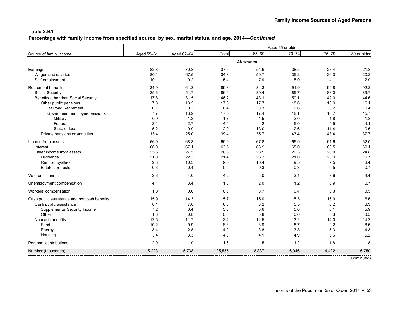**Percentage with family income from specified source, by sex, marital status, and age, 2014—***Continued*

|                                             |            |            |        |           | Aged 65 or older |       |             |
|---------------------------------------------|------------|------------|--------|-----------|------------------|-------|-------------|
| Source of family income                     | Aged 55-61 | Aged 62-64 | Total  | 65-69     | $70 - 74$        | 75-79 | 80 or older |
|                                             |            |            |        | All women |                  |       |             |
| Earnings                                    | 82.8       | 70.8       | 37.6   | 54.6      | 38.5             | 28.4  | 21.8        |
| Wages and salaries                          | 80.1       | 67.5       | 34.8   | 50.7      | 35.2             | 26.3  | 20.2        |
| Self-employment                             | 10.1       | 9.2        | 5.4    | 7.9       | 5.9              | 4.1   | 2.9         |
| <b>Retirement benefits</b>                  | 34.9       | 61.3       | 89.3   | 84.3      | 91.9             | 90.8  | 92.2        |
| Social Security                             | 25.6       | 51.7       | 86.4   | 80.4      | 89.7             | 88.0  | 89.7        |
| Benefits other than Social Security         | 17.8       | 31.5       | 46.2   | 43.1      | 50.1             | 49.0  | 44.6        |
| Other public pensions                       | 7.8        | 13.5       | 17.3   | 17.7      | 18.6             | 16.9  | 16.1        |
| <b>Railroad Retirement</b>                  | 0.1        | 0.3        | 0.4    | 0.3       | 0.6              | 0.2   | 0.4         |
| Government employee pensions                | 7.7        | 13.2       | 17.0   | 17.4      | 18.1             | 16.7  | 15.7        |
| Military                                    | 0.9        | 1.2        | 1.7    | 1.5       | 2.0              | 1.8   | 1.8         |
| Federal                                     | 2.1        | 2.7        | 4.4    | 4.2       | 5.0              | 4.5   | 4.1         |
| State or local                              | 5.2        | 9.9        | 12.0   | 13.0      | 12.6             | 11.4  | 10.6        |
| Private pensions or annuities               | 13.4       | 25.0       | 39.4   | 35.7      | 43.4             | 43.4  | 37.7        |
| Income from assets                          | 66.9       | 68.3       | 65.0   | 67.8      | 66.9             | 61.6  | 62.0        |
| Interest                                    | 66.0       | 67.1       | 63.5   | 66.9      | 65.0             | 60.5  | 60.1        |
| Other income from assets                    | 25.5       | 27.5       | 26.6   | 28.5      | 26.3             | 26.0  | 24.8        |
| Dividends                                   | 21.0       | 22.3       | 21.4   | 23.3      | 21.0             | 20.9  | 19.7        |
| Rent or royalties                           | 9.3        | 10.3       | 9.5    | 10.4      | 9.5              | 9.5   | 8.4         |
| Estates or trusts                           | 0.3        | 0.4        | 0.5    | 0.3       | 0.3              | 0.5   | 0.7         |
| Veterans' benefits                          | 2.6        | 4.0        | 4.2    | 5.0       | 3.4              | 3.6   | 4.4         |
| Unemployment compensation                   | 4.1        | 3.4        | 1.3    | 2.0       | 1.2              | 0.9   | 0.7         |
| Workers' compensation                       | 1.0        | 0.6        | 0.5    | 0.7       | 0.4              | 0.3   | 0.5         |
| Cash public assistance and noncash benefits | 15.9       | 14.3       | 15.7   | 15.0      | 15.3             | 16.0  | 16.6        |
| Cash public assistance                      | 8.1        | 7.0        | 6.0    | 6.2       | 5.5              | 6.2   | 6.3         |
| Supplemental Security Income                | 7.2        | 6.4        | 5.6    | 5.6       | 5.0              | 6.1   | 5.9         |
| Other                                       | 1.3        | 0.8        | 0.6    | 0.8       | 0.6              | 0.3   | 0.5         |
| Noncash benefits                            | 12.5       | 11.7       | 13.4   | 12.5      | 13.2             | 14.0  | 14.2        |
| Food                                        | 10.2       | 9.9        | 8.8    | 8.9       | 8.7              | 9.2   | 8.6         |
| Energy                                      | 3.4        | 2.8        | 4.2    | 3.8       | 3.8              | 5.3   | 4.3         |
| Housing                                     | 3.4        | 3.3        | 4.8    | 4.1       | 4.9              | 5.6   | 5.2         |
| Personal contributions                      | 2.9        | 1.9        | 1.6    | 1.5       | 1.2              | 1.8   | 1.8         |
| Number (thousands)                          | 15.223     | 5,738      | 25,555 | 8,337     | 6.046            | 4,422 | 6.750       |
|                                             |            |            |        |           |                  |       |             |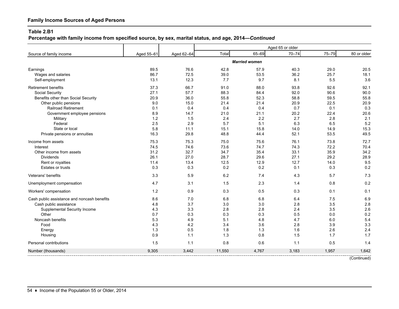**Percentage with family income from specified source, by sex, marital status, and age, 2014—***Continued*

|                                             |            |            |        |                      | Aged 65 or older |       |             |
|---------------------------------------------|------------|------------|--------|----------------------|------------------|-------|-------------|
| Source of family income                     | Aged 55-61 | Aged 62-64 | Total  | 65-69                | $70 - 74$        | 75-79 | 80 or older |
|                                             |            |            |        | <b>Married women</b> |                  |       |             |
| Earnings                                    | 89.5       | 76.6       | 42.8   | 57.9                 | 40.3             | 29.0  | 20.5        |
| Wages and salaries                          | 86.7       | 72.5       | 39.0   | 53.5                 | 36.2             | 25.7  | 18.1        |
| Self-employment                             | 13.1       | 12.3       | 7.7    | 9.7                  | 8.1              | 5.5   | 3.6         |
| <b>Retirement benefits</b>                  | 37.3       | 66.7       | 91.0   | 88.0                 | 93.8             | 92.6  | 92.1        |
| Social Security                             | 27.1       | 57.7       | 88.3   | 84.4                 | 92.0             | 90.6  | 90.0        |
| Benefits other than Social Security         | 20.9       | 36.0       | 55.8   | 52.3                 | 58.8             | 59.5  | 55.8        |
| Other public pensions                       | 9.0        | 15.0       | 21.4   | 21.4                 | 20.9             | 22.5  | 20.9        |
| <b>Railroad Retirement</b>                  | 0.1        | 0.4        | 0.4    | 0.4                  | 0.7              | 0.1   | 0.3         |
| Government employee pensions                | 8.9        | 14.7       | 21.0   | 21.1                 | 20.2             | 22.4  | 20.6        |
| Military                                    | 1.2        | 1.5        | 2.4    | 2.2                  | 2.7              | 2.8   | 2.1         |
| Federal                                     | 2.5        | 2.9        | 5.7    | 5.1                  | 6.3              | 6.5   | 5.2         |
| State or local                              | 5.8        | 11.1       | 15.1   | 15.8                 | 14.0             | 14.9  | 15.3        |
| Private pensions or annuities               | 16.3       | 29.8       | 48.8   | 44.4                 | 52.1             | 53.5  | 49.5        |
| Income from assets                          | 75.3       | 75.3       | 75.0   | 75.6                 | 76.1             | 73.8  | 72.7        |
| Interest                                    | 74.5       | 74.6       | 73.6   | 74.7                 | 74.3             | 72.2  | 70.4        |
| Other income from assets                    | 31.2       | 32.7       | 34.7   | 35.4                 | 33.1             | 35.9  | 34.2        |
| <b>Dividends</b>                            | 26.1       | 27.0       | 28.7   | 29.6                 | 27.1             | 29.2  | 28.9        |
| Rent or royalties                           | 11.4       | 13.4       | 12.5   | 12.9                 | 12.7             | 14.0  | 9.5         |
| <b>Estates or trusts</b>                    | 0.3        | 0.3        | 0.2    | 0.2                  | 0.1              | 0.3   | 0.2         |
| Veterans' benefits                          | 3.3        | 5.9        | 6.2    | 7.4                  | 4.3              | 5.7   | 7.3         |
| Unemployment compensation                   | 4.7        | 3.1        | 1.5    | 2.3                  | 1.4              | 0.8   | 0.2         |
| Workers' compensation                       | 1.2        | 0.9        | 0.3    | 0.5                  | 0.3              | 0.1   | 0.1         |
| Cash public assistance and noncash benefits | 8.6        | 7.0        | 6.8    | 6.8                  | 6.4              | 7.5   | 6.9         |
| Cash public assistance                      | 4.8        | 3.7        | 3.0    | 3.0                  | 2.8              | 3.5   | 2.8         |
| Supplemental Security Income                | 4.3        | 3.3        | 2.8    | 2.8                  | 2.4              | 3.5   | 2.6         |
| Other                                       | 0.7        | 0.3        | 0.3    | 0.3                  | 0.5              | 0.0   | 0.2         |
| Noncash benefits                            | 5.3        | 4.9        | 5.1    | 4.8                  | 4.7              | 6.0   | 5.4         |
| Food                                        | 4.3        | 4.2        | 3.4    | 3.6                  | 2.8              | 3.9   | 3.3         |
| Energy                                      | 1.3        | 0.5        | 1.8    | 1.3                  | 1.6              | 2.6   | 2.4         |
| Housing                                     | 0.9        | 1.1        | 1.3    | 0.8                  | 1.5              | 1.7   | 1.7         |
| Personal contributions                      | 1.5        | 1.1        | 0.8    | 0.6                  | 1.1              | 0.5   | 1.4         |
| Number (thousands)                          | 9,305      | 3,442      | 11,550 | 4,767                | 3,183            | 1,957 | 1,642       |
|                                             |            |            |        |                      |                  |       |             |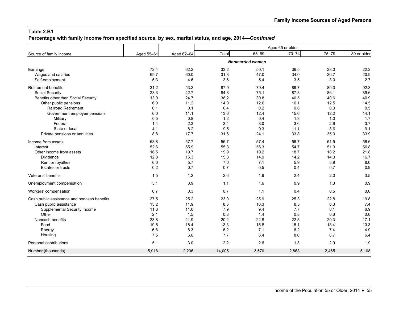**Percentage with family income from specified source, by sex, marital status, and age, 2014—***Continued*

|                                             |            |            | Aged 65 or older |                         |           |       |             |
|---------------------------------------------|------------|------------|------------------|-------------------------|-----------|-------|-------------|
| Source of family income                     | Aged 55-61 | Aged 62-64 | Total            | $65 - 69$               | $70 - 74$ | 75-79 | 80 or older |
|                                             |            |            |                  | <b>Nonmarried women</b> |           |       |             |
| Earnings                                    | 72.4       | 62.2       | 33.2             | 50.1                    | 36.5      | 28.0  | 22.2        |
| Wages and salaries                          | 69.7       | 60.0       | 31.3             | 47.0                    | 34.0      | 26.7  | 20.9        |
| Self-employment                             | 5.3        | 4.6        | 3.6              | 5.4                     | 3.5       | 3.0   | 2.7         |
| Retirement benefits                         | 31.2       | 53.2       | 87.9             | 79.4                    | 89.7      | 89.3  | 92.3        |
| Social Security                             | 23.3       | 42.7       | 84.8             | 75.1                    | 87.3      | 86.1  | 89.6        |
| Benefits other than Social Security         | 13.0       | 24.7       | 38.2             | 30.8                    | 40.5      | 40.6  | 40.9        |
| Other public pensions                       | 6.0        | 11.2       | 14.0             | 12.6                    | 16.1      | 12.5  | 14.5        |
| <b>Railroad Retirement</b>                  | 0.1        | 0.1        | 0.4              | 0.2                     | 0.6       | 0.3   | 0.5         |
| Government employee pensions                | 6.0        | 11.1       | 13.6             | 12.4                    | 15.6      | 12.2  | 14.1        |
| Military                                    | 0.5        | 0.8        | 1.2              | 0.4                     | 1.3       | 1.0   | 1.7         |
| Federal                                     | 1.4        | 2.3        | 3.4              | 3.0                     | 3.6       | 2.9   | 3.7         |
| State or local                              | 4.1        | 8.2        | 9.5              | 9.3                     | 11.1      | 8.6   | 9.1         |
| Private pensions or annuities               | 8.8        | 17.7       | 31.6             | 24.1                    | 33.8      | 35.3  | 33.9        |
| Income from assets                          | 53.8       | 57.7       | 56.7             | 57.4                    | 56.7      | 51.9  | 58.6        |
| Interest                                    | 52.6       | 55.9       | 55.3             | 56.3                    | 54.7      | 51.3  | 56.8        |
| Other income from assets                    | 16.5       | 19.7       | 19.9             | 19.2                    | 18.7      | 18.2  | 21.8        |
| <b>Dividends</b>                            | 12.8       | 15.3       | 15.3             | 14.9                    | 14.2      | 14.3  | 16.7        |
| Rent or royalties                           | 6.0        | 5.7        | 7.0              | 7.1                     | 5.9       | 5.9   | 8.0         |
| <b>Estates or trusts</b>                    | 0.2        | 0.7        | 0.7              | 0.5                     | 0.4       | 0.7   | 0.9         |
| Veterans' benefits                          | 1.5        | 1.2        | 2.6              | 1.9                     | 2.4       | 2.0   | 3.5         |
| Unemployment compensation                   | 3.1        | 3.9        | 1.1              | 1.6                     | 0.9       | 1.0   | 0.9         |
| Workers' compensation                       | 0.7        | 0.3        | 0.7              | 1.1                     | 0.4       | 0.5   | 0.6         |
| Cash public assistance and noncash benefits | 27.5       | 25.2       | 23.0             | 25.9                    | 25.3      | 22.8  | 19.8        |
| Cash public assistance                      | 13.2       | 11.9       | 8.5              | 10.3                    | 8.5       | 8.3   | 7.4         |
| Supplemental Security Income                | 11.8       | 11.0       | 7.9              | 9.4                     | 7.7       | 8.1   | 6.9         |
| Other                                       | 2.1        | 1.5        | 0.8              | 1.4                     | 0.8       | 0.6   | 0.6         |
| Noncash benefits                            | 23.8       | 21.9       | 20.2             | 22.8                    | 22.5      | 20.3  | 17.1        |
| Food                                        | 19.5       | 18.4       | 13.3             | 15.8                    | 15.1      | 13.4  | 10.3        |
| Energy                                      | 6.8        | 6.3        | 6.2              | 7.1                     | 6.2       | 7.4   | 4.9         |
| Housing                                     | 7.5        | 6.6        | 7.7              | 8.4                     | 8.6       | 8.7   | 6.4         |
| Personal contributions                      | 5.1        | 3.0        | 2.2              | 2.6                     | 1.3       | 2.9   | 1.9         |
| Number (thousands)                          | 5,918      | 2,296      | 14,005           | 3,570                   | 2,863     | 2.465 | 5,108       |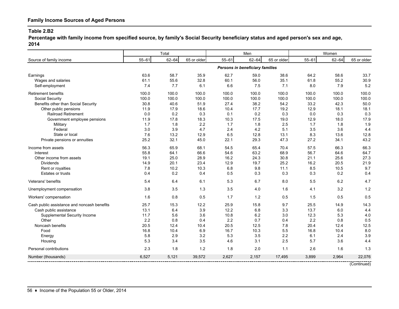**Percentage with family income from specified source, by family's Social Security beneficiary status and aged person's sex and age, 2014**

|                                             |           | Total     |             |           | Men                             | Women       |           |           |             |
|---------------------------------------------|-----------|-----------|-------------|-----------|---------------------------------|-------------|-----------|-----------|-------------|
| Source of family income                     | $55 - 61$ | $62 - 64$ | 65 or older | $55 - 61$ | $62 - 64$                       | 65 or older | $55 - 61$ | $62 - 64$ | 65 or older |
|                                             |           |           |             |           | Persons in beneficiary families |             |           |           |             |
| Earnings                                    | 63.6      | 58.7      | 35.9        | 62.7      | 59.0                            | 38.6        | 64.2      | 58.6      | 33.7        |
| Wages and salaries                          | 61.1      | 55.6      | 32.8        | 60.1      | 56.0                            | 35.1        | 61.8      | 55.2      | 30.9        |
| Self-employment                             | 7.4       | 7.7       | 6.1         | 6.6       | 7.5                             | 7.1         | 8.0       | 7.9       | 5.2         |
| <b>Retirement benefits</b>                  | 100.0     | 100.0     | 100.0       | 100.0     | 100.0                           | 100.0       | 100.0     | 100.0     | 100.0       |
| Social Security                             | 100.0     | 100.0     | 100.0       | 100.0     | 100.0                           | 100.0       | 100.0     | 100.0     | 100.0       |
| Benefits other than Social Security         | 30.8      | 40.6      | 51.9        | 27.4      | 38.2                            | 54.2        | 33.2      | 42.3      | 50.0        |
| Other public pensions                       | 11.9      | 17.9      | 18.6        | 10.4      | 17.7                            | 19.2        | 12.9      | 18.1      | 18.1        |
| <b>Railroad Retirement</b>                  | 0.0       | 0.2       | 0.3         | 0.1       | 0.2                             | 0.3         | 0.0       | 0.3       | 0.3         |
| Government employee pensions                | 11.9      | 17.8      | 18.3        | 10.3      | 17.5                            | 19.0        | 12.9      | 18.0      | 17.9        |
| Military                                    | 1.7       | 1.8       | 2.2         | 1.7       | 1.8                             | 2.5         | 1.7       | 1.8       | 1.9         |
| Federal                                     | $3.0\,$   | 3.9       | 4.7         | 2.4       | 4.2                             | 5.1         | 3.5       | 3.6       | 4.4         |
| State or local                              | 7.6       | 13.2      | 12.9        | 6.5       | 12.8                            | 13.1        | 8.3       | 13.6      | 12.8        |
| Private pensions or annuities               | 25.2      | 32.1      | 45.0        | 22.1      | 29.3                            | 47.3        | 27.2      | 34.1      | 43.2        |
| Income from assets                          | 56.3      | 65.9      | 68.1        | 54.5      | 65.4                            | 70.4        | 57.5      | 66.3      | 66.3        |
| Interest                                    | 55.8      | 64.1      | 66.6        | 54.6      | 63.2                            | 68.9        | 56.7      | 64.6      | 64.7        |
| Other income from assets                    | 19.1      | 25.0      | 28.9        | 16.2      | 24.3                            | 30.8        | 21.1      | 25.6      | 27.3        |
| <b>Dividends</b>                            | 14.9      | 20.1      | 23.4        | 12.9      | 19.7                            | 25.2        | 16.2      | 20.5      | 21.9        |
| Rent or royalties                           | 7.8       | 10.2      | 10.3        | 6.8       | 9.8                             | 11.1        | 8.5       | 10.5      | 9.7         |
| Estates or trusts                           | 0.4       | 0.2       | 0.4         | 0.5       | 0.3                             | 0.3         | 0.3       | 0.2       | 0.4         |
| Veterans' benefits                          | 5.4       | 6.4       | 6.1         | 5.3       | 6.7                             | 8.0         | 5.5       | 6.2       | 4.7         |
| Unemployment compensation                   | 3.8       | 3.5       | 1.3         | 3.5       | 4.0                             | 1.6         | 4.1       | 3.2       | 1.2         |
| Workers' compensation                       | 1.6       | 0.8       | 0.5         | 1.7       | 1.2                             | 0.5         | 1.5       | 0.5       | 0.5         |
| Cash public assistance and noncash benefits | 25.7      | 15.3      | 12.2        | 25.9      | 15.8                            | 9.7         | 25.5      | 14.9      | 14.3        |
| Cash public assistance                      | 13.1      | 6.4       | 3.9         | 12.2      | 6.8                             | 3.3         | 13.7      | 6.0       | 4.4         |
| Supplemental Security Income                | 11.7      | 5.6       | 3.6         | 10.8      | 6.2                             | 3.0         | 12.3      | 5.3       | 4.0         |
| Other                                       | 2.2       | 0.8       | 0.4         | 2.2       | 0.7                             | 0.4         | 2.2       | 0.8       | 0.5         |
| Noncash benefits                            | 20.5      | 12.4      | 10.4        | 20.5      | 12.5                            | 7.8         | 20.4      | 12.4      | 12.5        |
| Food                                        | 16.8      | 10.4      | 6.9         | 16.7      | 10.3                            | 5.5         | 16.8      | 10.4      | 8.0         |
| Energy                                      | 5.8       | 2.9       | 3.2         | 5.3       | 3.5                             | 2.2         | 6.1       | 2.4       | 3.9         |
| Housing                                     | 5.3       | 3.4       | 3.5         | 4.6       | 3.1                             | 2.5         | 5.7       | 3.6       | 4.4         |
| Personal contributions                      | 2.3       | 1.8       | $1.2$       | 1.8       | 2.0                             | 1.1         | 2.6       | 1.6       | 1.3         |
| Number (thousands)                          | 6,527     | 5,121     | 39,572      | 2,627     | 2,157                           | 17,495      | 3,899     | 2,964     | 22,076      |
|                                             |           |           |             |           |                                 |             |           |           |             |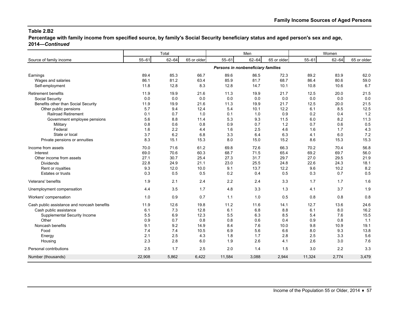**Percentage with family income from specified source, by family's Social Security beneficiary status and aged person's sex and age, 2014—***Continued*

|                                             |           | Total     |             |           | Men                                |             |           | Women     |             |
|---------------------------------------------|-----------|-----------|-------------|-----------|------------------------------------|-------------|-----------|-----------|-------------|
| Source of family income                     | $55 - 61$ | $62 - 64$ | 65 or older | $55 - 61$ | $62 - 64$                          | 65 or older | $55 - 61$ | $62 - 64$ | 65 or older |
|                                             |           |           |             |           | Persons in nonbeneficiary families |             |           |           |             |
| Earnings                                    | 89.4      | 85.3      | 66.7        | 89.6      | 86.5                               | 72.3        | 89.2      | 83.9      | 62.0        |
| Wages and salaries                          | 86.1      | 81.2      | 63.4        | 85.9      | 81.7                               | 68.7        | 86.4      | 80.6      | 59.0        |
| Self-employment                             | 11.8      | 12.8      | 8.3         | 12.8      | 14.7                               | 10.1        | 10.8      | 10.6      | 6.7         |
| <b>Retirement benefits</b>                  | 11.9      | 19.9      | 21.6        | 11.3      | 19.9                               | 21.7        | 12.5      | 20.0      | 21.5        |
| Social Security                             | 0.0       | 0.0       | 0.0         | 0.0       | 0.0                                | 0.0         | 0.0       | 0.0       | 0.0         |
| Benefits other than Social Security         | 11.9      | 19.9      | 21.6        | 11.3      | 19.9                               | 21.7        | 12.5      | 20.0      | 21.5        |
| Other public pensions                       | 5.7       | 9.4       | 12.4        | 5.4       | 10.1                               | 12.2        | 6.1       | 8.5       | 12.5        |
| <b>Railroad Retirement</b>                  | 0.1       | 0.7       | 1.0         | 0.1       | 1.0                                | 0.9         | 0.2       | 0.4       | 1.2         |
| Government employee pensions                | 5.6       | 8.8       | 11.4        | 5.3       | 9.3                                | 11.5        | 6.0       | 8.2       | 11.3        |
| Military                                    | 0.8       | 0.6       | 0.8         | 0.9       | 0.7                                | 1.2         | 0.7       | 0.6       | 0.5         |
| Federal                                     | 1.6       | 2.2       | 4.4         | 1.6       | 2.5                                | 4.6         | 1.6       | 1.7       | 4.3         |
| State or local                              | 3.7       | 6.2       | 6.8         | 3.3       | 6.4                                | 6.3         | 4.1       | 6.0       | 7.2         |
| Private pensions or annuities               | 8.3       | 15.1      | 15.3        | 8.0       | 15.0                               | 15.2        | 8.6       | 15.3      | 15.3        |
| Income from assets                          | 70.0      | 71.6      | 61.2        | 69.8      | 72.6                               | 66.3        | 70.2      | 70.4      | 56.8        |
| Interest                                    | 69.0      | 70.6      | 60.3        | 68.7      | 71.5                               | 65.4        | 69.2      | 69.7      | 56.0        |
| Other income from assets                    | 27.1      | 30.7      | 25.4        | 27.3      | 31.7                               | 29.7        | 27.0      | 29.5      | 21.9        |
| <b>Dividends</b>                            | 22.8      | 24.9      | 21.1        | 23.0      | 25.5                               | 24.8        | 22.6      | 24.3      | 18.1        |
| Rent or royalties                           | 9.3       | 12.0      | 10.0        | 9.1       | 13.7                               | 12.2        | 9.6       | 10.2      | 8.2         |
| <b>Estates or trusts</b>                    | 0.3       | 0.5       | 0.5         | 0.2       | 0.4                                | 0.5         | 0.3       | 0.7       | 0.5         |
| Veterans' benefits                          | 1.9       | 2.1       | 2.4         | 2.2       | 2.4                                | 3.3         | 1.7       | 1.7       | 1.6         |
| Unemployment compensation                   | 4.4       | 3.5       | 1.7         | 4.8       | 3.3                                | 1.3         | 4.1       | 3.7       | 1.9         |
| Workers' compensation                       | 1.0       | 0.9       | 0.7         | 1.1       | 1.0                                | 0.5         | 0.8       | 0.8       | 0.8         |
| Cash public assistance and noncash benefits | 11.9      | 12.6      | 19.8        | 11.2      | 11.6                               | 14.1        | 12.7      | 13.6      | 24.6        |
| Cash public assistance                      | 6.1       | 7.3       | 12.8        | 6.1       | 6.8                                | 8.8         | 6.1       | 8.0       | 16.2        |
| Supplemental Security Income                | 5.5       | 6.9       | 12.3        | 5.5       | 6.3                                | 8.5         | 5.4       | 7.6       | 15.5        |
| Other                                       | 0.9       | 0.7       | 0.8         | 0.8       | 0.6                                | 0.4         | 0.9       | 0.8       | 1.1         |
| Noncash benefits                            | 9.1       | 9.2       | 14.9        | 8.4       | 7.6                                | 10.0        | 9.8       | 10.9      | 19.1        |
| Food                                        | 7.4       | 7.4       | 10.5        | 6.9       | 5.6                                | 6.6         | 8.0       | 9.3       | 13.8        |
| Energy                                      | 2.1       | 2.5       | 4.3         | 1.8       | 1.7                                | 2.8         | 2.5       | 3.3       | 5.6         |
| Housing                                     | 2.3       | 2.8       | 6.0         | 1.9       | 2.6                                | 4.1         | 2.6       | 3.0       | 7.6         |
| Personal contributions                      | 2.5       | 1.7       | 2.5         | 2.0       | 1.4                                | 1.5         | 3.0       | 2.2       | 3.3         |
| Number (thousands)                          | 22,908    | 5,862     | 6,422       | 11,584    | 3,088                              | 2,944       | 11,324    | 2,774     | 3,479       |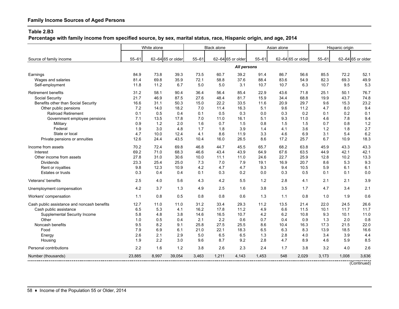**Percentage with family income from specified source, by sex, marital status, race, Hispanic origin, and age, 2014**

|                                             |           | White alone |                   |           | <b>Black alone</b> |                   |           | Asian alone |                   |           | Hispanic origin |                   |
|---------------------------------------------|-----------|-------------|-------------------|-----------|--------------------|-------------------|-----------|-------------|-------------------|-----------|-----------------|-------------------|
| Source of family income                     | $55 - 61$ |             | 62-64 65 or older | $55 - 61$ |                    | 62-64 65 or older | $55 - 61$ |             | 62-64 65 or older | $55 - 61$ |                 | 62-64 65 or older |
|                                             |           |             |                   |           |                    | All persons       |           |             |                   |           |                 |                   |
| Earnings                                    | 84.9      | 73.8        | 39.3              | 73.5      | 60.7               | 39.2              | 91.4      | 86.7        | 56.6              | 85.5      | 72.2            | 52.1              |
| Wages and salaries                          | 81.4      | 69.8        | 35.9              | 72.1      | 58.8               | 37.6              | 88.4      | 83.6        | 54.9              | 82.3      | 69.3            | 49.9              |
| Self-employment                             | 11.8      | 11.2        | 6.7               | 5.0       | 5.0                | 3.1               | 10.7      | 10.7        | 6.3               | 10.7      | 9.5             | 5.3               |
| <b>Retirement benefits</b>                  | 31.2      | 58.1        | 90.4              | 36.4      | 56.4               | 85.4              | 22.9      | 43.6        | 71.8              | 25.1      | 50.1            | 76.7              |
| Social Security                             | 21.7      | 46.9        | 87.5              | 27.6      | 48.4               | 81.7              | 15.9      | 34.4        | 68.8              | 19.9      | 43.7            | 74.8              |
| Benefits other than Social Security         | 16.6      | 31.1        | 50.3              | 15.0      | 22.2               | 33.5              | 11.6      | 20.9        | 29.7              | 9.6       | 15.3            | 23.2              |
| Other public pensions                       | 7.2       | 14.0        | 18.2              | 7.0       | 11.4               | 16.3              | 5.1       | 9.6         | 11.2              | 4.7       | 8.0             | 9.4               |
| <b>Railroad Retirement</b>                  | 0.1       | 0.5         | 0.4               | 0.1       | 0.5                | 0.3               | 0.0       | 0.3         | 0.2               | 0.1       | 0.2             | 0.1               |
| Government employee pensions                | 7.1       | 13.5        | 17.8              | 7.0       | 11.0               | 16.1              | 5.1       | 9.3         | 11.0              | 4.6       | 7.8             | 9.4               |
| Military                                    | 0.9       | 1.2         | 2.0               | 1.6       | 0.7                | 1.5               | 0.8       | 1.5         | 1.5               | 0.7       | 0.8             | 1.2               |
| Federal                                     | 1.9       | 3.0         | 4.8               | 1.7       | 1.8                | 3.9               | 1.4       | 4.1         | 3.6               | 1.2       | 1.8             | 2.7               |
| State or local                              | 4.7       | 10.0        | 12.4              | 4.1       | 8.6                | 11.9              | 3.3       | 4.6         | 6.9               | 3.1       | 5.4             | 6.2               |
| Private pensions or annuities               | 12.6      | 24.4        | 43.5              | 10.4      | 16.0               | 26.5              | 8.6       | 17.2        | 25.7              | 6.7       | 10.9            | 18.3              |
| Income from assets                          | 70.2      | 72.4        | 69.8              | 46.8      | 44.7               | 45.5              | 65.7      | 68.2        | 63.8              | 45.9      | 43.3            | 43.3              |
| Interest                                    | 69.2      | 71.0        | 68.3              | 46.6      | 43.4               | 43.9              | 64.9      | 67.6        | 63.5              | 44.9      | 42.1            | 42.1              |
| Other income from assets                    | 27.8      | 31.0        | 30.6              | 10.0      | 11.1               | 11.0              | 24.6      | 22.7        | 25.9              | 12.8      | 10.2            | 13.3              |
| <b>Dividends</b>                            | 23.3      | 25.4        | 25.0              | 7.3       | 7.0                | 7.9               | 19.1      | 16.9        | 20.7              | 8.6       | 5.3             | 9.3               |
| Rent or royalties                           | 9.8       | 12.3        | 10.9              | 4.2       | 4.7                | 4.7               | 9.3       | 9.4         | 10.5              | 5.9       | 6.1             | 6.1               |
| <b>Estates or trusts</b>                    | 0.3       | 0.4         | 0.4               | 0.1       | 0.3                | 0.2               | 0.0       | 0.3         | 0.5               | 0.1       | 0.1             | 0.0               |
| Veterans' benefits                          | 2.5       | 4.0         | 5.6               | 4.3       | 4.2                | 5.5               | 1.2       | 2.8         | 4.1               | 2.1       | 2.1             | 3.9               |
| Unemployment compensation                   | 4.2       | 3.7         | 1.3               | 4.9       | 2.5                | 1.6               | 3.8       | 3.5         | 1.7               | 4.7       | 3.4             | 2.1               |
| Workers' compensation                       | 1.1       | 0.8         | 0.5               | 0.8       | 0.8                | 0.6               | 1.3       | 1.1         | 0.8               | 1.0       | 1.9             | 0.6               |
| Cash public assistance and noncash benefits | 12.7      | 11.0        | 11.0              | 31.2      | 33.4               | 29.3              | 11.2      | 13.5        | 21.4              | 22.0      | 24.5            | 26.6              |
| Cash public assistance                      | 6.5       | 5.3         | 4.1               | 16.2      | 17.8               | 11.2              | 4.9       | 6.6         | 11.5              | 10.1      | 11.7            | 11.7              |
| Supplemental Security Income                | 5.8       | 4.8         | 3.8               | 14.6      | 16.5               | 10.7              | 4.2       | 6.2         | 10.8              | 9.3       | 10.1            | 11.0              |
| Other                                       | 1.0       | 0.5         | 0.4               | 2.1       | 2.2                | 0.6               | 0.7       | 0.4         | 0.9               | 1.3       | 2.0             | 0.8               |
| Noncash benefits                            | 9.5       | 8.2         | 9.1               | 25.8      | 27.5               | 25.5              | 8.6       | 10.4        | 16.3              | 17.3      | 21.5            | 22.0              |
| Food                                        | 7.9       | 6.9         | 6.1               | 21.0      | 22.1               | 18.3              | 6.5       | 6.3         | 8.3               | 13.9      | 18.5            | 16.6              |
| Energy                                      | 2.6       | 2.1         | 2.9               | 5.0       | 6.5                | 6.5               | 1.3       | 2.8         | 4.0               | 3.4       | 3.9             | 4.4               |
| Housing                                     | 1.9       | 2.2         | 3.0               | 9.6       | 8.7                | 9.2               | 2.8       | 4.7         | 8.9               | 4.6       | 5.9             | 8.5               |
| Personal contributions                      | 2.2       | 1.6         | 1.2               | 3.8       | 2.6                | 2.3               | 2.4       | 1.7         | 3.8               | 3.2       | 4.0             | 2.6               |
| Number (thousands)                          | 23,885    | 8.997       | 39,054            | 3,463     | 1.211              | 4.143             | 1.453     | 548         | 2.029             | 3,173     | 1.008           | 3.636             |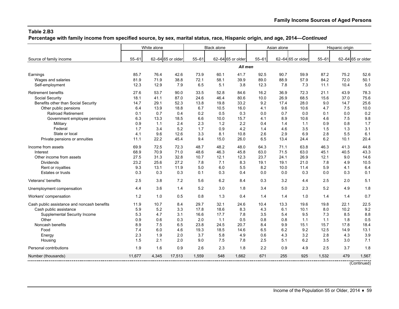**Percentage with family income from specified source, by sex, marital status, race, Hispanic origin, and age, 2014—***Continued*

|                                             |           | White alone |                   |           | <b>Black alone</b> |                   |           | Asian alone |                   |           | Hispanic origin |                   |
|---------------------------------------------|-----------|-------------|-------------------|-----------|--------------------|-------------------|-----------|-------------|-------------------|-----------|-----------------|-------------------|
| Source of family income                     | $55 - 61$ |             | 62-64 65 or older | $55 - 61$ |                    | 62-64 65 or older | $55 - 61$ |             | 62-64 65 or older | $55 - 61$ |                 | 62-64 65 or older |
|                                             |           |             |                   |           |                    |                   |           |             |                   |           |                 |                   |
|                                             |           |             |                   |           |                    | All men           |           |             |                   |           |                 |                   |
| Earnings                                    | 85.7      | 76.4        | 42.6              | 73.9      | 60.1               | 41.7              | 92.5      | 90.7        | 59.9              | 87.2      | 75.2            | 52.6              |
| Wages and salaries                          | 81.9      | 71.9        | 38.8              | 72.1      | 58.1               | 39.9              | 89.0      | 88.9        | 57.9              | 84.2      | 72.0            | 50.1              |
| Self-employment                             | 12.3      | 12.9        | 7.9               | 6.5       | 5.1                | 3.8               | 12.3      | 7.8         | 7.3               | 11.1      | 10.4            | 5.0               |
| <b>Retirement benefits</b>                  | 27.6      | 53.7        | 90.0              | 33.5      | 52.8               | 84.6              | 16.2      | 36.9        | 72.3              | 21.1      | 43.9            | 78.3              |
| Social Security                             | 18.1      | 41.1        | 87.0              | 24.6      | 46.4               | 80.6              | 10.0      | 26.9        | 68.5              | 15.6      | 37.0            | 75.6              |
| Benefits other than Social Security         | 14.7      | 29.1        | 52.3              | 13.8      | 19.8               | 33.2              | 9.2       | 17.4        | 28.0              | 9.0       | 14.7            | 25.6              |
| Other public pensions                       | 6.4       | 13.9        | 18.8              | 6.7       | 10.5               | 16.0              | 4.1       | 9.6         | 10.6              | 4.7       | 7.5             | 10.0              |
| <b>Railroad Retirement</b>                  | 0.1       | 0.7         | 0.4               | 0.2       | 0.5                | 0.3               | 0.0       | 0.7         | 0.0               | 0.1       | 0.0             | 0.2               |
| Government employee pensions                | 6.3       | 13.3        | 18.5              | 6.6       | 10.0               | 15.7              | 4.1       | 8.9         | 10.6              | 4.6       | 7.5             | 9.8               |
| Military                                    | 0.9       | 1.1         | 2.4               | 2.3       | 1.2                | 2.2               | 0.4       | 1.4         | 1.1               | 0.9       | 0.8             | 1.7               |
| Federal                                     | 1.7       | 3.4         | 5.2               | 1.7       | 0.9                | 4.2               | 1.4       | 4.6         | 3.5               | 1.5       | 1.3             | 3.1               |
| State or local                              | 4.1       | 9.6         | 12.6              | 3.3       | 8.1                | 10.8              | 2.6       | 2.9         | 6.9               | 2.8       | 5.5             | 6.1               |
| Private pensions or annuities               | 11.1      | 22.2        | 45.4              | 9.4       | 15.0               | 26.0              | 6.5       | 13.4        | 24.4              | 6.2       | 10.1            | 20.4              |
| Income from assets                          | 69.9      | 72.5        | 72.3              | 48.7      | 48.2               | 48.0              | 64.3      | 71.1        | 63.8              | 46.3      | 41.3            | 44.8              |
| Interest                                    | 68.9      | 70.9        | 71.0              | 48.6      | 46.3               | 45.8              | 63.0      | 71.5        | 63.0              | 45.1      | 40.5            | 43.3              |
| Other income from assets                    | 27.5      | 31.3        | 32.8              | 10.7      | 12.1               | 12.3              | 23.7      | 24.1        | 26.9              | 12.1      | 9.0             | 14.6              |
| <b>Dividends</b>                            | 23.2      | 25.6        | 27.2              | 7.8       | 7.1                | 8.3               | 19.1      | 19.1        | 21.0              | 7.8       | 4.9             | 10.5              |
| Rent or royalties                           | 9.3       | 13.1        | 11.9              | 5.0       | 6.0                | 5.5               | 8.2       | 10.0        | 11.4              | 5.9       | 4.1             | 6.4               |
| <b>Estates or trusts</b>                    | 0.3       | 0.3         | 0.3               | 0.1       | 0.3                | 0.4               | 0.0       | 0.0         | 0.3               | 0.0       | 0.3             | 0.1               |
| Veterans' benefits                          | 2.5       | 3.8         | 7.2               | 5.6       | 6.2                | 8.4               | 0.3       | 3.2         | 4.4               | 2.5       | 2.0             | 5.1               |
| Unemployment compensation                   | 4.4       | 3.6         | 1.4               | 5.2       | 3.0                | 1.8               | 3.4       | 5.0         | 2.3               | 5.2       | 4.9             | 1.8               |
| Workers' compensation                       | 1.2       | 1.0         | 0.5               | 0.8       | 1.3                | 0.4               | 1.4       | 1.4         | 1.0               | 1.4       | 1.4             | 0.7               |
| Cash public assistance and noncash benefits | 11.9      | 10.7        | 8.4               | 29.7      | 32.1               | 24.6              | 10.4      | 13.3        | 19.6              | 19.8      | 22.1            | 22.5              |
| Cash public assistance                      | 5.9       | 5.2         | 3.3               | 17.8      | 18.6               | 8.3               | 4.3       | 6.1         | 10.1              | 8.0       | 10.2            | 9.2               |
| Supplemental Security Income                | 5.3       | 4.7         | 3.1               | 16.6      | 17.7               | 7.8               | 3.5       | 5.4         | 9.5               | 7.3       | 8.5             | 8.8               |
| Other                                       | 0.9       | 0.6         | 0.3               | 2.0       | 1.1                | 0.5               | 0.8       | 0.8         | 1.1               | 1.1       | 1.8             | 0.5               |
| Noncash benefits                            | 8.9       | 7.5         | 6.5               | 23.8      | 24.5               | 20.7              | 8.4       | 9.9         | 15.1              | 15.7      | 17.8            | 18.4              |
| Food                                        | 7.4       | 6.0         | 4.6               | 19.3      | 18.5               | 14.6              | 6.5       | 6.2         | 9.2               | 12.5      | 14.9            | 13.1              |
| Energy                                      | 2.3       | 1.9         | 2.0               | 3.7       | 5.8                | 4.9               | 0.6       | 4.3         | 3.2               | 2.8       | 4.3             | 3.9               |
| Housing                                     | 1.5       | 2.1         | 2.0               | 9.0       | 7.5                | 7.8               | 2.5       | 5.1         | 6.2               | 3.5       | 3.0             | 7.1               |
| Personal contributions                      | 1.9       | 1.6         | 0.9               | 2.6       | 2.3                | 1.8               | 2.2       | 0.9         | 4.9               | 2.5       | 3.7             | 1.8               |
| Number (thousands)                          | 11.677    | 4.345       | 17,513            | 1.559     | 548                | 1.662             | 671       | 255         | 925               | 1,532     | 479             | 1.567             |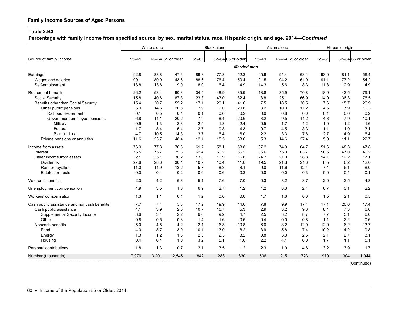**Percentage with family income from specified source, by sex, marital status, race, Hispanic origin, and age, 2014—***Continued*

| 62-64 65 or older<br>62-64 65 or older<br>$55 - 61$<br>$55 - 61$<br>62-64 65 or older<br>$55 - 61$<br>$55 - 61$<br>62-64 65 or older<br>Source of family income<br><b>Married</b> men<br>92.8<br>83.8<br>47.6<br>89.3<br>52.3<br>95.9<br>63.1<br>93.0<br>77.8<br>94.4<br>81.1<br>Earnings<br>77.2<br>90.1<br>80.0<br>43.6<br>88.6<br>76.4<br>50.4<br>91.5<br>94.2<br>61.0<br>91.1<br>Wages and salaries<br>5.6<br>8.3<br>12.9<br>Self-employment<br>13.8<br>13.8<br>9.0<br>8.0<br>6.4<br>4.9<br>14.3<br>11.8<br>26.2<br>53.4<br>90.3<br>48.9<br>85.9<br>35.9<br>43.5<br><b>Retirement benefits</b><br>34.4<br>13.8<br>70.8<br>18.9<br>15.8<br>40.6<br>87.3<br>23.3<br>43.0<br>82.4<br>8.8<br>25.1<br>66.9<br>36.3<br>14.0<br>Social Security<br>30.7<br>55.2<br>7.5<br>18.5<br>15.7<br>Benefits other than Social Security<br>15.4<br>17.1<br>20.1<br>41.6<br>30.5<br>7.6<br>14.6<br>20.5<br>7.9<br>20.8<br>3.2<br>11.2<br>4.5<br>7.9<br>Other public pensions<br>6.9<br>9.0<br>10.3<br>0.5<br>0.4<br>0.1<br>0.6<br>0.2<br>0.0<br>0.8<br>0.0<br>0.1<br>0.0<br><b>Railroad Retirement</b><br>0.1<br>7.9<br>6.8<br>14.1<br>20.2<br>8.4<br>20.6<br>3.2<br>9.5<br>11.2<br>4.3<br>7.9<br>Government employee pensions<br>2.3<br>2.5<br>0.5<br>0.9<br>1.3<br>2.4<br>1.7<br>1.2<br>1.2<br>Military<br>1.8<br>1.0<br>Federal<br>2.7<br>0.7<br>4.5<br>3.3<br>1.7<br>3.4<br>5.4<br>0.8<br>4.3<br>1.1<br>1.9<br>4.7<br>14.3<br>3.7<br>6.4<br>2.2<br>3.3<br>7.8<br>2.7<br>4.9<br>State or local<br>10.5<br>16.0<br>23.7<br>5.3<br>14.6<br>27.4<br>Private pensions or annuities<br>11.6<br>48.4<br>12.1<br>15.5<br>33.6<br>5.0<br>11.1<br>77.3<br>48.3<br>76.9<br>76.6<br>61.7<br>58.1<br>58.8<br>67.2<br>74.9<br>51.6<br>Income from assets<br>64.7<br>75.7<br>75.3<br>62.4<br>56.2<br>65.6<br>75.3<br>63.7<br>47.0<br>76.5<br>56.2<br>50.5<br>Interest<br>32.1<br>35.1<br>36.2<br>12.2<br>Other income from assets<br>13.8<br>16.9<br>16.8<br>24.7<br>27.0<br>28.8<br>14.1<br>27.6<br>28.6<br>30.1<br>19.5<br>21.3<br>6.2<br><b>Dividends</b><br>10.7<br>10.4<br>11.6<br>21.6<br>8.5<br>13.2<br>5.7<br>8.3<br>9.0<br>11.6<br>6.1<br>11.0<br>14.9<br>8.1<br>12.4<br>7.4<br>Rent or royalties<br>0.2<br>0.0<br>0.0<br>0.0<br>0.4<br><b>Estates or trusts</b><br>0.3<br>0.4<br>0.6<br>0.3<br>0.3<br>0.0<br>0.3<br>3.2<br>2.5<br>Veterans' benefits<br>2.3<br>4.2<br>6.8<br>5.1<br>7.6<br>7.0<br>3.7<br>2.0<br>3.5<br>6.9<br>2.7<br>4.2<br>3.3<br>3.1<br>Unemployment compensation<br>4.9<br>1.6<br>1.2<br>2.4<br>6.7<br>1.2<br>1.7<br>1.6<br>0.6<br>2.1<br>1.3<br>1.1<br>0.4<br>0.6<br>0.0<br>1.5<br>Workers' compensation<br>9.9<br>7.7<br>7.4<br>5.8<br>17.2<br>19.9<br>7.8<br>17.4<br>17.1<br>20.0<br>Cash public assistance and noncash benefits<br>14.6<br>3.9<br>2.5<br>10.7<br>2.9<br>3.2<br>9.6<br>7.3<br>Cash public assistance<br>4.1<br>10.7<br>5.3<br>8.4<br>3.6<br>2.2<br>9.6<br>9.2<br>2.5<br>3.2<br>8.7<br>5.1<br>3.4<br>4.7<br>7.7<br>Supplemental Security Income<br>Other<br>0.6<br>0.3<br>1.6<br>0.6<br>0.0<br>0.8<br>1.1<br>2.2<br>0.8<br>1.4<br>0.4<br>8.2<br>16.2<br>Noncash benefits<br>5.0<br>4.5<br>4.2<br>12.1<br>16.3<br>6.0<br>12.9<br>12.0<br>10.8<br>4.3<br>3.7<br>3.0<br>10.1<br>8.2<br>3.9<br>5.8<br>7.4<br>14.2<br>Food<br>13.0<br>10.2<br>2.7<br>1.3<br>1.2<br>1.3<br>2.3<br>2.3<br>3.2<br>0.8<br>3.3<br>2.5<br>2.1<br>Energy<br>0.4<br>1.0<br>3.2<br>5.1<br>1.0<br>2.2<br>4.1<br>1.7<br>1.1<br>Housing<br>0.4<br>6.0<br>1.3<br>3.5<br>2.3<br>1.0<br>3.2<br>Personal contributions<br>1.8<br>0.7<br>2.1<br>1.2<br>4.6<br>3.9 |                    |       | White alone |        |     | <b>Black alone</b> |     |     | Asian alone |     |     | Hispanic origin |       |
|---------------------------------------------------------------------------------------------------------------------------------------------------------------------------------------------------------------------------------------------------------------------------------------------------------------------------------------------------------------------------------------------------------------------------------------------------------------------------------------------------------------------------------------------------------------------------------------------------------------------------------------------------------------------------------------------------------------------------------------------------------------------------------------------------------------------------------------------------------------------------------------------------------------------------------------------------------------------------------------------------------------------------------------------------------------------------------------------------------------------------------------------------------------------------------------------------------------------------------------------------------------------------------------------------------------------------------------------------------------------------------------------------------------------------------------------------------------------------------------------------------------------------------------------------------------------------------------------------------------------------------------------------------------------------------------------------------------------------------------------------------------------------------------------------------------------------------------------------------------------------------------------------------------------------------------------------------------------------------------------------------------------------------------------------------------------------------------------------------------------------------------------------------------------------------------------------------------------------------------------------------------------------------------------------------------------------------------------------------------------------------------------------------------------------------------------------------------------------------------------------------------------------------------------------------------------------------------------------------------------------------------------------------------------------------------------------------------------------------------------------------------------------------------------------------------------------------------------------------------------------------------------------------------------------------------------------------------------------------------------------------------------------------------------------------------------------------------------------------------------------------------------------------------------------------------------------------------------------------------------------------------------------------------------------------------------------------------------------------------------------------------------------------------------------------------------------------------------------------------------------------------------------------------------------|--------------------|-------|-------------|--------|-----|--------------------|-----|-----|-------------|-----|-----|-----------------|-------|
|                                                                                                                                                                                                                                                                                                                                                                                                                                                                                                                                                                                                                                                                                                                                                                                                                                                                                                                                                                                                                                                                                                                                                                                                                                                                                                                                                                                                                                                                                                                                                                                                                                                                                                                                                                                                                                                                                                                                                                                                                                                                                                                                                                                                                                                                                                                                                                                                                                                                                                                                                                                                                                                                                                                                                                                                                                                                                                                                                                                                                                                                                                                                                                                                                                                                                                                                                                                                                                                                                                                                                   |                    |       |             |        |     |                    |     |     |             |     |     |                 |       |
|                                                                                                                                                                                                                                                                                                                                                                                                                                                                                                                                                                                                                                                                                                                                                                                                                                                                                                                                                                                                                                                                                                                                                                                                                                                                                                                                                                                                                                                                                                                                                                                                                                                                                                                                                                                                                                                                                                                                                                                                                                                                                                                                                                                                                                                                                                                                                                                                                                                                                                                                                                                                                                                                                                                                                                                                                                                                                                                                                                                                                                                                                                                                                                                                                                                                                                                                                                                                                                                                                                                                                   |                    |       |             |        |     |                    |     |     |             |     |     |                 |       |
|                                                                                                                                                                                                                                                                                                                                                                                                                                                                                                                                                                                                                                                                                                                                                                                                                                                                                                                                                                                                                                                                                                                                                                                                                                                                                                                                                                                                                                                                                                                                                                                                                                                                                                                                                                                                                                                                                                                                                                                                                                                                                                                                                                                                                                                                                                                                                                                                                                                                                                                                                                                                                                                                                                                                                                                                                                                                                                                                                                                                                                                                                                                                                                                                                                                                                                                                                                                                                                                                                                                                                   |                    |       |             |        |     |                    |     |     |             |     |     |                 | 56.4  |
|                                                                                                                                                                                                                                                                                                                                                                                                                                                                                                                                                                                                                                                                                                                                                                                                                                                                                                                                                                                                                                                                                                                                                                                                                                                                                                                                                                                                                                                                                                                                                                                                                                                                                                                                                                                                                                                                                                                                                                                                                                                                                                                                                                                                                                                                                                                                                                                                                                                                                                                                                                                                                                                                                                                                                                                                                                                                                                                                                                                                                                                                                                                                                                                                                                                                                                                                                                                                                                                                                                                                                   |                    |       |             |        |     |                    |     |     |             |     |     |                 | 54.2  |
|                                                                                                                                                                                                                                                                                                                                                                                                                                                                                                                                                                                                                                                                                                                                                                                                                                                                                                                                                                                                                                                                                                                                                                                                                                                                                                                                                                                                                                                                                                                                                                                                                                                                                                                                                                                                                                                                                                                                                                                                                                                                                                                                                                                                                                                                                                                                                                                                                                                                                                                                                                                                                                                                                                                                                                                                                                                                                                                                                                                                                                                                                                                                                                                                                                                                                                                                                                                                                                                                                                                                                   |                    |       |             |        |     |                    |     |     |             |     |     |                 | 4.9   |
|                                                                                                                                                                                                                                                                                                                                                                                                                                                                                                                                                                                                                                                                                                                                                                                                                                                                                                                                                                                                                                                                                                                                                                                                                                                                                                                                                                                                                                                                                                                                                                                                                                                                                                                                                                                                                                                                                                                                                                                                                                                                                                                                                                                                                                                                                                                                                                                                                                                                                                                                                                                                                                                                                                                                                                                                                                                                                                                                                                                                                                                                                                                                                                                                                                                                                                                                                                                                                                                                                                                                                   |                    |       |             |        |     |                    |     |     |             |     |     |                 | 79.1  |
|                                                                                                                                                                                                                                                                                                                                                                                                                                                                                                                                                                                                                                                                                                                                                                                                                                                                                                                                                                                                                                                                                                                                                                                                                                                                                                                                                                                                                                                                                                                                                                                                                                                                                                                                                                                                                                                                                                                                                                                                                                                                                                                                                                                                                                                                                                                                                                                                                                                                                                                                                                                                                                                                                                                                                                                                                                                                                                                                                                                                                                                                                                                                                                                                                                                                                                                                                                                                                                                                                                                                                   |                    |       |             |        |     |                    |     |     |             |     |     |                 | 76.5  |
|                                                                                                                                                                                                                                                                                                                                                                                                                                                                                                                                                                                                                                                                                                                                                                                                                                                                                                                                                                                                                                                                                                                                                                                                                                                                                                                                                                                                                                                                                                                                                                                                                                                                                                                                                                                                                                                                                                                                                                                                                                                                                                                                                                                                                                                                                                                                                                                                                                                                                                                                                                                                                                                                                                                                                                                                                                                                                                                                                                                                                                                                                                                                                                                                                                                                                                                                                                                                                                                                                                                                                   |                    |       |             |        |     |                    |     |     |             |     |     |                 | 26.9  |
|                                                                                                                                                                                                                                                                                                                                                                                                                                                                                                                                                                                                                                                                                                                                                                                                                                                                                                                                                                                                                                                                                                                                                                                                                                                                                                                                                                                                                                                                                                                                                                                                                                                                                                                                                                                                                                                                                                                                                                                                                                                                                                                                                                                                                                                                                                                                                                                                                                                                                                                                                                                                                                                                                                                                                                                                                                                                                                                                                                                                                                                                                                                                                                                                                                                                                                                                                                                                                                                                                                                                                   |                    |       |             |        |     |                    |     |     |             |     |     |                 | 10.3  |
|                                                                                                                                                                                                                                                                                                                                                                                                                                                                                                                                                                                                                                                                                                                                                                                                                                                                                                                                                                                                                                                                                                                                                                                                                                                                                                                                                                                                                                                                                                                                                                                                                                                                                                                                                                                                                                                                                                                                                                                                                                                                                                                                                                                                                                                                                                                                                                                                                                                                                                                                                                                                                                                                                                                                                                                                                                                                                                                                                                                                                                                                                                                                                                                                                                                                                                                                                                                                                                                                                                                                                   |                    |       |             |        |     |                    |     |     |             |     |     |                 | 0.2   |
|                                                                                                                                                                                                                                                                                                                                                                                                                                                                                                                                                                                                                                                                                                                                                                                                                                                                                                                                                                                                                                                                                                                                                                                                                                                                                                                                                                                                                                                                                                                                                                                                                                                                                                                                                                                                                                                                                                                                                                                                                                                                                                                                                                                                                                                                                                                                                                                                                                                                                                                                                                                                                                                                                                                                                                                                                                                                                                                                                                                                                                                                                                                                                                                                                                                                                                                                                                                                                                                                                                                                                   |                    |       |             |        |     |                    |     |     |             |     |     |                 | 10.1  |
|                                                                                                                                                                                                                                                                                                                                                                                                                                                                                                                                                                                                                                                                                                                                                                                                                                                                                                                                                                                                                                                                                                                                                                                                                                                                                                                                                                                                                                                                                                                                                                                                                                                                                                                                                                                                                                                                                                                                                                                                                                                                                                                                                                                                                                                                                                                                                                                                                                                                                                                                                                                                                                                                                                                                                                                                                                                                                                                                                                                                                                                                                                                                                                                                                                                                                                                                                                                                                                                                                                                                                   |                    |       |             |        |     |                    |     |     |             |     |     |                 | 1.6   |
|                                                                                                                                                                                                                                                                                                                                                                                                                                                                                                                                                                                                                                                                                                                                                                                                                                                                                                                                                                                                                                                                                                                                                                                                                                                                                                                                                                                                                                                                                                                                                                                                                                                                                                                                                                                                                                                                                                                                                                                                                                                                                                                                                                                                                                                                                                                                                                                                                                                                                                                                                                                                                                                                                                                                                                                                                                                                                                                                                                                                                                                                                                                                                                                                                                                                                                                                                                                                                                                                                                                                                   |                    |       |             |        |     |                    |     |     |             |     |     |                 | 3.1   |
|                                                                                                                                                                                                                                                                                                                                                                                                                                                                                                                                                                                                                                                                                                                                                                                                                                                                                                                                                                                                                                                                                                                                                                                                                                                                                                                                                                                                                                                                                                                                                                                                                                                                                                                                                                                                                                                                                                                                                                                                                                                                                                                                                                                                                                                                                                                                                                                                                                                                                                                                                                                                                                                                                                                                                                                                                                                                                                                                                                                                                                                                                                                                                                                                                                                                                                                                                                                                                                                                                                                                                   |                    |       |             |        |     |                    |     |     |             |     |     |                 | 6.4   |
|                                                                                                                                                                                                                                                                                                                                                                                                                                                                                                                                                                                                                                                                                                                                                                                                                                                                                                                                                                                                                                                                                                                                                                                                                                                                                                                                                                                                                                                                                                                                                                                                                                                                                                                                                                                                                                                                                                                                                                                                                                                                                                                                                                                                                                                                                                                                                                                                                                                                                                                                                                                                                                                                                                                                                                                                                                                                                                                                                                                                                                                                                                                                                                                                                                                                                                                                                                                                                                                                                                                                                   |                    |       |             |        |     |                    |     |     |             |     |     |                 | 22.7  |
|                                                                                                                                                                                                                                                                                                                                                                                                                                                                                                                                                                                                                                                                                                                                                                                                                                                                                                                                                                                                                                                                                                                                                                                                                                                                                                                                                                                                                                                                                                                                                                                                                                                                                                                                                                                                                                                                                                                                                                                                                                                                                                                                                                                                                                                                                                                                                                                                                                                                                                                                                                                                                                                                                                                                                                                                                                                                                                                                                                                                                                                                                                                                                                                                                                                                                                                                                                                                                                                                                                                                                   |                    |       |             |        |     |                    |     |     |             |     |     |                 | 47.8  |
|                                                                                                                                                                                                                                                                                                                                                                                                                                                                                                                                                                                                                                                                                                                                                                                                                                                                                                                                                                                                                                                                                                                                                                                                                                                                                                                                                                                                                                                                                                                                                                                                                                                                                                                                                                                                                                                                                                                                                                                                                                                                                                                                                                                                                                                                                                                                                                                                                                                                                                                                                                                                                                                                                                                                                                                                                                                                                                                                                                                                                                                                                                                                                                                                                                                                                                                                                                                                                                                                                                                                                   |                    |       |             |        |     |                    |     |     |             |     |     |                 | 46.2  |
|                                                                                                                                                                                                                                                                                                                                                                                                                                                                                                                                                                                                                                                                                                                                                                                                                                                                                                                                                                                                                                                                                                                                                                                                                                                                                                                                                                                                                                                                                                                                                                                                                                                                                                                                                                                                                                                                                                                                                                                                                                                                                                                                                                                                                                                                                                                                                                                                                                                                                                                                                                                                                                                                                                                                                                                                                                                                                                                                                                                                                                                                                                                                                                                                                                                                                                                                                                                                                                                                                                                                                   |                    |       |             |        |     |                    |     |     |             |     |     |                 | 17.1  |
|                                                                                                                                                                                                                                                                                                                                                                                                                                                                                                                                                                                                                                                                                                                                                                                                                                                                                                                                                                                                                                                                                                                                                                                                                                                                                                                                                                                                                                                                                                                                                                                                                                                                                                                                                                                                                                                                                                                                                                                                                                                                                                                                                                                                                                                                                                                                                                                                                                                                                                                                                                                                                                                                                                                                                                                                                                                                                                                                                                                                                                                                                                                                                                                                                                                                                                                                                                                                                                                                                                                                                   |                    |       |             |        |     |                    |     |     |             |     |     |                 | 12.0  |
|                                                                                                                                                                                                                                                                                                                                                                                                                                                                                                                                                                                                                                                                                                                                                                                                                                                                                                                                                                                                                                                                                                                                                                                                                                                                                                                                                                                                                                                                                                                                                                                                                                                                                                                                                                                                                                                                                                                                                                                                                                                                                                                                                                                                                                                                                                                                                                                                                                                                                                                                                                                                                                                                                                                                                                                                                                                                                                                                                                                                                                                                                                                                                                                                                                                                                                                                                                                                                                                                                                                                                   |                    |       |             |        |     |                    |     |     |             |     |     |                 | 8.0   |
|                                                                                                                                                                                                                                                                                                                                                                                                                                                                                                                                                                                                                                                                                                                                                                                                                                                                                                                                                                                                                                                                                                                                                                                                                                                                                                                                                                                                                                                                                                                                                                                                                                                                                                                                                                                                                                                                                                                                                                                                                                                                                                                                                                                                                                                                                                                                                                                                                                                                                                                                                                                                                                                                                                                                                                                                                                                                                                                                                                                                                                                                                                                                                                                                                                                                                                                                                                                                                                                                                                                                                   |                    |       |             |        |     |                    |     |     |             |     |     |                 | 0.1   |
|                                                                                                                                                                                                                                                                                                                                                                                                                                                                                                                                                                                                                                                                                                                                                                                                                                                                                                                                                                                                                                                                                                                                                                                                                                                                                                                                                                                                                                                                                                                                                                                                                                                                                                                                                                                                                                                                                                                                                                                                                                                                                                                                                                                                                                                                                                                                                                                                                                                                                                                                                                                                                                                                                                                                                                                                                                                                                                                                                                                                                                                                                                                                                                                                                                                                                                                                                                                                                                                                                                                                                   |                    |       |             |        |     |                    |     |     |             |     |     |                 | 4.8   |
|                                                                                                                                                                                                                                                                                                                                                                                                                                                                                                                                                                                                                                                                                                                                                                                                                                                                                                                                                                                                                                                                                                                                                                                                                                                                                                                                                                                                                                                                                                                                                                                                                                                                                                                                                                                                                                                                                                                                                                                                                                                                                                                                                                                                                                                                                                                                                                                                                                                                                                                                                                                                                                                                                                                                                                                                                                                                                                                                                                                                                                                                                                                                                                                                                                                                                                                                                                                                                                                                                                                                                   |                    |       |             |        |     |                    |     |     |             |     |     |                 | 2.2   |
|                                                                                                                                                                                                                                                                                                                                                                                                                                                                                                                                                                                                                                                                                                                                                                                                                                                                                                                                                                                                                                                                                                                                                                                                                                                                                                                                                                                                                                                                                                                                                                                                                                                                                                                                                                                                                                                                                                                                                                                                                                                                                                                                                                                                                                                                                                                                                                                                                                                                                                                                                                                                                                                                                                                                                                                                                                                                                                                                                                                                                                                                                                                                                                                                                                                                                                                                                                                                                                                                                                                                                   |                    |       |             |        |     |                    |     |     |             |     |     |                 | 0.5   |
|                                                                                                                                                                                                                                                                                                                                                                                                                                                                                                                                                                                                                                                                                                                                                                                                                                                                                                                                                                                                                                                                                                                                                                                                                                                                                                                                                                                                                                                                                                                                                                                                                                                                                                                                                                                                                                                                                                                                                                                                                                                                                                                                                                                                                                                                                                                                                                                                                                                                                                                                                                                                                                                                                                                                                                                                                                                                                                                                                                                                                                                                                                                                                                                                                                                                                                                                                                                                                                                                                                                                                   |                    |       |             |        |     |                    |     |     |             |     |     |                 | 17.4  |
|                                                                                                                                                                                                                                                                                                                                                                                                                                                                                                                                                                                                                                                                                                                                                                                                                                                                                                                                                                                                                                                                                                                                                                                                                                                                                                                                                                                                                                                                                                                                                                                                                                                                                                                                                                                                                                                                                                                                                                                                                                                                                                                                                                                                                                                                                                                                                                                                                                                                                                                                                                                                                                                                                                                                                                                                                                                                                                                                                                                                                                                                                                                                                                                                                                                                                                                                                                                                                                                                                                                                                   |                    |       |             |        |     |                    |     |     |             |     |     |                 | 6.6   |
|                                                                                                                                                                                                                                                                                                                                                                                                                                                                                                                                                                                                                                                                                                                                                                                                                                                                                                                                                                                                                                                                                                                                                                                                                                                                                                                                                                                                                                                                                                                                                                                                                                                                                                                                                                                                                                                                                                                                                                                                                                                                                                                                                                                                                                                                                                                                                                                                                                                                                                                                                                                                                                                                                                                                                                                                                                                                                                                                                                                                                                                                                                                                                                                                                                                                                                                                                                                                                                                                                                                                                   |                    |       |             |        |     |                    |     |     |             |     |     |                 | 6.0   |
|                                                                                                                                                                                                                                                                                                                                                                                                                                                                                                                                                                                                                                                                                                                                                                                                                                                                                                                                                                                                                                                                                                                                                                                                                                                                                                                                                                                                                                                                                                                                                                                                                                                                                                                                                                                                                                                                                                                                                                                                                                                                                                                                                                                                                                                                                                                                                                                                                                                                                                                                                                                                                                                                                                                                                                                                                                                                                                                                                                                                                                                                                                                                                                                                                                                                                                                                                                                                                                                                                                                                                   |                    |       |             |        |     |                    |     |     |             |     |     |                 | 0.6   |
|                                                                                                                                                                                                                                                                                                                                                                                                                                                                                                                                                                                                                                                                                                                                                                                                                                                                                                                                                                                                                                                                                                                                                                                                                                                                                                                                                                                                                                                                                                                                                                                                                                                                                                                                                                                                                                                                                                                                                                                                                                                                                                                                                                                                                                                                                                                                                                                                                                                                                                                                                                                                                                                                                                                                                                                                                                                                                                                                                                                                                                                                                                                                                                                                                                                                                                                                                                                                                                                                                                                                                   |                    |       |             |        |     |                    |     |     |             |     |     |                 | 13.7  |
|                                                                                                                                                                                                                                                                                                                                                                                                                                                                                                                                                                                                                                                                                                                                                                                                                                                                                                                                                                                                                                                                                                                                                                                                                                                                                                                                                                                                                                                                                                                                                                                                                                                                                                                                                                                                                                                                                                                                                                                                                                                                                                                                                                                                                                                                                                                                                                                                                                                                                                                                                                                                                                                                                                                                                                                                                                                                                                                                                                                                                                                                                                                                                                                                                                                                                                                                                                                                                                                                                                                                                   |                    |       |             |        |     |                    |     |     |             |     |     |                 | 9.8   |
|                                                                                                                                                                                                                                                                                                                                                                                                                                                                                                                                                                                                                                                                                                                                                                                                                                                                                                                                                                                                                                                                                                                                                                                                                                                                                                                                                                                                                                                                                                                                                                                                                                                                                                                                                                                                                                                                                                                                                                                                                                                                                                                                                                                                                                                                                                                                                                                                                                                                                                                                                                                                                                                                                                                                                                                                                                                                                                                                                                                                                                                                                                                                                                                                                                                                                                                                                                                                                                                                                                                                                   |                    |       |             |        |     |                    |     |     |             |     |     |                 | 3.1   |
|                                                                                                                                                                                                                                                                                                                                                                                                                                                                                                                                                                                                                                                                                                                                                                                                                                                                                                                                                                                                                                                                                                                                                                                                                                                                                                                                                                                                                                                                                                                                                                                                                                                                                                                                                                                                                                                                                                                                                                                                                                                                                                                                                                                                                                                                                                                                                                                                                                                                                                                                                                                                                                                                                                                                                                                                                                                                                                                                                                                                                                                                                                                                                                                                                                                                                                                                                                                                                                                                                                                                                   |                    |       |             |        |     |                    |     |     |             |     |     |                 | 5.1   |
|                                                                                                                                                                                                                                                                                                                                                                                                                                                                                                                                                                                                                                                                                                                                                                                                                                                                                                                                                                                                                                                                                                                                                                                                                                                                                                                                                                                                                                                                                                                                                                                                                                                                                                                                                                                                                                                                                                                                                                                                                                                                                                                                                                                                                                                                                                                                                                                                                                                                                                                                                                                                                                                                                                                                                                                                                                                                                                                                                                                                                                                                                                                                                                                                                                                                                                                                                                                                                                                                                                                                                   |                    |       |             |        |     |                    |     |     |             |     |     |                 | 1.7   |
|                                                                                                                                                                                                                                                                                                                                                                                                                                                                                                                                                                                                                                                                                                                                                                                                                                                                                                                                                                                                                                                                                                                                                                                                                                                                                                                                                                                                                                                                                                                                                                                                                                                                                                                                                                                                                                                                                                                                                                                                                                                                                                                                                                                                                                                                                                                                                                                                                                                                                                                                                                                                                                                                                                                                                                                                                                                                                                                                                                                                                                                                                                                                                                                                                                                                                                                                                                                                                                                                                                                                                   | Number (thousands) | 7.976 | 3,201       | 12.545 | 842 | 283                | 830 | 536 | 215         | 723 | 970 | 304             | 1.044 |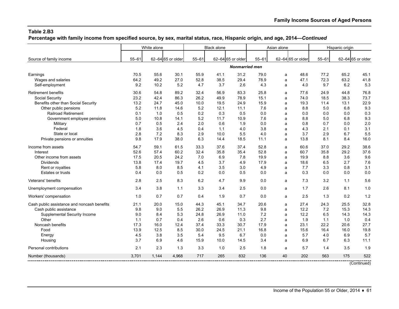**Percentage with family income from specified source, by sex, marital status, race, Hispanic origin, and age, 2014—***Continued*

|                                             |           | White alone |                   |           | <b>Black alone</b> |                       |           | Asian alone       |      |           | Hispanic origin |                   |
|---------------------------------------------|-----------|-------------|-------------------|-----------|--------------------|-----------------------|-----------|-------------------|------|-----------|-----------------|-------------------|
|                                             | $55 - 61$ |             | 62-64 65 or older | $55 - 61$ |                    | 62-64 65 or older     | $55 - 61$ | 62-64 65 or older |      | $55 - 61$ |                 | 62-64 65 or older |
| Source of family income                     |           |             |                   |           |                    |                       |           |                   |      |           |                 |                   |
|                                             |           |             |                   |           |                    | <b>Nonmarried men</b> |           |                   |      |           |                 |                   |
| Earnings                                    | 70.5      | 55.6        | 30.1              | 55.9      | 41.1               | 31.2                  | 79.0      | a                 | 48.6 | 77.2      | 65.2            | 45.1              |
| Wages and salaries                          | 64.2      | 49.2        | 27.0              | 52.8      | 38.5               | 29.4                  | 78.9      | a                 | 47.1 | 72.3      | 63.2            | 41.8              |
| Self-employment                             | 9.2       | 10.2        | 5.2               | 4.7       | 3.7                | 2.6                   | 4.3       | a                 | 4.0  | 9.7       | 6.2             | 5.3               |
| <b>Retirement benefits</b>                  | 30.6      | 54.8        | 89.2              | 32.4      | 56.9               | 83.3                  | 25.8      | a                 | 77.6 | 24.9      | 44.8            | 76.8              |
| Social Security                             | 23.2      | 42.4        | 86.3              | 26.2      | 49.9               | 78.9                  | 15.1      | a                 | 74.0 | 18.5      | 38.3            | 73.7              |
| Benefits other than Social Security         | 13.2      | 24.7        | 45.0              | 10.0      | 19.5               | 24.9                  | 15.9      | a                 | 19.3 | 11.4      | 13.1            | 22.9              |
| Other public pensions                       | 5.2       | 11.8        | 14.6              | 5.2       | 12.1               | 11.1                  | 7.6       | a                 | 8.8  | 5.0       | 6.8             | 9.3               |
| <b>Railroad Retirement</b>                  | 0.1       | 1.0         | 0.5               | 0.2       | 0.3                | 0.5                   | 0.0       | a                 | 0.0  | 0.0       | 0.0             | 0.3               |
| Government employee pensions                | 5.0       | 10.8        | 14.1              | 5.2       | 11.7               | 10.9                  | 7.6       | a                 | 8.8  | 5.0       | 6.8             | 9.3               |
| Military                                    | 0.7       | 0.5         | 2.4               | 2.0       | 0.6                | 1.9                   | 0.0       | a                 | 0.8  | 0.7       | 0.0             | 2.0               |
| Federal                                     | 1.8       | 3.6         | 4.5               | 0.4       | 1.1                | 4.0                   | 3.8       | a                 | 4.3  | 2.1       | 0.1             | 3.1               |
| State or local                              | 2.8       | 7.2         | 8.3               | 2.9       | 10.0               | 5.5                   | 4.0       | a                 | 3.7  | 2.9       | 6.7             | 5.5               |
| Private pensions or annuities               | 9.8       | 17.9        | 38.0              | 6.3       | 14.4               | 18.5                  | 11.1      | a                 | 13.8 | 8.1       | 8.4             | 16.0              |
| Income from assets                          | 54.7      | 59.1        | 61.5              | 33.3      | 37.6               | 37.4                  | 52.8      | a                 | 60.6 | 37.0      | 29.2            | 38.6              |
| Interest                                    | 52.6      | 57.4        | 60.2              | 32.4      | 35.8               | 35.4                  | 52.8      | a                 | 60.7 | 35.8      | 29.2            | 37.6              |
| Other income from assets                    | 17.5      | 20.5        | 24.2              | 7.0       | 6.9                | 7.8                   | 19.9      | a                 | 19.9 | 8.8       | 3.6             | 9.6               |
| <b>Dividends</b>                            | 13.8      | 17.4        | 19.7              | 4.5       | 3.7                | 4.9                   | 17.9      | a                 | 18.6 | 6.5       | 2.7             | 7.6               |
| Rent or royalties                           | 5.8       | 8.0         | 8.5               | 4.1       | 3.5                | 3.0                   | 4.9       | a                 | 7.7  | 3.3       | 0.8             | 3.1               |
| <b>Estates or trusts</b>                    | 0.4       | 0.0         | 0.5               | 0.2       | 0.0                | 0.5                   | 0.0       | a                 | 0.3  | 0.0       | 0.0             | 0.0               |
| Veterans' benefits                          | 2.8       | 2.5         | 8.3               | 6.2       | 4.7                | 9.9                   | 0.0       | a                 | 7.3  | 3.2       | 1.1             | 5.6               |
| Unemployment compensation                   | 3.4       | 3.8         | 1.1               | 3.3       | 3.4                | 2.5                   | 0.0       | a                 | 1.7  | 2.6       | 8.1             | 1.0               |
| Workers' compensation                       | 1.0       | 0.7         | 0.7               | 0.4       | 1.9                | 0.7                   | 0.0       | a                 | 2.5  | 1.3       | 0.2             | 1.2               |
| Cash public assistance and noncash benefits | 21.1      | 20.0        | 15.0              | 44.3      | 45.1               | 34.7                  | 20.6      | a                 | 27.4 | 24.3      | 25.5            | 32.8              |
| Cash public assistance                      | 9.8       | 9.0         | 5.5               | 26.2      | 26.9               | 11.3                  | 9.8       | a                 | 12.2 | 7.2       | 15.3            | 14.3              |
| Supplemental Security Income                | 9.0       | 8.4         | 5.3               | 24.8      | 26.9               | 11.0                  | 7.2       | a                 | 12.2 | 6.5       | 14.3            | 14.3              |
| Other                                       | 1.1       | 0.7         | 0.4               | 2.6       | 0.6                | 0.3                   | 2.7       | a                 | 1.9  | 1.1       | 1.0             | 0.4               |
| Noncash benefits                            | 17.3      | 16.0        | 12.4              | 37.4      | 33.3               | 30.7                  | 17.9      | a                 | 23.1 | 22.2      | 20.6            | 27.7              |
| Food                                        | 13.9      | 12.5        | 8.5               | 30.0      | 24.5               | 21.1                  | 16.8      | a                 | 15.6 | 16.4      | 16.0            | 19.8              |
| Energy                                      | 4.5       | 3.8         | 3.5               | 5.4       | 9.5                | 6.7                   | 0.0       | a                 | 5.7  | 4.0       | 6.9             | 5.7               |
| Housing                                     | 3.7       | 6.9         | 4.6               | 15.9      | 10.0               | 14.5                  | 3.4       | a                 | 6.9  | 6.7       | 6.3             | 11.1              |
| Personal contributions                      | 2.1       | 2.3         | 1.3               | 3.3       | 1.0                | 2.5                   | 1.8       | a                 | 5.7  | 1.4       | 3.5             | 1.9               |
| Number (thousands)                          | 3.701     | 1.144       | 4.968             | 717       | 265                | 832                   | 136       | 40                | 202  | 563       | 175             | 522               |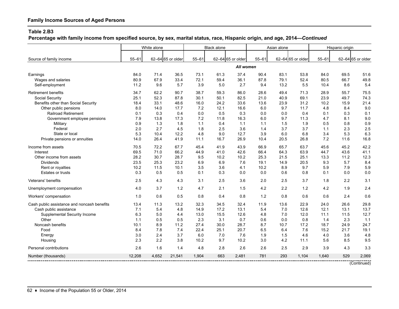**Percentage with family income from specified source, by sex, marital status, race, Hispanic origin, and age, 2014—***Continued*

|                                             |           | White alone |                   |           | <b>Black alone</b> |                   |           | Asian alone |                   |           | Hispanic origin |                   |
|---------------------------------------------|-----------|-------------|-------------------|-----------|--------------------|-------------------|-----------|-------------|-------------------|-----------|-----------------|-------------------|
| Source of family income                     | $55 - 61$ |             | 62-64 65 or older | $55 - 61$ |                    | 62-64 65 or older | $55 - 61$ |             | 62-64 65 or older | $55 - 61$ |                 | 62-64 65 or older |
|                                             |           |             |                   |           |                    |                   |           |             |                   |           |                 |                   |
|                                             |           |             |                   |           |                    | All women         |           |             |                   |           |                 |                   |
| Earnings                                    | 84.0      | 71.4        | 36.5              | 73.1      | 61.3               | 37.4              | 90.4      | 83.1        | 53.8              | 84.0      | 69.5            | 51.6              |
| Wages and salaries                          | 80.9      | 67.9        | 33.4              | 72.1      | 59.4               | 36.1              | 87.8      | 79.1        | 52.4              | 80.5      | 66.7            | 49.8              |
| Self-employment                             | 11.2      | 9.6         | 5.7               | 3.9       | 5.0                | 2.7               | 9.4       | 13.2        | 5.5               | 10.4      | 8.6             | 5.4               |
| <b>Retirement benefits</b>                  | 34.7      | 62.2        | 90.7              | 38.7      | 59.3               | 86.0              | 28.6      | 49.4        | 71.3              | 28.9      | 55.7            | 75.5              |
| Social Security                             | 25.1      | 52.3        | 87.8              | 30.1      | 50.1               | 82.5              | 21.0      | 40.9        | 69.1              | 23.9      | 49.7            | 74.3              |
| Benefits other than Social Security         | 18.4      | 33.1        | 48.6              | 16.0      | 24.2               | 33.6              | 13.6      | 23.9        | 31.2              | 10.2      | 15.9            | 21.4              |
| Other public pensions                       | 8.0       | 14.0        | 17.7              | 7.2       | 12.1               | 16.6              | 6.0       | 9.7         | 11.7              | 4.8       | 8.4             | 9.0               |
| <b>Railroad Retirement</b>                  | 0.1       | 0.3         | 0.4               | 0.0       | 0.5                | 0.3               | 0.0       | 0.0         | 0.4               | 0.1       | 0.3             | 0.1               |
| Government employee pensions                | 7.9       | 13.8        | 17.3              | 7.2       | 11.8               | 16.3              | 6.0       | 9.7         | 11.3              | 4.7       | 8.1             | 9.0               |
| Military                                    | 0.9       | 1.3         | 1.8               | 1.1       | 0.4                | 1.1               | 1.1       | 1.5         | 1.9               | 0.5       | 0.8             | 0.9               |
| Federal                                     | 2.0       | 2.7         | 4.5               | 1.8       | 2.5                | 3.6               | 1.4       | 3.7         | 3.7               | 1.1       | 2.3             | 2.5               |
| State or local                              | 5.3       | 10.4        | 12.2              | 4.8       | 9.0                | 12.7              | 3.9       | 6.0         | 6.8               | 3.4       | 5.3             | 6.3               |
| Private pensions or annuities               | 14.0      | 26.4        | 41.9              | 11.1      | 16.7               | 26.9              | 10.4      | 20.5        | 26.8              | 7.2       | 11.6            | 16.8              |
| Income from assets                          | 70.5      | 72.2        | 67.7              | 45.4      | 41.9               | 43.9              | 66.9      | 65.7        | 63.7              | 45.6      | 45.2            | 42.2              |
| Interest                                    | 69.5      | 71.0        | 66.2              | 44.9      | 41.0               | 42.6              | 66.4      | 64.3        | 63.9              | 44.7      | 43.6            | 41.1              |
| Other income from assets                    | 28.2      | 30.7        | 28.7              | 9.5       | 10.2               | 10.2              | 25.3      | 21.5        | 25.1              | 13.3      | 11.2            | 12.3              |
| <b>Dividends</b>                            | 23.5      | 25.3        | 23.2              | 6.9       | 6.9                | 7.6               | 19.1      | 14.9        | 20.5              | 9.3       | 5.7             | 8.4               |
| Rent or royalties                           | 10.2      | 11.5        | 10.1              | 3.5       | 3.6                | 4.1               | 10.2      | 8.9         | 9.7               | 5.9       | 7.9             | 5.9               |
| <b>Estates or trusts</b>                    | 0.3       | 0.5         | 0.5               | 0.1       | 0.3                | 0.0               | 0.0       | 0.6         | 0.8               | 0.1       | 0.0             | 0.0               |
| Veterans' benefits                          | 2.5       | 4.3         | 4.3               | 3.1       | 2.5                | 3.6               | 2.0       | 2.5         | 3.7               | 1.8       | 2.2             | 3.1               |
| Unemployment compensation                   | 4.0       | 3.7         | 1.2               | 4.7       | 2.1                | 1.5               | 4.2       | 2.2         | 1.2               | 4.2       | 1.9             | 2.4               |
| Workers' compensation                       | 1.0       | 0.6         | 0.5               | 0.8       | 0.4                | 0.8               | 1.2       | 0.8         | 0.6               | 0.6       | 2.4             | 0.6               |
| Cash public assistance and noncash benefits | 13.4      | 11.3        | 13.2              | 32.3      | 34.5               | 32.4              | 11.9      | 13.6        | 22.9              | 24.0      | 26.6            | 29.8              |
| Cash public assistance                      | 7.1       | 5.4         | 4.8               | 14.9      | 17.2               | 13.1              | 5.4       | 7.0         | 12.6              | 12.1      | 13.1            | 13.7              |
| Supplemental Security Income                | 6.3       | 5.0         | 4.4               | 13.0      | 15.5               | 12.6              | 4.8       | 7.0         | 12.0              | 11.1      | 11.5            | 12.7              |
| Other                                       | 1.1       | 0.5         | 0.5               | 2.3       | 3.1                | 0.7               | 0.6       | 0.0         | 0.8               | 1.4       | 2.3             | 1.1               |
| Noncash benefits                            | 10.1      | 8.9         | 11.2              | 27.4      | 30.0               | 28.7              | 8.7       | 10.7        | 17.2              | 18.7      | 24.9            | 24.7              |
| Food                                        | 8.4       | 7.8         | 7.4               | 22.4      | 25.1               | 20.7              | 6.5       | 6.4         | 7.6               | 15.2      | 21.7            | 19.1              |
| Energy                                      | 3.0       | 2.4         | 3.7               | 6.0       | 7.0                | 7.6               | 1.9       | 1.5         | 4.6               | 4.0       | 3.6             | 4.8               |
| Housing                                     | 2.3       | 2.2         | 3.8               | 10.2      | 9.7                | 10.2              | 3.0       | 4.2         | 11.1              | 5.6       | 8.5             | 9.5               |
| Personal contributions                      | 2.6       | 1.6         | 1.4               | 4.8       | 2.8                | 2.6               | 2.6       | 2.5         | 2.9               | 3.9       | 4.3             | 3.3               |
| Number (thousands)                          | 12,208    | 4.652       | 21,541            | 1.904     | 663                | 2.481             | 781       | 293         | 1.104             | 1.640     | 529             | 2,069             |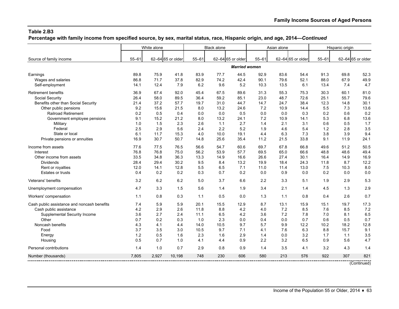**Percentage with family income from specified source, by sex, marital status, race, Hispanic origin, and age, 2014—***Continued*

|                                             |           | White alone |                   |           | <b>Black alone</b> |                      |           | Asian alone |                   |           | Hispanic origin |                   |
|---------------------------------------------|-----------|-------------|-------------------|-----------|--------------------|----------------------|-----------|-------------|-------------------|-----------|-----------------|-------------------|
|                                             | $55 - 61$ |             | 62-64 65 or older | $55 - 61$ |                    | 62-64 65 or older    | $55 - 61$ |             | 62-64 65 or older | $55 - 61$ |                 | 62-64 65 or older |
| Source of family income                     |           |             |                   |           |                    |                      |           |             |                   |           |                 |                   |
|                                             |           |             |                   |           |                    | <b>Married women</b> |           |             |                   |           |                 |                   |
| Earnings                                    | 89.8      | 75.9        | 41.8              | 83.9      | 77.7               | 44.5                 | 92.9      | 83.6        | 54.4              | 91.3      | 69.8            | 52.3              |
| Wages and salaries                          | 86.8      | 71.7        | 37.8              | 82.9      | 74.2               | 42.4                 | 90.1      | 79.6        | 52.1              | 88.0      | 67.9            | 49.9              |
| Self-employment                             | 14.1      | 12.4        | 7.9               | 6.2       | 9.6                | 5.2                  | 10.3      | 13.5        | 6.1               | 13.4      | 7.4             | 4.7               |
| <b>Retirement benefits</b>                  | 36.9      | 67.4        | 92.0              | 45.4      | 67.5               | 89.6                 | 31.3      | 55.3        | 75.3              | 30.3      | 60.1            | 81.0              |
| Social Security                             | 26.4      | 58.0        | 89.5              | 36.4      | 59.2               | 85.1                 | 23.0      | 48.7        | 72.6              | 25.1      | 55.7            | 79.6              |
| Benefits other than Social Security         | 21.4      | 37.2        | 57.7              | 19.7      | 31.0               | 44.7                 | 14.7      | 24.7        | 38.4              | 12.3      | 14.8            | 30.1              |
| Other public pensions                       | 9.2       | 15.6        | 21.5              | 8.0       | 13.2               | 24.6                 | 7.2       | 10.9        | 14.4              | 5.5       | 7.3             | 13.6              |
| <b>Railroad Retirement</b>                  | 0.2       | 0.5         | 0.4               | 0.0       | 0.0                | 0.5                  | 0.0       | 0.0         | 0.3               | 0.2       | 0.6             | 0.2               |
| Government employee pensions                | 9.1       | 15.2        | 21.2              | 8.0       | 13.2               | 24.1                 | 7.2       | 10.9        | 14.1              | 5.3       | 6.8             | 13.6              |
| Military                                    | 1.0       | 1.5         | 2.3               | 2.6       | 1.1                | 2.7                  | 1.4       | 2.1         | 3.1               | 0.6       | 0.5             | 1.7               |
| Federal                                     | 2.5       | 2.9         | 5.6               | 2.4       | 2.2                | 5.2                  | 1.9       | 4.6         | 5.4               | 1.2       | 2.8             | 3.5               |
| State or local                              | 6.1       | 11.7        | 15.3              | 4.0       | 10.0               | 19.1                 | 4.4       | 6.3         | 7.3               | 3.8       | 3.9             | 9.4               |
| Private pensions or annuities               | 16.9      | 30.7        | 50.7              | 14.8      | 25.6               | 35.4                 | 11.2      | 21.5        | 33.8              | 9.1       | 11.9            | 24.1              |
| Income from assets                          | 77.6      | 77.5        | 76.5              | 56.6      | 54.7               | 60.6                 | 69.7      | 67.8        | 66.8              | 49.6      | 51.2            | 50.5              |
| Interest                                    | 76.8      | 76.8        | 75.0              | 56.2      | 53.9               | 57.7                 | 69.5      | 65.0        | 66.6              | 48.8      | 48.6            | 49.4              |
| Other income from assets                    | 33.5      | 34.8        | 36.3              | 13.3      | 14.9               | 16.6                 | 26.6      | 27.4        | 30.1              | 16.4      | 14.9            | 16.9              |
| <b>Dividends</b>                            | 28.4      | 29.4        | 30.2              | 9.5       | 8.4                | 13.2                 | 19.9      | 18.4        | 24.3              | 11.8      | 8.7             | 12.2              |
| Rent or royalties                           | 12.0      | 14.1        | 12.8              | 5.5       | 6.5                | 7.1                  | 11.0      | 11.4        | 13.0              | 7.5       | 10.3            | 8.0               |
| <b>Estates or trusts</b>                    | 0.4       | 0.2         | 0.2               | 0.3       | 0.7                | 0.2                  | 0.0       | 0.9         | 0.0               | 0.2       | 0.0             | 0.0               |
| Veterans' benefits                          | 3.2       | 6.2         | 6.2               | 5.0       | 3.7                | 6.6                  | 2.2       | 3.3         | 5.1               | 1.9       | 2.9             | 5.3               |
| Unemployment compensation                   | 4.7       | 3.3         | 1.5               | 5.6       | 1.4                | 1.9                  | 3.4       | 2.1         | 1.4               | 4.5       | 1.3             | 2.9               |
| Workers' compensation                       | 1.1       | 0.8         | 0.3               | 1.1       | 0.5                | 0.0                  | 1.3       | 1.1         | 0.8               | 0.4       | 2.6             | 0.7               |
| Cash public assistance and noncash benefits | 7.4       | 5.9         | 5.9               | 20.1      | 15.5               | 12.9                 | 8.7       | 13.1        | 15.9              | 15.1      | 19.7            | 17.3              |
| Cash public assistance                      | 4.2       | 2.9         | 2.6               | 11.8      | 8.8                | 4.2                  | 4.0       | 7.2         | 8.5               | 7.6       | 8.5             | 7.2               |
| Supplemental Security Income                | 3.6       | 2.7         | 2.4               | 11.1      | 6.5                | 4.2                  | 3.6       | 7.2         | 7.8               | 7.0       | 8.1             | 6.5               |
| Other                                       | 0.7       | 0.2         | 0.3               | 1.0       | 2.3                | 0.0                  | 0.4       | 0.0         | 0.7               | 0.6       | 0.5             | 0.7               |
| Noncash benefits                            | 4.3       | 4.1         | 4.4               | 14.0      | 10.5               | 9.7                  | 5.7       | 9.9         | 12.2              | 10.2      | 18.2            | 12.8              |
| Food                                        | 3.7       | 3.5         | 3.0               | 10.5      | 9.7                | 7.1                  | 4.1       | 7.6         | 6.3               | 8.8       | 15.7            | 9.1               |
| Energy                                      | 1.2       | 0.5         | 1.6               | 2.3       | 1.6                | 2.9                  | 1.4       | 0.0         | 3.2               | 1.7       | 1.1             | 3.5               |
| Housing                                     | 0.5       | 0.7         | 1.0               | 4.1       | 4.4                | 0.9                  | 2.2       | 3.2         | 6.5               | 0.9       | 5.6             | 4.7               |
| Personal contributions                      | 1.4       | 1.0         | 0.7               | 2.9       | 0.8                | 0.9                  | 1.4       | 3.5         | 4.1               | 3.2       | 4.3             | 1.4               |
| Number (thousands)                          | 7.805     | 2.927       | 10,198            | 748       | 230                | 606                  | 580       | 213         | 576               | 922       | 307             | 821               |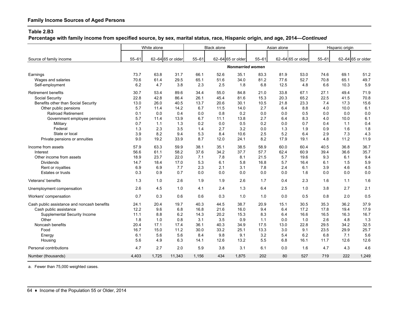**Percentage with family income from specified source, by sex, marital status, race, Hispanic origin, and age, 2014—***Continued*

|                                             |           | White alone |                   |           | <b>Black alone</b> |                         |           | Asian alone |                   |           | Hispanic origin |                   |
|---------------------------------------------|-----------|-------------|-------------------|-----------|--------------------|-------------------------|-----------|-------------|-------------------|-----------|-----------------|-------------------|
|                                             |           |             |                   |           |                    |                         | $55 - 61$ |             |                   |           |                 |                   |
| Source of family income                     | $55 - 61$ |             | 62-64 65 or older | $55 - 61$ |                    | 62-64 65 or older       |           |             | 62-64 65 or older | $55 - 61$ |                 | 62-64 65 or older |
|                                             |           |             |                   |           |                    | <b>Nonmarried women</b> |           |             |                   |           |                 |                   |
| Earnings                                    | 73.7      | 63.8        | 31.7              | 66.1      | 52.6               | 35.1                    | 83.3      | 81.9        | 53.0              | 74.6      | 69.1            | 51.2              |
| Wages and salaries                          | 70.6      | 61.4        | 29.5              | 65.1      | 51.6               | 34.0                    | 81.2      | 77.6        | 52.7              | 70.8      | 65.1            | 49.7              |
| Self-employment                             | 6.2       | 4.7         | 3.8               | 2.3       | 2.5                | 1.8                     | 6.8       | 12.5        | 4.8               | 6.6       | 10.3            | 5.9               |
| <b>Retirement benefits</b>                  | 30.7      | 53.4        | 89.6              | 34.4      | 55.0               | 84.8                    | 21.0      | 33.8        | 67.1              | 27.1      | 49.4            | 71.9              |
| Social Security                             | 22.8      | 42.8        | 86.4              | 26.1      | 45.4               | 81.6                    | 15.3      | 20.3        | 65.2              | 22.5      | 41.5            | 70.8              |
| Benefits other than Social Security         | 13.0      | 26.0        | 40.5              | 13.7      | 20.6               | 30.1                    | 10.5      | 21.8        | 23.3              | 7.4       | 17.3            | 15.6              |
| Other public pensions                       | 5.7       | 11.4        | 14.2              | 6.7       | 11.5               | 14.0                    | 2.7       | 6.4         | 8.8               | 4.0       | 10.0            | 6.1               |
| <b>Railroad Retirement</b>                  | 0.1       | 0.0         | 0.4               | 0.0       | 0.8                | 0.2                     | 0.0       | 0.0         | 0.5               | 0.0       | 0.0             | 0.0               |
| Government employee pensions                | 5.7       | 11.4        | 13.9              | 6.7       | 11.1               | 13.8                    | 2.7       | 6.4         | 8.3               | 4.0       | 10.0            | 6.1               |
| Military                                    | 0.7       | 1.1         | 1.3               | 0.2       | 0.0                | 0.5                     | 0.2       | 0.0         | 0.7               | 0.4       | 1.1             | 0.4               |
| Federal                                     | 1.3       | 2.3         | 3.5               | 1.4       | 2.7                | 3.2                     | 0.0       | 1.3         | 1.9               | 0.9       | 1.6             | 1.8               |
| State or local                              | 3.9       | 8.2         | 9.4               | 5.3       | 8.4                | 10.6                    | 2.5       | 5.2         | 6.4               | 2.9       | 7.3             | 4.3               |
| Private pensions or annuities               | 9.0       | 19.2        | 33.9              | 8.7       | 12.0               | 24.1                    | 8.2       | 17.9        | 19.1              | 4.8       | 11.2            | 11.9              |
| Income from assets                          | 57.9      | 63.3        | 59.9              | 38.1      | 35.1               | 38.5                    | 58.9      | 60.0        | 60.4              | 40.5      | 36.8            | 36.7              |
| Interest                                    | 56.6      | 61.1        | 58.2              | 37.6      | 34.2               | 37.7                    | 57.7      | 62.4        | 60.9              | 39.4      | 36.6            | 35.7              |
| Other income from assets                    | 18.9      | 23.7        | 22.0              | 7.1       | 7.8                | 8.1                     | 21.5      | 5.7         | 19.6              | 9.3       | 6.1             | 9.4               |
| <b>Dividends</b>                            | 14.7      | 18.4        | 17.0              | 5.3       | 6.1                | 5.8                     | 16.8      | 5.7         | 16.4              | 6.1       | 1.5             | 5.9               |
| Rent or royalties                           | 6.9       | 6.9         | 7.7               | 2.3       | 2.1                | 3.1                     | 7.8       | 2.4         | 6.1               | 3.9       | 4.6             | 4.5               |
| Estates or trusts                           | 0.3       | 0.9         | 0.7               | 0.0       | 0.0                | 0.0                     | 0.0       | 0.0         | 1.6               | 0.0       | 0.0             | 0.0               |
| Veterans' benefits                          | 1.3       | 1.0         | 2.6               | 1.9       | 1.9                | 2.6                     | 1.7       | 0.4         | 2.3               | 1.6       | 1.1             | 1.6               |
| Unemployment compensation                   | 2.6       | 4.5         | 1.0               | 4.1       | 2.4                | 1.3                     | 6.4       | 2.5         | 1.0               | 3.8       | 2.7             | 2.1               |
| Workers' compensation                       | 0.7       | 0.3         | 0.6               | 0.6       | 0.3                | 1.0                     | 1.0       | 0.0         | 0.5               | 0.8       | 2.0             | 0.5               |
| Cash public assistance and noncash benefits | 24.1      | 20.4        | 19.7              | 40.3      | 44.5               | 38.7                    | 20.9      | 15.1        | 30.5              | 35.3      | 36.2            | 37.9              |
| Cash public assistance                      | 12.2      | 9.6         | 6.8               | 16.8      | 21.6               | 16.0                    | 9.4       | 6.4         | 17.2              | 17.8      | 19.4            | 17.9              |
| Supplemental Security Income                | 11.1      | 8.8         | 6.2               | 14.3      | 20.2               | 15.3                    | 8.3       | 6.4         | 16.6              | 16.5      | 16.3            | 16.7              |
| Other                                       | 1.8       | 1.0         | 0.8               | 3.1       | 3.5                | 0.9                     | 1.1       | 0.0         | 1.0               | 2.6       | 4.8             | 1.3               |
| Noncash benefits                            | 20.4      | 17.1        | 17.4              | 36.1      | 40.3               | 34.9                    | 17.5      | 13.0        | 22.8              | 29.5      | 34.2            | 32.5              |
| Food                                        | 16.7      | 15.0        | 11.2              | 30.0      | 33.2               | 25.1                    | 13.3      | 3.0         | 9.1               | 23.5      | 29.9            | 25.7              |
| Energy                                      | 6.1       | 5.6         | 5.6               | 8.4       | 9.8                | 9.1                     | 3.2       | 5.4         | 6.2               | 6.8       | 7.1             | 5.6               |
| Housing                                     | 5.6       | 4.9         | 6.3               | 14.1      | 12.6               | 13.2                    | 5.5       | 6.8         | 16.1              | 11.7      | 12.6            | 12.6              |
| Personal contributions                      | 4.7       | 2.7         | 2.0               | 5.9       | 3.8                | 3.1                     | 6.1       | 0.0         | 1.6               | 4.7       | 4.3             | 4.6               |
| Number (thousands)                          | 4,403     | 1,725       | 11,343            | 1,156     | 434                | 1,875                   | 202       | 80          | 527               | 719       | 222             | 1,249             |

a. Fewer than 75,000 weighted cases.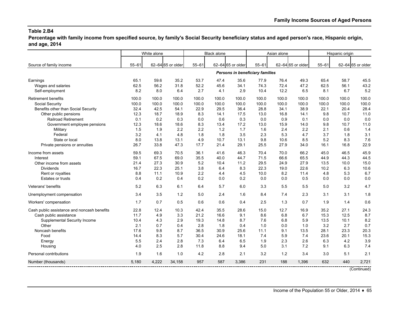**Percentage with family income from specified source, by family's Social Security beneficiary status and aged person's race, Hispanic origin, and age, 2014**

|                                             |           | White alone |                   |           | <b>Black alone</b> |                   |                                 | Asian alone |                   |           | Hispanic origin |                   |
|---------------------------------------------|-----------|-------------|-------------------|-----------|--------------------|-------------------|---------------------------------|-------------|-------------------|-----------|-----------------|-------------------|
| Source of family income                     | $55 - 61$ |             | 62-64 65 or older | $55 - 61$ |                    | 62-64 65 or older | $55 - 61$                       |             | 62-64 65 or older | $55 - 61$ |                 | 62-64 65 or older |
|                                             |           |             |                   |           |                    |                   |                                 |             |                   |           |                 |                   |
|                                             |           |             |                   |           |                    |                   | Persons in beneficiary families |             |                   |           |                 |                   |
| Earnings                                    | 65.1      | 59.6        | 35.2              | 53.7      | 47.4               | 35.6              | 77.9                            | 76.4        | 49.3              | 65.4      | 58.7            | 45.5              |
| Wages and salaries                          | 62.5      | 56.2        | 31.8              | 52.2      | 45.6               | 34.1              | 74.3                            | 72.4        | 47.2              | 62.5      | 56.1            | 43.2              |
| Self-employment                             | 8.2       | 8.0         | 6.4               | 2.7       | 4.1                | 2.9               | 10.4                            | 12.2        | 6.5               | 8.1       | 6.7             | 5.2               |
| Retirement benefits                         | 100.0     | 100.0       | 100.0             | 100.0     | 100.0              | 100.0             | 100.0                           | 100.0       | 100.0             | 100.0     | 100.0           | 100.0             |
| Social Security                             | 100.0     | 100.0       | 100.0             | 100.0     | 100.0              | 100.0             | 100.0                           | 100.0       | 100.0             | 100.0     | 100.0           | 100.0             |
| Benefits other than Social Security         | 32.4      | 42.5        | 54.1              | 22.9      | 29.5               | 36.4              | 28.8                            | 34.1        | 38.9              | 22.1      | 20.4            | 28.4              |
| Other public pensions                       | 12.3      | 18.7        | 18.9              | 8.3       | 14.1               | 17.5              | 13.0                            | 16.8        | 14.1              | 9.8       | 10.7            | 11.0              |
| <b>Railroad Retirement</b>                  | 0.1       | 0.2         | 0.3               | 0.0       | 0.6                | 0.3               | 0.0                             | 0.9         | 0.1               | 0.0       | 0.0             | 0.0               |
| Government employee pensions                | 12.3      | 18.6        | 18.6              | 8.3       | 13.4               | 17.2              | 13.0                            | 15.9        | 14.0              | 9.8       | 10.7            | 11.0              |
| Military                                    | 1.5       | 1.9         | 2.2               | 2.2       | 1.2                | 1.7               | 1.6                             | 2.4         | 2.2               | 2.1       | 0.6             | 1.4               |
| Federal                                     | 3.2       | 4.1         | 4.8               | 1.8       | 1.8                | 3.5               | 2.3                             | 5.3         | 4.7               | 3.7       | 1.8             | 3.1               |
| State or local                              | 8.0       | 13.8        | 13.1              | 4.9       | 10.7               | 13.1              | 9.8                             | 10.6        | 8.5               | 5.2       | 8.3             | 7.6               |
| Private pensions or annuities               | 26.7      | 33.8        | 47.3              | 17.7      | 21.4               | 29.1              | 25.5                            | 27.9        | 34.0              | 16.1      | 16.8            | 22.9              |
| Income from assets                          | 59.5      | 69.3        | 70.5              | 36.1      | 41.6               | 46.3              | 70.4                            | 70.0        | 66.2              | 45.0      | 46.5            | 45.9              |
| Interest                                    | 59.1      | 67.5        | 69.0              | 35.5      | 40.0               | 44.7              | 71.5                            | 66.6        | 65.5              | 44.9      | 44.3            | 44.5              |
| Other income from assets                    | 21.4      | 27.3        | 30.9              | 5.2       | 10.4               | 11.2              | 29.5                            | 24.9        | 27.9              | 13.5      | 10.0            | 15.0              |
| <b>Dividends</b>                            | 16.7      | 22.3        | 25.1              | 3.8       | 6.4                | 8.3               | 22.3                            | 19.0        | 22.6              | 10.2      | 6.3             | 10.6              |
| Rent or royalties                           | 8.8       | 11.1        | 10.9              | 2.2       | 4.4                | 4.5               | 10.0                            | 8.2         | 11.4              | 4.8       | 5.3             | 6.7               |
| <b>Estates or trusts</b>                    | 0.4       | 0.2         | 0.4               | 0.2       | 0.0                | 0.2               | 0.0                             | 0.0         | 0.5               | 0.0       | 0.0             | 0.0               |
| Veterans' benefits                          | 5.2       | 6.3         | 6.1               | 6.4       | 5.7                | 6.0               | 3.3                             | 5.5         | 5.5               | 5.0       | 3.2             | 4.7               |
| Unemployment compensation                   | 3.4       | 3.5         | 1.2               | 5.0       | 2.4                | 1.6               | 8.4                             | 7.4         | 2.3               | 3.1       | 3.1             | 1.8               |
| Workers' compensation                       | 1.7       | 0.7         | 0.5               | 0.6       | 0.6                | 0.4               | 2.5                             | 1.3         | 0.7               | 1.9       | 1.4             | 0.6               |
| Cash public assistance and noncash benefits | 22.8      | 12.4        | 10.3              | 42.4      | 35.5               | 28.6              | 15.0                            | 12.7        | 16.9              | 35.2      | 27.1            | 24.3              |
| Cash public assistance                      | 11.7      | 4.9         | 3.3               | 21.2      | 16.6               | 9.1               | 8.6                             | 6.8         | 6.7               | 15.3      | 12.5            | 8.7               |
| Supplemental Security Income                | 10.4      | 4.3         | 2.9               | 19.3      | 14.8               | 8.7               | 7.6                             | 6.8         | 5.9               | 13.5      | 10.1            | 8.2               |
| Other                                       | 2.1       | 0.7         | 0.4               | 2.8       | 1.8                | 0.4               | 1.0                             | 0.0         | 1.0               | 3.2       | 2.7             | 0.7               |
| Noncash benefits                            | 17.6      | 9.8         | 8.7               | 36.5      | 30.9               | 25.6              | 11.1                            | 9.1         | 13.5              | 28.1      | 23.3            | 20.3              |
| Food                                        | 14.4      | 8.3         | 5.7               | 30.4      | 24.6               | 18.1              | 7.4                             | 5.9         | 7.4               | 23.6      | 20.1            | 15.3              |
| Energy                                      | 5.5       | 2.4         | 2.8               | 7.3       | 6.4                | 6.5               | 1.9                             | 2.3         | 2.6               | 6.3       | 4.2             | 3.9               |
| Housing                                     | 4.0       | 2.5         | 2.8               | 11.8      | 8.8                | 9.4               | 5.0                             | 3.1         | 7.2               | 9.1       | 6.3             | 7.4               |
| Personal contributions                      | 1.9       | 1.6         | 1.0               | 4.2       | 2.8                | 2.1               | 3.2                             | 1.2         | 3.4               | 3.0       | 5.1             | 2.1               |
| Number (thousands)                          | 5.180     | 4,222       | 34,158            | 957       | 587                | 3,386             | 231                             | 188         | 1,396             | 632       | 440             | 2,721             |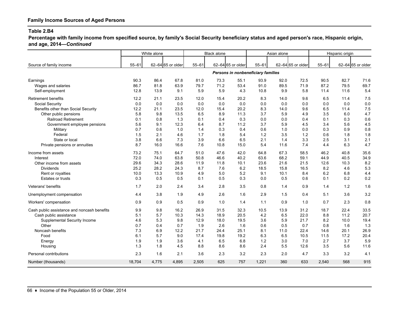**Percentage with family income from specified source, by family's Social Security beneficiary status and aged person's race, Hispanic origin, and age, 2014—***Continued*

|                                             |           | White alone |                   |           | <b>Black alone</b> |                   |                                    | Asian alone |                   |           | Hispanic origin |                   |
|---------------------------------------------|-----------|-------------|-------------------|-----------|--------------------|-------------------|------------------------------------|-------------|-------------------|-----------|-----------------|-------------------|
|                                             |           |             |                   |           |                    |                   |                                    |             |                   |           |                 |                   |
| Source of family income                     | $55 - 61$ |             | 62-64 65 or older | $55 - 61$ |                    | 62-64 65 or older | $55 - 61$                          |             | 62-64 65 or older | $55 - 61$ |                 | 62-64 65 or older |
|                                             |           |             |                   |           |                    |                   | Persons in nonbeneficiary families |             |                   |           |                 |                   |
| Earnings                                    | 90.3      | 86.4        | 67.8              | 81.0      | 73.3               | 55.1              | 93.9                               | 92.0        | 72.5              | 90.5      | 82.7            | 71.6              |
| Wages and salaries                          | 86.7      | 81.8        | 63.9              | 79.7      | 71.2               | 53.4              | 91.0                               | 89.5        | 71.9              | 87.2      | 79.5            | 69.7              |
| Self-employment                             | 12.8      | 13.9        | 9.1               | 5.9       | 5.9                | 4.3               | 10.8                               | 9.9         | 5.8               | 11.4      | 11.6            | 5.4               |
| <b>Retirement benefits</b>                  | 12.2      | 21.1        | 23.5              | 12.0      | 15.4               | 20.2              | 8.3                                | 14.0        | 9.6               | 6.5       | 11.4            | 7.5               |
| Social Security                             | 0.0       | 0.0         | 0.0               | 0.0       | 0.0                | 0.0               | 0.0                                | 0.0         | 0.0               | 0.0       | 0.0             | 0.0               |
| Benefits other than Social Security         | 12.2      | 21.1        | 23.5              | 12.0      | 15.4               | 20.2              | 8.3                                | 14.0        | 9.6               | 6.5       | 11.4            | 7.5               |
| Other public pensions                       | 5.8       | 9.8         | 13.5              | 6.5       | 8.9                | 11.3              | 3.7                                | 5.9         | 4.9               | 3.5       | 6.0             | 4.7               |
| <b>Railroad Retirement</b>                  | 0.1       | 0.8         | 1.3               | 0.1       | 0.4                | 0.3               | 0.0                                | 0.0         | 0.4               | 0.1       | 0.3             | 0.6               |
| Government employee pensions                | 5.6       | 9.1         | 12.3              | 6.4       | 8.7                | 11.2              | 3.7                                | 5.9         | 4.5               | 3.4       | 5.6             | 4.5               |
| Military                                    | 0.7       | 0.6         | 1.0               | 1.4       | 0.3                | 0.4               | 0.6                                | 1.0         | 0.0               | 0.3       | 0.9             | 0.8               |
| Federal                                     | 1.5       | 2.1         | 4.6               | 1.7       | 1.8                | 5.4               | 1.2                                | 3.5         | 1.2               | 0.6       | 1.8             | 1.8               |
| State or local                              | 3.8       | 6.6         | 7.3               | 3.9       | 6.6                | 6.5               | 2.1                                | 1.4         | 3.3               | 2.5       | 3.1             | 2.1               |
| Private pensions or annuities               | 8.7       | 16.0        | 16.6              | 7.6       | 10.8               | 15.0              | 5.4                                | 11.6        | 7.4               | 4.4       | 6.3             | 4.7               |
| Income from assets                          | 73.2      | 75.1        | 64.7              | 51.0      | 47.6               | 42.0              | 64.8                               | 67.3        | 58.5              | 46.2      | 40.8            | 35.6              |
| Interest                                    | 72.0      | 74.0        | 63.8              | 50.8      | 46.6               | 40.2              | 63.6                               | 68.2        | 59.1              | 44.9      | 40.5            | 34.9              |
| Other income from assets                    | 29.6      | 34.3        | 28.6              | 11.9      | 11.8               | 10.1              | 23.6                               | 21.6        | 21.5              | 12.6      | 10.3            | 8.2               |
| <b>Dividends</b>                            | 25.2      | 28.2        | 24.3              | 8.7       | 7.6                | 6.2               | 18.5                               | 15.8        | 16.5              | 8.2       | 4.6             | 5.3               |
| Rent or royalties                           | 10.0      | 13.3        | 10.9              | 4.9       | 5.0                | 5.2               | 9.1                                | 10.1        | 8.4               | 6.2       | 6.8             | 4.4               |
| Estates or trusts                           | 0.3       | 0.5         | 0.5               | 0.1       | 0.5                | 0.3               | 0.0                                | 0.5         | 0.6               | 0.1       | 0.2             | 0.2               |
| Veterans' benefits                          | 1.7       | 2.0         | 2.4               | 3.4       | 2.8                | 3.5               | 0.8                                | 1.4         | 0.9               | 1.4       | 1.2             | 1.6               |
| Unemployment compensation                   | 4.4       | 3.8         | 1.9               | 4.9       | 2.6                | 1.6               | 2.9                                | 1.5         | 0.4               | 5.1       | 3.6             | 3.2               |
| Workers' compensation                       | 0.9       | 0.9         | 0.5               | 0.9       | 1.0                | 1.4               | 1.1                                | 0.9         | 1.0               | 0.7       | 2.3             | 0.8               |
| Cash public assistance and noncash benefits | 9.9       | 9.8         | 16.2              | 26.9      | 31.5               | 32.3              | 10.5                               | 13.9        | 31.2              | 18.7      | 22.4            | 33.5              |
| Cash public assistance                      | 5.1       | 5.7         | 10.3              | 14.3      | 18.9               | 20.5              | 4.2                                | 6.5         | 22.0              | 8.8       | 11.2            | 20.7              |
| Supplemental Security Income                | 4.6       | 5.3         | 9.8               | 12.9      | 18.0               | 19.5              | 3.6                                | 5.9         | 21.7              | 8.2       | 10.0            | 19.4              |
| Other                                       | 0.7       | 0.4         | 0.7               | 1.9       | 2.6                | 1.6               | 0.6                                | 0.5         | 0.7               | 0.8       | 1.6             | 1.3               |
| Noncash benefits                            | 7.3       | 6.9         | 12.2              | 21.7      | 24.4               | 25.1              | 8.1                                | 11.0        | 22.4              | 14.6      | 20.1            | 26.9              |
| Food                                        | 6.1       | 5.7         | 9.0               | 17.4      | 19.8               | 19.2              | 6.3                                | 6.5         | 10.5              | 11.5      | 17.2            | 20.4              |
| Energy                                      | 1.9       | 1.9         | 3.6               | 4.1       | 6.5                | 6.8               | 1.2                                | 3.0         | 7.0               | 2.7       | 3.7             | 5.9               |
| Housing                                     | 1.3       | 1.8         | 4.5               | 8.8       | 8.6                | 8.6               | 2.4                                | 5.5         | 12.6              | 3.5       | 5.6             | 11.6              |
| Personal contributions                      | 2.3       | 1.6         | 2.1               | 3.6       | 2.3                | 3.2               | 2.3                                | 2.0         | 4.7               | 3.3       | 3.2             | 4.1               |
| Number (thousands)                          | 18,704    | 4,775       | 4,895             | 2,505     | 625                | 757               | 1,221                              | 360         | 633               | 2,540     | 568             | 915               |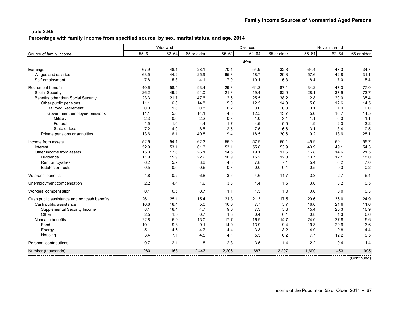**Percentage with family income from specified source, by sex, marital status, and age, 2014**

|                                             | Widowed   |           |             |           | Divorced  |             | Never married |           |             |  |
|---------------------------------------------|-----------|-----------|-------------|-----------|-----------|-------------|---------------|-----------|-------------|--|
| Source of family income                     | $55 - 61$ | $62 - 64$ | 65 or older | $55 - 61$ | $62 - 64$ | 65 or older | $55 - 61$     | $62 - 64$ | 65 or older |  |
|                                             |           |           |             |           | Men       |             |               |           |             |  |
| Earnings                                    | 67.9      | 48.1      | 28.1        | 70.1      | 54.9      | 32.3        | 64.4          | 47.3      | 34.7        |  |
| Wages and salaries                          | 63.5      | 44.2      | 25.9        | 65.3      | 48.7      | 29.3        | 57.6          | 42.8      | 31.1        |  |
| Self-employment                             | 7.8       | 5.8       | 4.1         | 7.9       | 10.1      | 5.3         | 8.4           | 7.0       | 5.4         |  |
| <b>Retirement benefits</b>                  | 40.6      | 58.4      | 93.4        | 29.3      | 61.3      | 87.1        | 34.2          | 47.3      | 77.0        |  |
| Social Security                             | 26.2      | 49.2      | 91.0        | 21.3      | 49.4      | 82.9        | 28.1          | 37.9      | 73.7        |  |
| Benefits other than Social Security         | 23.3      | 21.7      | 47.6        | 12.6      | 25.5      | 38.2        | 12.8          | 20.0      | 35.4        |  |
| Other public pensions                       | 11.1      | 6.6       | 14.8        | 5.0       | 12.5      | 14.0        | 5.6           | 12.6      | 14.5        |  |
| <b>Railroad Retirement</b>                  | 0.0       | 1.6       | 0.8         | 0.2       | 0.0       | 0.3         | 0.1           | 1.9       | 0.0         |  |
| Government employee pensions                | 11.1      | 5.0       | 14.1        | 4.8       | 12.5      | 13.7        | 5.6           | 10.7      | 14.5        |  |
| Military                                    | 2.3       | 0.0       | 2.2         | 0.8       | 1.0       | 3.1         | 1.1           | 0.0       | 1.1         |  |
| Federal                                     | 1.5       | 1.0       | 4.4         | 1.7       | 4.5       | 5.5         | 1.9           | 2.3       | 3.2         |  |
| State or local                              | 7.2       | 4.0       | 8.5         | 2.5       | 7.5       | 6.6         | 3.1           | 8.4       | 10.5        |  |
| Private pensions or annuities               | 13.6      | 16.1      | 40.8        | 9.4       | 18.5      | 30.6        | 9.2           | 13.6      | 28.1        |  |
| Income from assets                          | 52.9      | 54.1      | 62.3        | 55.0      | 57.9      | 55.1        | 45.9          | 50.1      | 55.7        |  |
| Interest                                    | 52.9      | 53.1      | 61.3        | 53.1      | 55.8      | 53.9        | 43.9          | 49.1      | 54.3        |  |
| Other income from assets                    | 15.3      | 17.6      | 26.1        | 14.5      | 19.1      | 17.6        | 16.8          | 14.6      | 21.5        |  |
| <b>Dividends</b>                            | 11.9      | 15.9      | 22.2        | 10.9      | 15.2      | 12.8        | 13.7          | 12.1      | 18.0        |  |
| Rent or royalties                           | 6.2       | 5.9       | 8.6         | 4.8       | 7.8       | 7.1         | 5.4           | 6.2       | 7.0         |  |
| <b>Estates or trusts</b>                    | 0.5       | 0.0       | 0.6         | 0.3       | 0.0       | 0.4         | 0.5           | 0.3       | 0.2         |  |
| Veterans' benefits                          | 4.8       | 0.2       | 6.8         | 3.6       | 4.6       | 11.7        | 3.3           | 2.7       | 6.4         |  |
| Unemployment compensation                   | 2.2       | 4.4       | 1.6         | 3.6       | 4.4       | 1.5         | 3.0           | 3.2       | 0.5         |  |
| Workers' compensation                       | 0.1       | 0.5       | 0.7         | 1.1       | 1.5       | 1.0         | 0.6           | 0.0       | 0.3         |  |
| Cash public assistance and noncash benefits | 26.1      | 25.1      | 15.4        | 21.3      | 21.3      | 17.5        | 29.6          | 36.0      | 24.9        |  |
| Cash public assistance                      | 10.6      | 18.4      | 5.0         | 10.0      | 7.7       | 5.7         | 16.0          | 21.6      | 11.6        |  |
| Supplemental Security Income                | 8.1       | 18.4      | 4.7         | 9.0       | 7.3       | 5.6         | 15.4          | 20.3      | 10.9        |  |
| Other                                       | 2.5       | 1.0       | 0.7         | 1.3       | 0.4       | 0.1         | 0.8           | 1.3       | 0.6         |  |
| Noncash benefits                            | 22.8      | 15.9      | 13.0        | 17.7      | 16.9      | 14.7        | 24.0          | 27.8      | 19.6        |  |
| Food                                        | 19.1      | 9.8       | 9.1         | 14.0      | 13.9      | 9.4         | 19.3          | 20.9      | 13.6        |  |
| Energy                                      | 5.1       | 4.6       | 4.7         | 4.4       | 3.3       | 3.2         | 4.9           | 9.8       | 4.4         |  |
| Housing                                     | 3.4       | 7.1       | 4.5         | 4.1       | 5.5       | 6.2         | 7.7           | 12.2      | 9.5         |  |
| Personal contributions                      | 0.7       | 2.1       | 1.8         | 2.3       | 3.5       | 1.4         | 2.2           | 0.4       | 1.4         |  |
| Number (thousands)                          | 280       | 168       | 2.443       | 2,206     | 687       | 2,207       | 1.690         | 453       | 995         |  |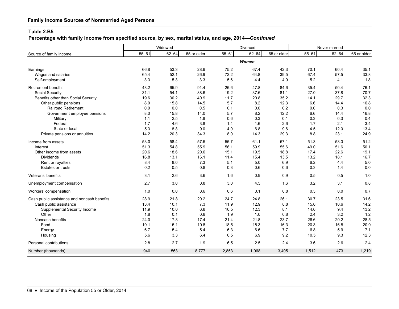**Percentage with family income from specified source, by sex, marital status, and age, 2014—***Continued*

|                                             | Widowed   |           |             |           | Divorced  |             | Never married |           |             |  |
|---------------------------------------------|-----------|-----------|-------------|-----------|-----------|-------------|---------------|-----------|-------------|--|
| Source of family income                     | $55 - 61$ | $62 - 64$ | 65 or older | $55 - 61$ | $62 - 64$ | 65 or older | $55 - 61$     | $62 - 64$ | 65 or older |  |
|                                             |           |           |             |           | Women     |             |               |           |             |  |
| Earnings                                    | 66.8      | 53.3      | 28.6        | 75.2      | 67.4      | 42.3        | 70.1          | 60.4      | 35.1        |  |
| Wages and salaries                          | 65.4      | 52.1      | 26.9        | 72.2      | 64.8      | 39.5        | 67.4          | 57.5      | 33.8        |  |
| Self-employment                             | 3.3       | 5.3       | 3.3         | 5.6       | 4.4       | 4.9         | 5.2           | 4.1       | 1.8         |  |
| <b>Retirement benefits</b>                  | 43.2      | 65.9      | 91.4        | 26.6      | 47.8      | 84.6        | 35.4          | 50.4      | 76.1        |  |
| Social Security                             | 31.1      | 54.1      | 88.6        | 19.2      | 37.6      | 81.1        | 27.0          | 37.8      | 70.7        |  |
| Benefits other than Social Security         | 19.6      | 30.2      | 40.9        | 11.7      | 20.8      | 35.2        | 14.1          | 29.7      | 32.3        |  |
| Other public pensions                       | 8.0       | 15.8      | 14.5        | 5.7       | 8.2       | 12.3        | 6.6           | 14.4      | 16.8        |  |
| <b>Railroad Retirement</b>                  | 0.0       | 0.0       | 0.5         | 0.1       | 0.0       | 0.2         | 0.0           | 0.3       | 0.0         |  |
| Government employee pensions                | 8.0       | 15.8      | 14.0        | 5.7       | 8.2       | 12.2        | 6.6           | 14.4      | 16.8        |  |
| Military                                    | 1.1       | 2.5       | 1.8         | 0.6       | 0.3       | 0.1         | 0.3           | 0.3       | 0.4         |  |
| Federal                                     | 1.7       | 4.6       | 3.8         | 1.4       | 1.6       | 2.6         | 1.7           | 2.1       | 3.4         |  |
| State or local                              | 5.3       | 8.8       | 9.0         | 4.0       | 6.8       | 9.6         | 4.5           | 12.0      | 13.4        |  |
| Private pensions or annuities               | 14.2      | 20.3      | 34.3        | 8.0       | 14.3      | 29.3        | 8.8           | 23.1      | 24.9        |  |
| Income from assets                          | 53.0      | 58.4      | 57.5        | 56.7      | 61.1      | 57.1        | 51.3          | 53.0      | 51.2        |  |
| Interest                                    | 51.3      | 54.8      | 55.9        | 56.1      | 59.9      | 55.6        | 49.0          | 51.6      | 50.1        |  |
| Other income from assets                    | 20.6      | 18.6      | 20.6        | 15.1      | 19.5      | 18.8        | 17.4          | 22.6      | 19.1        |  |
| <b>Dividends</b>                            | 16.8      | 13.1      | 16.1        | 11.4      | 15.4      | 13.5        | 13.2          | 18.1      | 16.7        |  |
| Rent or royalties                           | 8.4       | 8.0       | 7.3         | 5.1       | 5.0       | 6.9         | 6.2           | 4.4       | 5.0         |  |
| <b>Estates or trusts</b>                    | 0.2       | 0.5       | 0.8         | 0.3       | 0.6       | 0.6         | 0.3           | 1.4       | 0.0         |  |
| Veterans' benefits                          | 3.1       | 2.6       | 3.6         | 1.6       | 0.9       | 0.9         | 0.5           | 0.5       | 1.0         |  |
| Unemployment compensation                   | 2.7       | 3.0       | 0.8         | 3.0       | 4.5       | 1.6         | 3.2           | 3.1       | 0.8         |  |
| Workers' compensation                       | 1.0       | 0.0       | 0.6         | 0.6       | 0.1       | 0.8         | 0.3           | 0.0       | 0.7         |  |
| Cash public assistance and noncash benefits | 28.9      | 21.8      | 20.2        | 24.7      | 24.8      | 26.1        | 30.7          | 23.5      | 31.6        |  |
| Cash public assistance                      | 13.4      | 10.1      | 7.3         | 11.9      | 12.9      | 8.8         | 15.0          | 10.6      | 14.2        |  |
| Supplemental Security Income                | 11.9      | 10.0      | 6.8         | 10.5      | 12.3      | 8.1         | 14.0          | 9.4       | 13.2        |  |
| Other                                       | 1.8       | 0.1       | 0.8         | 1.9       | 1.0       | 0.8         | 2.4           | 3.2       | $1.2$       |  |
| Noncash benefits                            | 24.0      | 17.8      | 17.4        | 21.4      | 21.8      | 23.7        | 26.6          | 20.2      | 28.5        |  |
| Food                                        | 19.1      | 15.1      | 10.8        | 18.5      | 18.3      | 16.3        | 20.3          | 16.8      | 20.0        |  |
| Energy                                      | 6.7       | 5.4       | 5.4         | 6.3       | 6.6       | 7.7         | 6.8           | 5.9       | 7.1         |  |
| Housing                                     | 5.6       | 3.3       | 6.4         | 6.5       | 6.9       | 9.2         | 10.5          | 9.3       | 12.3        |  |
| Personal contributions                      | 2.8       | 2.7       | 1.9         | 6.5       | 2.5       | 2.4         | 3.6           | 2.6       | 2.4         |  |
| Number (thousands)                          | 940       | 563       | 8,777       | 2.853     | 1,068     | 3.405       | 1,512         | 473       | 1,219       |  |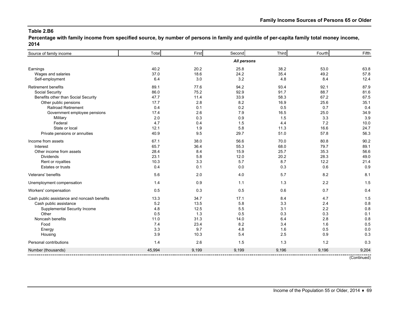**Percentage with family income from specified source, by number of persons in family and quintile of per-capita family total money income, 2014**

| Source of family income                     | Total  | First | Second      | Third | Fourth | Fifth |
|---------------------------------------------|--------|-------|-------------|-------|--------|-------|
|                                             |        |       | All persons |       |        |       |
| Earnings                                    | 40.2   | 20.2  | 25.8        | 38.2  | 53.0   | 63.8  |
| Wages and salaries                          | 37.0   | 18.6  | 24.2        | 35.4  | 49.2   | 57.8  |
| Self-employment                             | 6.4    | 3.0   | 3.2         | 4.8   | 8.4    | 12.4  |
| <b>Retirement benefits</b>                  | 89.1   | 77.6  | 94.2        | 93.4  | 92.1   | 87.9  |
| Social Security                             | 86.0   | 75.2  | 92.9        | 91.7  | 88.7   | 81.6  |
| Benefits other than Social Security         | 47.7   | 11.4  | 33.9        | 58.3  | 67.2   | 67.5  |
| Other public pensions                       | 17.7   | 2.8   | 8.2         | 16.9  | 25.6   | 35.1  |
| Railroad Retirement                         | 0.4    | 0.1   | 0.2         | 0.5   | 0.7    | 0.4   |
| Government employee pensions                | 17.4   | 2.6   | 7.9         | 16.5  | 25.0   | 34.9  |
| Military                                    | 2.0    | 0.3   | 0.9         | 1.5   | 3.3    | 3.9   |
| Federal                                     | 4.7    | 0.4   | 1.5         | 4.4   | 7.2    | 10.0  |
| State or local                              | 12.1   | 1.9   | 5.8         | 11.3  | 16.6   | 24.7  |
| Private pensions or annuities               | 40.9   | 9.5   | 29.7        | 51.0  | 57.8   | 56.3  |
| Income from assets                          | 67.1   | 38.0  | 56.6        | 70.0  | 80.8   | 90.2  |
| Interest                                    | 65.7   | 36.4  | 55.3        | 68.0  | 79.7   | 89.1  |
| Other income from assets                    | 28.4   | 8.4   | 15.9        | 25.7  | 35.3   | 56.6  |
| Dividends                                   | 23.1   | 5.8   | 12.0        | 20.2  | 28.3   | 49.0  |
| Rent or royalties                           | 10.3   | 3.3   | 5.7         | 8.7   | 12.2   | 21.4  |
| <b>Estates or trusts</b>                    | 0.4    | 0.1   | 0.0         | 0.3   | 0.6    | 0.9   |
| Veterans' benefits                          | 5.6    | 2.0   | 4.0         | 5.7   | 8.2    | 8.1   |
| Unemployment compensation                   | 1.4    | 0.9   | 1.1         | 1.3   | 2.2    | 1.5   |
| Workers' compensation                       | 0.5    | 0.3   | 0.5         | 0.6   | 0.7    | 0.4   |
| Cash public assistance and noncash benefits | 13.3   | 34.7  | 17.1        | 8.4   | 4.7    | 1.5   |
| Cash public assistance                      | 5.2    | 13.5  | 5.8         | 3.3   | 2.4    | 0.8   |
| Supplemental Security Income                | 4.8    | 12.5  | 5.5         | 3.1   | 2.2    | 0.8   |
| Other                                       | 0.5    | 1.3   | 0.5         | 0.3   | 0.3    | 0.1   |
| Noncash benefits                            | 11.0   | 31.3  | 14.0        | 6.4   | 2.8    | 0.8   |
| Food                                        | 7.4    | 23.4  | 8.2         | 3.4   | 1.6    | 0.5   |
| Energy                                      | 3.3    | 9.7   | 4.8         | 1.6   | 0.5    | 0.0   |
| Housing                                     | 3.9    | 10.3  | 5.4         | 2.5   | 0.9    | 0.3   |
| Personal contributions                      | 1.4    | 2.6   | 1.5         | 1.3   | $1.2$  | 0.3   |
| Number (thousands)                          | 45,994 | 9,199 | 9,199       | 9,196 | 9,196  | 9,204 |
|                                             |        |       |             |       |        |       |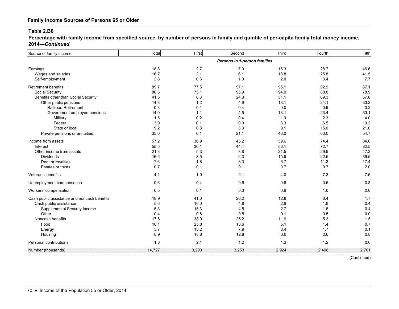**Percentage with family income from specified source, by number of persons in family and quintile of per-capita family total money income, 2014—***Continued*

| Source of family income                     | Total                        | First | Second | Third | Fourth | Fifth       |  |  |  |  |  |  |
|---------------------------------------------|------------------------------|-------|--------|-------|--------|-------------|--|--|--|--|--|--|
|                                             | Persons in 1-person families |       |        |       |        |             |  |  |  |  |  |  |
| Earnings                                    | 18.8                         | 2.7   | 7.0    | 15.3  | 28.7   | 46.6        |  |  |  |  |  |  |
| Wages and salaries                          | 16.7                         | 2.1   | 6.1    | 13.8  | 25.8   | 41.5        |  |  |  |  |  |  |
| Self-employment                             | 2.8                          | 0.6   | 1.0    | 2.0   | 3.4    | 7.7         |  |  |  |  |  |  |
| Retirement benefits                         | 89.7                         | 77.5  | 97.1   | 95.1  | 92.9   | 87.1        |  |  |  |  |  |  |
| Social Security                             | 86.5                         | 75.1  | 95.9   | 94.0  | 88.8   | 78.9        |  |  |  |  |  |  |
| Benefits other than Social Security         | 41.5                         | 6.8   | 24.3   | 51.1  | 69.3   | 67.8        |  |  |  |  |  |  |
| Other public pensions                       | 14.3                         | 1.2   | 4.9    | 13.1  | 24.1   | 33.2        |  |  |  |  |  |  |
| Railroad Retirement                         | 0.3                          | 0.1   | 0.4    | 0.0   | 0.9    | 0.2         |  |  |  |  |  |  |
| Government employee pensions                | 14.0                         | 1.1   | 4.5    | 13.1  | 23.4   | 33.1        |  |  |  |  |  |  |
| Military                                    | 1.5                          | 0.2   | 0.4    | 1.0   | 2.3    | 4.0         |  |  |  |  |  |  |
| Federal                                     | 3.9                          | 0.1   | 0.9    | 3.3   | 6.5    | 10.2        |  |  |  |  |  |  |
| State or local                              | 9.2                          | 0.8   | 3.3    | 9.1   | 15.0   | 21.0        |  |  |  |  |  |  |
| Private pensions or annuities               | 35.0                         | 6.1   | 21.1   | 43.0  | 60.0   | 54.7        |  |  |  |  |  |  |
| Income from assets                          | 57.2                         | 30.9  | 45.2   | 59.6  | 74.4   | 84.6        |  |  |  |  |  |  |
| Interest                                    | 55.5                         | 30.1  | 44.4   | 56.1  | 72.7   | 82.5        |  |  |  |  |  |  |
| Other income from assets                    | 21.3                         | 5.3   | 8.8    | 21.5  | 29.9   | 47.2        |  |  |  |  |  |  |
| <b>Dividends</b>                            | 16.6                         | 3.5   | 6.3    | 15.9  | 22.5   | 39.5        |  |  |  |  |  |  |
| Rent or royalties                           | 7.6                          | 1.8   | 3.3    | 6.7   | 11.3   | 17.4        |  |  |  |  |  |  |
| Estates or trusts                           | 0.7                          | 0.1   | 0.1    | 0.7   | 0.7    | 2.0         |  |  |  |  |  |  |
| Veterans' benefits                          | 4.1                          | 1.0   | 2.1    | 4.0   | 7.3    | 7.6         |  |  |  |  |  |  |
| Unemployment compensation                   | 0.6                          | 0.4   | 0.6    | 0.6   | 0.5    | 0.8         |  |  |  |  |  |  |
| Workers' compensation                       | 0.5                          | 0.1   | 0.3    | 0.9   | 1.0    | 0.6         |  |  |  |  |  |  |
| Cash public assistance and noncash benefits | 18.9                         | 41.0  | 26.2   | 12.8  | 6.4    | 1.7         |  |  |  |  |  |  |
| Cash public assistance                      | 5.6                          | 16.0  | 4.8    | 2.8   | 1.8    | 0.4         |  |  |  |  |  |  |
| Supplemental Security Income                | 5.3                          | 15.3  | 4.5    | 2.7   | 1.6    | 0.4         |  |  |  |  |  |  |
| Other                                       | 0.4                          | 0.8   | 0.5    | 0.1   | 0.5    | 0.0         |  |  |  |  |  |  |
| Noncash benefits                            | 17.6                         | 38.0  | 25.2   | 11.9  | 5.3    | 1.5         |  |  |  |  |  |  |
| Food                                        | 10.1                         | 25.8  | 13.6   | 5.1   | 1.4    | 0.7         |  |  |  |  |  |  |
| Energy                                      | 5.7                          | 13.2  | 7.9    | 3.4   | 1.7    | 0.1         |  |  |  |  |  |  |
| Housing                                     | 8.9                          | 18.8  | 12.8   | 6.6   | 2.6    | 0.8         |  |  |  |  |  |  |
| Personal contributions                      | 1.3                          | 2.1   | 1.2    | 1.3   | 1.2    | 0.6         |  |  |  |  |  |  |
| Number (thousands)                          | 14,727                       | 3,290 | 3,253  | 2,924 | 2,498  | 2,761       |  |  |  |  |  |  |
|                                             |                              |       |        |       |        | (Continued) |  |  |  |  |  |  |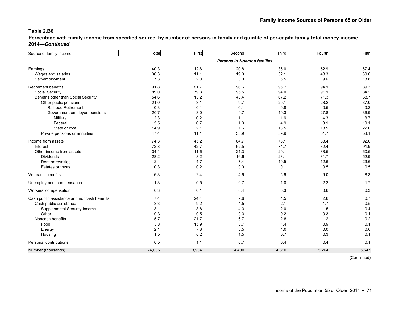**Percentage with family income from specified source, by number of persons in family and quintile of per-capita family total money income, 2014—***Continued*

| Source of family income                     | Total                        | First | Second | Third | Fourth | Fifth       |  |  |  |  |  |
|---------------------------------------------|------------------------------|-------|--------|-------|--------|-------------|--|--|--|--|--|
|                                             | Persons in 2-person families |       |        |       |        |             |  |  |  |  |  |
| Earnings                                    | 40.3                         | 12.8  | 20.8   | 36.0  | 52.9   | 67.4        |  |  |  |  |  |
| Wages and salaries                          | 36.3                         | 11.1  | 19.0   | 32.1  | 48.3   | 60.6        |  |  |  |  |  |
| Self-employment                             | 7.3                          | 2.0   | 3.0    | 5.5   | 9.6    | 13.8        |  |  |  |  |  |
| Retirement benefits                         | 91.8                         | 81.7  | 96.6   | 95.7  | 94.1   | 89.3        |  |  |  |  |  |
| Social Security                             | 89.0                         | 79.3  | 95.5   | 94.0  | 91.1   | 84.2        |  |  |  |  |  |
| Benefits other than Social Security         | 54.6                         | 13.2  | 40.4   | 67.2  | 71.3   | 68.7        |  |  |  |  |  |
| Other public pensions                       | 21.0                         | 3.1   | 9.7    | 20.1  | 28.2   | 37.0        |  |  |  |  |  |
| <b>Railroad Retirement</b>                  | 0.3                          | 0.1   | 0.1    | 0.8   | 0.5    | 0.2         |  |  |  |  |  |
| Government employee pensions                | 20.7                         | 3.0   | 9.7    | 19.3  | 27.8   | 36.9        |  |  |  |  |  |
| Military                                    | 2.3                          | 0.2   | 1.1    | 1.6   | 4.3    | 3.7         |  |  |  |  |  |
| Federal                                     | 5.5                          | 0.7   | 1.3    | 4.9   | 8.1    | 10.1        |  |  |  |  |  |
| State or local                              | 14.9                         | 2.1   | 7.6    | 13.5  | 18.5   | 27.6        |  |  |  |  |  |
| Private pensions or annuities               | 47.4                         | 11.1  | 35.9   | 59.9  | 61.7   | 58.1        |  |  |  |  |  |
| Income from assets                          | 74.3                         | 45.2  | 64.7   | 76.1  | 83.4   | 92.6        |  |  |  |  |  |
| Interest                                    | 72.8                         | 42.7  | 62.5   | 74.7  | 82.4   | 91.9        |  |  |  |  |  |
| Other income from assets                    | 34.1                         | 11.6  | 21.3   | 29.1  | 38.5   | 60.5        |  |  |  |  |  |
| <b>Dividends</b>                            | 28.2                         | 8.2   | 16.6   | 23.1  | 31.7   | 52.9        |  |  |  |  |  |
| Rent or royalties                           | 12.4                         | 4.7   | 7.4    | 10.5  | 12.6   | 23.6        |  |  |  |  |  |
| Estates or trusts                           | 0.3                          | 0.2   | 0.0    | 0.1   | 0.5    | 0.5         |  |  |  |  |  |
| Veterans' benefits                          | 6.3                          | 2.4   | 4.6    | 5.9   | 9.0    | 8.3         |  |  |  |  |  |
| Unemployment compensation                   | 1.3                          | 0.5   | 0.7    | 1.0   | 2.2    | 1.7         |  |  |  |  |  |
| Workers' compensation                       | 0.3                          | 0.1   | 0.4    | 0.3   | 0.6    | 0.3         |  |  |  |  |  |
| Cash public assistance and noncash benefits | 7.4                          | 24.4  | 9.6    | 4.5   | 2.6    | 0.7         |  |  |  |  |  |
| Cash public assistance                      | 3.3                          | 9.2   | 4.5    | 2.1   | 1.7    | 0.5         |  |  |  |  |  |
| Supplemental Security Income                | 3.1                          | 8.8   | 4.3    | 2.0   | 1.5    | 0.4         |  |  |  |  |  |
| Other                                       | 0.3                          | 0.5   | 0.3    | 0.2   | 0.3    | 0.1         |  |  |  |  |  |
| Noncash benefits                            | 5.7                          | 21.7  | 6.7    | 2.8   | 1.2    | 0.2         |  |  |  |  |  |
| Food                                        | 3.8                          | 15.9  | 3.7    | 1.4   | 0.9    | 0.1         |  |  |  |  |  |
| Energy                                      | 2.1                          | 7.8   | 3.5    | 1.0   | 0.0    | 0.0         |  |  |  |  |  |
| Housing                                     | 1.5                          | 6.2   | 1.5    | 0.7   | 0.3    | 0.1         |  |  |  |  |  |
| Personal contributions                      | 0.5                          | 1.1   | 0.7    | 0.4   | 0.4    | 0.1         |  |  |  |  |  |
| Number (thousands)                          | 24,035                       | 3,934 | 4,480  | 4,810 | 5,264  | 5,547       |  |  |  |  |  |
|                                             |                              |       |        |       |        | (Continued) |  |  |  |  |  |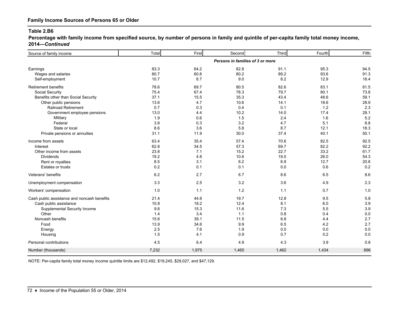**Percentage with family income from specified source, by number of persons in family and quintile of per-capita family total money income, 2014—***Continued*

| Source of family income                     | Total                            | First | Second | Third | Fourth | Fifth |  |  |  |  |  |  |
|---------------------------------------------|----------------------------------|-------|--------|-------|--------|-------|--|--|--|--|--|--|
|                                             | Persons in families of 3 or more |       |        |       |        |       |  |  |  |  |  |  |
| Earnings                                    | 83.3                             | 64.2  | 82.8   | 91.1  | 95.3   | 94.5  |  |  |  |  |  |  |
| Wages and salaries                          | 80.7                             | 60.8  | 80.2   | 89.2  | 93.6   | 91.3  |  |  |  |  |  |  |
| Self-employment                             | 10.7                             | 8.7   | 9.0    | 8.2   | 12.9   | 18.4  |  |  |  |  |  |  |
| <b>Retirement benefits</b>                  | 78.6                             | 69.7  | 80.5   | 82.6  | 83.1   | 81.5  |  |  |  |  |  |  |
| Social Security                             | 75.4                             | 67.4  | 78.3   | 79.7  | 80.1   | 73.8  |  |  |  |  |  |  |
| Benefits other than Social Security         | 37.1                             | 15.5  | 35.3   | 43.4  | 48.6   | 59.1  |  |  |  |  |  |  |
| Other public pensions                       | 13.6                             | 4.7   | 10.6   | 14.1  | 18.6   | 28.9  |  |  |  |  |  |  |
| <b>Railroad Retirement</b>                  | 0.7                              | 0.3   | 0.4    | 0.1   | 1.2    | 2.3   |  |  |  |  |  |  |
| Government employee pensions                | 13.0                             | 4.4   | 10.2   | 14.0  | 17.4   | 28.1  |  |  |  |  |  |  |
| Military                                    | 1.9                              | 0.6   | 1.5    | 2.4   | 1.6    | 5.2   |  |  |  |  |  |  |
| Federal                                     | 3.8                              | 0.3   | 3.2    | 4.7   | 5.1    | 8.8   |  |  |  |  |  |  |
| State or local                              | 8.6                              | 3.6   | 5.8    | 8.7   | 12.1   | 18.3  |  |  |  |  |  |  |
| Private pensions or annuities               | 31.1                             | 11.9  | 30.0   | 37.4  | 40.1   | 50.1  |  |  |  |  |  |  |
| Income from assets                          | 63.4                             | 35.4  | 57.4   | 70.6  | 82.5   | 92.5  |  |  |  |  |  |  |
| Interest                                    | 62.8                             | 34.5  | 57.3   | 69.7  | 82.2   | 92.2  |  |  |  |  |  |  |
| Other income from assets                    | 23.8                             | 7.1   | 15.2   | 22.7  | 33.2   | 61.7  |  |  |  |  |  |  |
| <b>Dividends</b>                            | 19.2                             | 4.8   | 10.6   | 19.0  | 26.0   | 54.3  |  |  |  |  |  |  |
| Rent or royalties                           | 8.5                              | 3.1   | 6.2    | 6.9   | 12.7   | 20.6  |  |  |  |  |  |  |
| <b>Estates or trusts</b>                    | 0.2                              | 0.1   | 0.1    | 0.0   | 0.6    | 0.2   |  |  |  |  |  |  |
| Veterans' benefits                          | 6.2                              | 2.7   | 6.7    | 8.6   | 6.5    | 8.6   |  |  |  |  |  |  |
| Unemployment compensation                   | 3.3                              | 2.5   | 3.2    | 3.6   | 4.9    | 2.3   |  |  |  |  |  |  |
| Workers' compensation                       | 1.0                              | 1.1   | 1.2    | 1.1   | 0.7    | 1.0   |  |  |  |  |  |  |
| Cash public assistance and noncash benefits | 21.4                             | 44.8  | 19.7   | 12.8  | 9.5    | 5.8   |  |  |  |  |  |  |
| Cash public assistance                      | 10.8                             | 18.2  | 12.4   | 8.1   | 6.0    | 3.9   |  |  |  |  |  |  |
| Supplemental Security Income                | 9.6                              | 15.3  | 11.6   | 7.3   | 5.5    | 3.9   |  |  |  |  |  |  |
| Other                                       | 1.4                              | 3.4   | 1.1    | 0.8   | 0.4    | 0.0   |  |  |  |  |  |  |
| Noncash benefits                            | 15.6                             | 39.1  | 11.5   | 6.8   | 4.4    | 2.7   |  |  |  |  |  |  |
| Food                                        | 13.9                             | 34.6  | 9.9    | 6.5   | 4.2    | 2.7   |  |  |  |  |  |  |
| Energy                                      | 2.5                              | 7.6   | 1.9    | 0.0   | 0.0    | 0.0   |  |  |  |  |  |  |
| Housing                                     | 1.5                              | 4.1   | 0.9    | 0.7   | 0.2    | 0.0   |  |  |  |  |  |  |
| Personal contributions                      | 4.5                              | 6.4   | 4.9    | 4.3   | 3.9    | 0.8   |  |  |  |  |  |  |
| Number (thousands)                          | 7,232                            | 1,975 | 1,465  | 1,462 | 1,434  | 896   |  |  |  |  |  |  |
|                                             |                                  |       |        |       |        |       |  |  |  |  |  |  |

NOTE: Per-capita family total money income quintile limits are \$12,492, \$19,245, \$29,027, and \$47,129.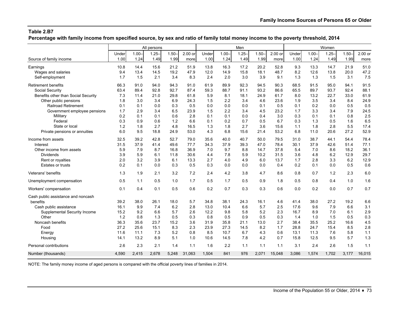**Percentage with family income from specified source, by sex and ratio of family total money income to the poverty threshold, 2014**

|                                     |       |          | All persons |          |         |       |          | Men      |          |         |       |          | Women    |          |         |
|-------------------------------------|-------|----------|-------------|----------|---------|-------|----------|----------|----------|---------|-------|----------|----------|----------|---------|
|                                     | Under | $1.00 -$ | $1.25 -$    | $1.50 -$ | 2.00 or | Under | $1.00 -$ | $1.25 -$ | $1.50 -$ | 2.00 or | Under | $1.00 -$ | $1.25 -$ | $1.50 -$ | 2.00 or |
| Source of family income             | 1.00  | 1.24     | 1.49        | 1.99     | more    | 1.00  | 1.24     | 1.49     | 1.99     | more    | 1.00  | 1.24     | 1.49     | 1.99     | more    |
| Earnings                            | 10.8  | 14.4     | 15.6        | 21.2     | 51.9    | 13.8  | 16.3     | 17.2     | 20.2     | 52.8    | 9.3   | 13.3     | 14.7     | 21.9     | 51.0    |
| Wages and salaries                  | 9.4   | 13.4     | 14.5        | 19.2     | 47.9    | 12.0  | 14.9     | 15.8     | 18.1     | 48.7    | 8.2   | 12.6     | 13.8     | 20.0     | 47.2    |
| Self-employment                     | 1.7   | 1.5      | 2.1         | 3.4      | 8.3     | 2.4   | 2.0      | 3.0      | 3.9      | 9.1     | 1.3   | 1.3      | 1.5      | 3.1      | 7.5     |
| <b>Retirement benefits</b>          | 66.3  | 91.0     | 94.0        | 94.3     | 91.0    | 61.9  | 89.9     | 92.3     | 94.5     | 90.3    | 68.5  | 91.5     | 95.0     | 94.1     | 91.5    |
| Social Security                     | 63.4  | 89.4     | 92.8        | 92.7     | 87.4    | 59.3  | 88.7     | 91.1     | 93.2     | 86.6    | 65.5  | 89.7     | 93.7     | 92.4     | 88.1    |
| Benefits other than Social Security | 7.3   | 11.4     | 21.0        | 29.8     | 61.8    | 5.9   | 8.1      | 18.1     | 24.9     | 61.7    | 8.0   | 13.2     | 22.7     | 33.0     | 61.9    |
| Other public pensions               | 1.8   | 3.0      | 3.4         | 6.9      | 24.3    | 1.5   | 2.2      | 3.4      | 4.6      | 23.6    | 1.9   | 3.5      | 3.4      | 8.4      | 24.9    |
| <b>Railroad Retirement</b>          | 0.1   | 0.1      | 0.0         | 0.3      | 0.5     | 0.0   | 0.0      | 0.0      | 0.1      | 0.5     | 0.1   | 0.2      | 0.0      | 0.5      | 0.5     |
| Government employee pensions        | 1.7   | 2.9      | 3.4         | 6.5      | 23.9    | 1.5   | 2.2      | 3.4      | 4.5      | 23.2    | 1.7   | 3.3      | 3.4      | 7.9      | 24.5    |
| Military                            | 0.2   | 0.1      | 0.1         | 0.6      | 2.8     | 0.1   | 0.1      | 0.0      | 0.4      | 3.0     | 0.3   | 0.1      | 0.1      | 0.8      | 2.5     |
| Federal                             | 0.3   | 0.9      | 0.6         | 1.2      | 6.6     | 0.1   | 0.2      | 0.7      | 0.5      | 6.7     | 0.3   | 1.3      | 0.5      | 1.6      | 6.5     |
| State or local                      | 1.2   | 1.8      | 2.7         | 4.8      | 16.5    | 1.3   | 1.8      | 2.7      | 3.6      | 15.6    | 1.1   | 1.8      | 2.8      | 5.5      | 17.4    |
| Private pensions or annuities       | 6.0   | 9.5      | 18.8        | 24.9     | 53.0    | 4.3   | 6.8      | 15.6     | 21.4     | 53.2    | 6.8   | 11.0     | 20.6     | 27.2     | 52.9    |
| Income from assets                  | 32.5  | 39.2     | 42.8        | 52.7     | 79.0    | 35.6  | 40.0     | 40.7     | 50.0     | 79.5    | 31.0  | 38.7     | 44.1     | 54.4     | 78.4    |
| Interest                            | 31.5  | 37.9     | 41.4        | 49.6     | 77.7    | 34.3  | 37.9     | 39.3     | 47.0     | 78.4    | 30.1  | 37.9     | 42.6     | 51.4     | 77.1    |
| Other income from assets            | 5.9   | 7.9      | 8.7         | 16.8     | 36.9    | 7.0   | 9.7      | 8.8      | 14.7     | 37.8    | 5.4   | 7.0      | 8.6      | 18.2     | 36.1    |
| <b>Dividends</b>                    | 3.9   | 5.9      | 6.1         | 11.8     | 30.6    | 4.4   | 7.8      | 5.9      | 10.2     | 31.5    | 3.6   | 4.8      | 6.2      | 12.9     | 29.7    |
| Rent or royalties                   | 2.0   | 3.2      | 3.9         | 6.1      | 13.3    | 2.7   | 4.0      | 4.9      | 6.0      | 13.7    | 1.7   | 2.8      | 3.3      | 6.2      | 12.9    |
| <b>Estates or trusts</b>            | 0.2   | 0.1      | 0.0         | 0.3      | 0.5     | 0.3   | 0.0      | 0.0      | 0.0      | 0.4     | 0.2   | 0.1      | 0.0      | 0.5      | 0.6     |
| Veterans' benefits                  | 1.3   | 1.9      | 2.1         | 3.2      | 7.2     | 2.4   | 4.2      | 3.8      | 4.7      | 8.6     | 0.8   | 0.7      | 1.2      | 2.3      | 6.0     |
| Unemployment compensation           | 0.5   | 1.1      | 0.5         | 1.0      | 1.7     | 0.5   | 1.7      | 0.5      | 0.9      | 1.8     | 0.5   | 0.8      | 0.4      | 1.0      | 1.6     |
| Workers' compensation               | 0.1   | 0.4      | 0.1         | 0.5      | 0.6     | 0.2   | 0.7      | 0.3      | 0.3      | 0.6     | 0.0   | 0.2      | 0.0      | 0.7      | 0.7     |
| Cash public assistance and noncash  |       |          |             |          |         |       |          |          |          |         |       |          |          |          |         |
| benefits                            | 39.2  | 38.0     | 26.1        | 18.0     | 5.7     | 34.8  | 38.1     | 24.3     | 16.1     | 4.6     | 41.4  | 38.0     | 27.2     | 19.2     | 6.6     |
| Cash public assistance              | 16.1  | 9.9      | 7.4         | 6.2      | 2.8     | 13.0  | 10.4     | 6.6      | 5.7      | 2.5     | 17.6  | 9.6      | 7.9      | 6.6      | 3.1     |
| Supplemental Security Income        | 15.2  | 9.2      | 6.6         | 5.7      | 2.6     | 12.2  | 9.8      | 5.8      | 5.2      | 2.3     | 16.7  | 8.9      | 7.0      | 6.1      | 2.9     |
| Other                               | 1.2   | 0.8      | 1.3         | 0.5      | 0.3     | 0.8   | 0.5      | 0.9      | 0.5      | 0.3     | 1.4   | 1.0      | 1.5      | 0.5      | 0.3     |
| Noncash benefits                    | 36.3  | 35.6     | 23.7        | 15.2     | 3.6     | 31.9  | 35.8     | 21.1     | 13.0     | 2.7     | 38.4  | 35.5     | 25.2     | 16.6     | 4.5     |
| Food                                | 27.2  | 25.6     | 15.1        | 8.3      | 2.3     | 23.9  | 27.3     | 14.5     | 8.2      | 1.7     | 28.8  | 24.7     | 15.4     | 8.5      | 2.8     |
| Energy                              | 11.6  | 11.1     | 7.3         | 5.2      | 0.8     | 8.5   | 10.7     | 6.7      | 4.3      | 0.6     | 13.1  | 11.3     | 7.6      | 5.8      | 1.1     |
| Housing                             | 14.1  | 13.2     | 8.9         | 5.1      | 1.0     | 10.6  | 14.5     | 7.8      | 4.2      | 0.7     | 15.8  | 12.5     | 9.5      | 5.7      | 1.3     |
| Personal contributions              | 2.6   | 2.3      | 2.1         | 1.4      | 1.1     | 1.6   | 2.2      | 1.1      | 1.1      | 1.1     | 3.1   | 2.4      | 2.6      | 1.5      | 1.1     |
| Number (thousands)                  | 4,590 | 2,415    | 2,678       | 5,248    | 31,063  | 1,504 | 841      | 976      | 2,071    | 15,048  | 3,086 | 1,574    | 1,702    | 3,177    | 16,015  |

NOTE: The family money income of aged persons is compared with the official poverty lines of families in 2014.